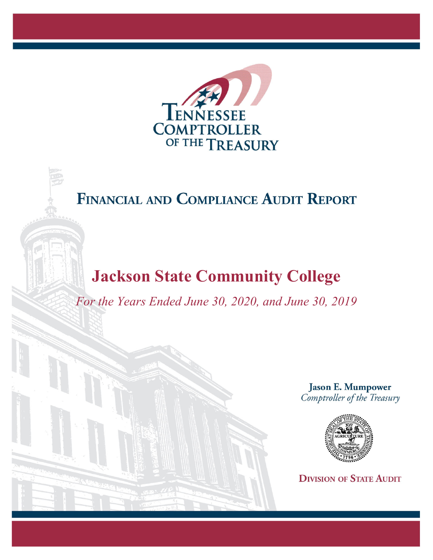

## FINANCIAL AND COMPLIANCE AUDIT REPORT

# **Jackson State Community College**

*For the Years Ended June 30, 2020, and June 30, 2019* 

**Jason E. Mumpower** Comptroller of the Treasury



**DIVISION OF STATE AUDIT**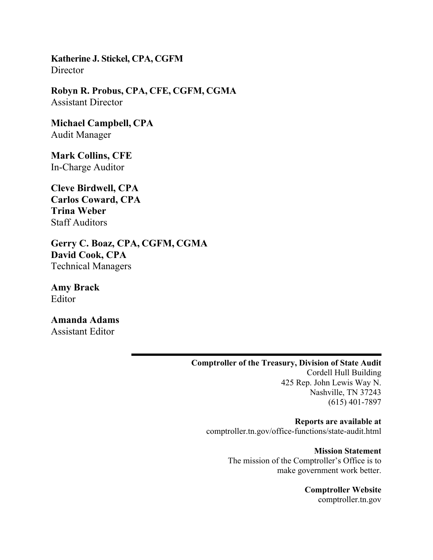**Katherine J. Stickel, CPA, CGFM Director** 

**Robyn R. Probus, CPA, CFE, CGFM, CGMA** Assistant Director

**Michael Campbell, CPA**  Audit Manager

**Mark Collins, CFE**  In-Charge Auditor

**Cleve Birdwell, CPA Carlos Coward, CPA Trina Weber**  Staff Auditors

**Gerry C. Boaz, CPA, CGFM, CGMA David Cook, CPA**  Technical Managers

**Amy Brack**  Editor

**Amanda Adams**  Assistant Editor

> **Comptroller of the Treasury, Division of State Audit**  Cordell Hull Building 425 Rep. John Lewis Way N. Nashville, TN 37243 (615) 401-7897

**Reports are available at**  comptroller.tn.gov/office-functions/state-audit.html

> **Mission Statement**  The mission of the Comptroller's Office is to make government work better.

> > **Comptroller Website**  comptroller.tn.gov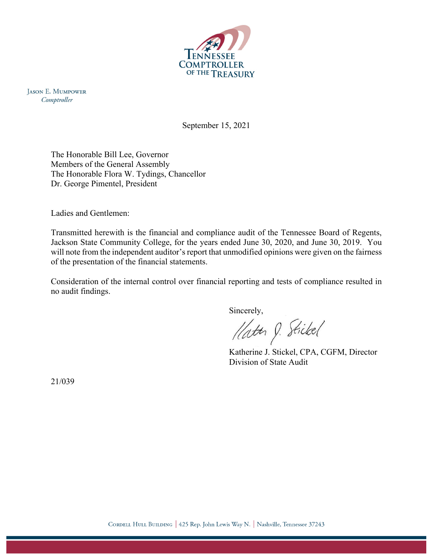

**JASON E. MUMPOWER** Comptroller

September 15, 2021

The Honorable Bill Lee, Governor Members of the General Assembly The Honorable Flora W. Tydings, Chancellor Dr. George Pimentel, President

Ladies and Gentlemen:

Transmitted herewith is the financial and compliance audit of the Tennessee Board of Regents, Jackson State Community College, for the years ended June 30, 2020, and June 30, 2019. You will note from the independent auditor's report that unmodified opinions were given on the fairness of the presentation of the financial statements.

Consideration of the internal control over financial reporting and tests of compliance resulted in no audit findings.

Sincerely,<br>*(latter 9. Stickel*)

 Katherine J. Stickel, CPA, CGFM, Director Division of State Audit

21/039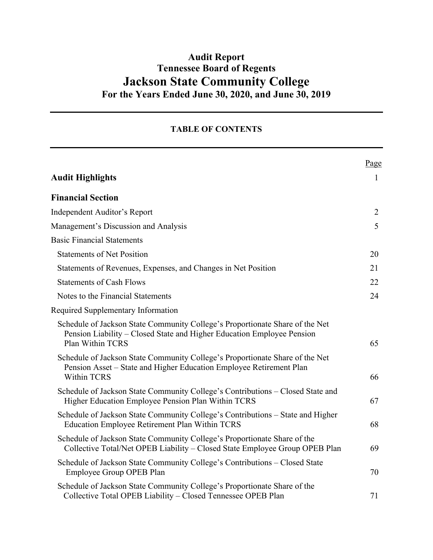## **Audit Report Tennessee Board of Regents Jackson State Community College For the Years Ended June 30, 2020, and June 30, 2019**

## **TABLE OF CONTENTS**

|                                                                                                                                                                            | Page           |
|----------------------------------------------------------------------------------------------------------------------------------------------------------------------------|----------------|
| <b>Audit Highlights</b>                                                                                                                                                    | $\mathbf{1}$   |
| <b>Financial Section</b>                                                                                                                                                   |                |
| Independent Auditor's Report                                                                                                                                               | $\overline{2}$ |
| Management's Discussion and Analysis                                                                                                                                       | 5              |
| <b>Basic Financial Statements</b>                                                                                                                                          |                |
| <b>Statements of Net Position</b>                                                                                                                                          | 20             |
| Statements of Revenues, Expenses, and Changes in Net Position                                                                                                              | 21             |
| <b>Statements of Cash Flows</b>                                                                                                                                            | 22             |
| Notes to the Financial Statements                                                                                                                                          | 24             |
| Required Supplementary Information                                                                                                                                         |                |
| Schedule of Jackson State Community College's Proportionate Share of the Net<br>Pension Liability - Closed State and Higher Education Employee Pension<br>Plan Within TCRS | 65             |
| Schedule of Jackson State Community College's Proportionate Share of the Net<br>Pension Asset – State and Higher Education Employee Retirement Plan<br><b>Within TCRS</b>  | 66             |
| Schedule of Jackson State Community College's Contributions – Closed State and<br>Higher Education Employee Pension Plan Within TCRS                                       | 67             |
| Schedule of Jackson State Community College's Contributions – State and Higher<br><b>Education Employee Retirement Plan Within TCRS</b>                                    | 68             |
| Schedule of Jackson State Community College's Proportionate Share of the<br>Collective Total/Net OPEB Liability - Closed State Employee Group OPEB Plan                    | 69             |
| Schedule of Jackson State Community College's Contributions – Closed State<br>Employee Group OPEB Plan                                                                     | 70             |
| Schedule of Jackson State Community College's Proportionate Share of the<br>Collective Total OPEB Liability - Closed Tennessee OPEB Plan                                   | 71             |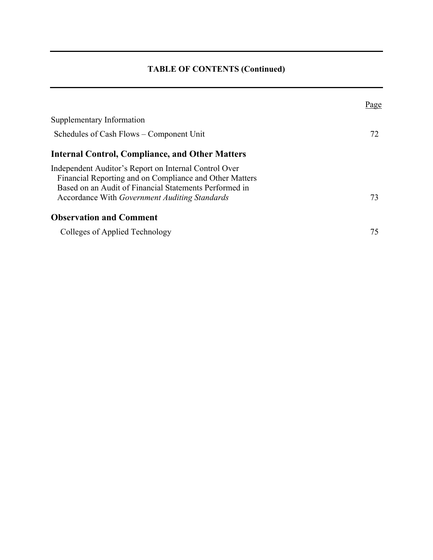## **TABLE OF CONTENTS (Continued)**

|                                                                                                                   | Page |
|-------------------------------------------------------------------------------------------------------------------|------|
| Supplementary Information                                                                                         |      |
| Schedules of Cash Flows – Component Unit                                                                          | 72   |
| Internal Control, Compliance, and Other Matters                                                                   |      |
| Independent Auditor's Report on Internal Control Over                                                             |      |
| Financial Reporting and on Compliance and Other Matters<br>Based on an Audit of Financial Statements Performed in |      |
| Accordance With <i>Government Auditing Standards</i>                                                              | 73   |
| <b>Observation and Comment</b>                                                                                    |      |
| Colleges of Applied Technology                                                                                    | 75   |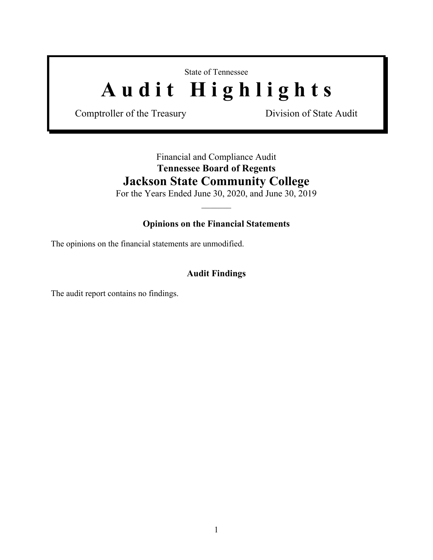State of Tennessee

# Audit Highlights

Comptroller of the Treasury Division of State Audit

## Financial and Compliance Audit **Tennessee Board of Regents Jackson State Community College**

For the Years Ended June 30, 2020, and June 30, 2019

## **Opinions on the Financial Statements**

The opinions on the financial statements are unmodified.

## **Audit Findings**

The audit report contains no findings.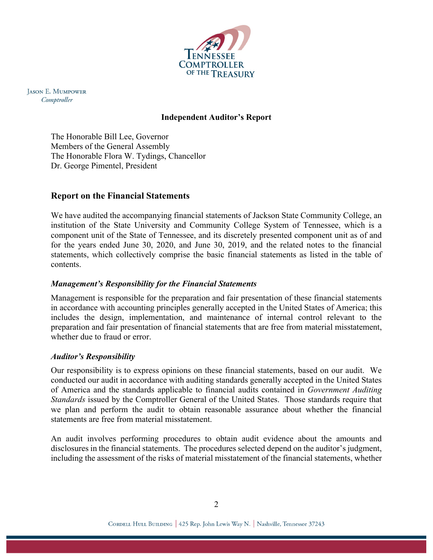

**JASON E. MUMPOWER** Comptroller

#### **Independent Auditor's Report**

The Honorable Bill Lee, Governor Members of the General Assembly The Honorable Flora W. Tydings, Chancellor Dr. George Pimentel, President

#### **Report on the Financial Statements**

We have audited the accompanying financial statements of Jackson State Community College, an institution of the State University and Community College System of Tennessee, which is a component unit of the State of Tennessee, and its discretely presented component unit as of and for the years ended June 30, 2020, and June 30, 2019, and the related notes to the financial statements, which collectively comprise the basic financial statements as listed in the table of contents.

#### *Management's Responsibility for the Financial Statements*

Management is responsible for the preparation and fair presentation of these financial statements in accordance with accounting principles generally accepted in the United States of America; this includes the design, implementation, and maintenance of internal control relevant to the preparation and fair presentation of financial statements that are free from material misstatement, whether due to fraud or error.

#### *Auditor's Responsibility*

Our responsibility is to express opinions on these financial statements, based on our audit. We conducted our audit in accordance with auditing standards generally accepted in the United States of America and the standards applicable to financial audits contained in *Government Auditing Standards* issued by the Comptroller General of the United States. Those standards require that we plan and perform the audit to obtain reasonable assurance about whether the financial statements are free from material misstatement.

An audit involves performing procedures to obtain audit evidence about the amounts and disclosures in the financial statements. The procedures selected depend on the auditor's judgment, including the assessment of the risks of material misstatement of the financial statements, whether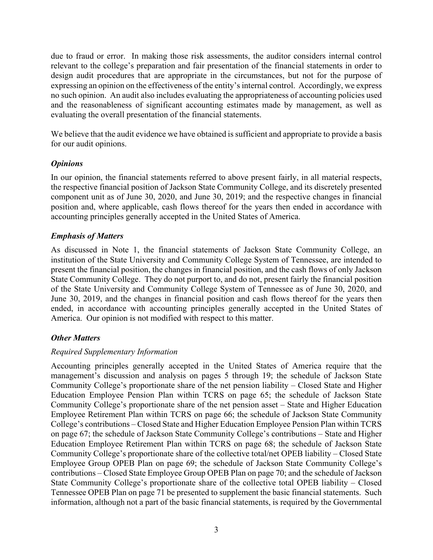due to fraud or error. In making those risk assessments, the auditor considers internal control relevant to the college's preparation and fair presentation of the financial statements in order to design audit procedures that are appropriate in the circumstances, but not for the purpose of expressing an opinion on the effectiveness of the entity's internal control. Accordingly, we express no such opinion. An audit also includes evaluating the appropriateness of accounting policies used and the reasonableness of significant accounting estimates made by management, as well as evaluating the overall presentation of the financial statements.

We believe that the audit evidence we have obtained is sufficient and appropriate to provide a basis for our audit opinions.

#### *Opinions*

In our opinion, the financial statements referred to above present fairly, in all material respects, the respective financial position of Jackson State Community College, and its discretely presented component unit as of June 30, 2020, and June 30, 2019; and the respective changes in financial position and, where applicable, cash flows thereof for the years then ended in accordance with accounting principles generally accepted in the United States of America.

#### *Emphasis of Matters*

As discussed in Note 1, the financial statements of Jackson State Community College, an institution of the State University and Community College System of Tennessee, are intended to present the financial position, the changes in financial position, and the cash flows of only Jackson State Community College. They do not purport to, and do not, present fairly the financial position of the State University and Community College System of Tennessee as of June 30, 2020, and June 30, 2019, and the changes in financial position and cash flows thereof for the years then ended, in accordance with accounting principles generally accepted in the United States of America. Our opinion is not modified with respect to this matter.

#### *Other Matters*

#### *Required Supplementary Information*

Accounting principles generally accepted in the United States of America require that the management's discussion and analysis on pages 5 through 19; the schedule of Jackson State Community College's proportionate share of the net pension liability – Closed State and Higher Education Employee Pension Plan within TCRS on page 65; the schedule of Jackson State Community College's proportionate share of the net pension asset – State and Higher Education Employee Retirement Plan within TCRS on page 66; the schedule of Jackson State Community College's contributions – Closed State and Higher Education Employee Pension Plan within TCRS on page 67; the schedule of Jackson State Community College's contributions – State and Higher Education Employee Retirement Plan within TCRS on page 68; the schedule of Jackson State Community College's proportionate share of the collective total/net OPEB liability – Closed State Employee Group OPEB Plan on page 69; the schedule of Jackson State Community College's contributions – Closed State Employee Group OPEB Plan on page 70; and the schedule of Jackson State Community College's proportionate share of the collective total OPEB liability – Closed Tennessee OPEB Plan on page 71 be presented to supplement the basic financial statements. Such information, although not a part of the basic financial statements, is required by the Governmental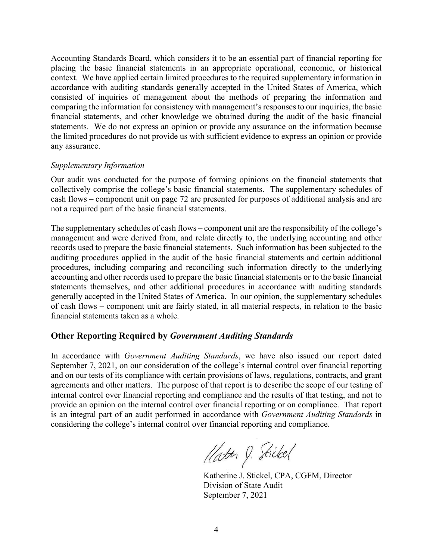Accounting Standards Board, which considers it to be an essential part of financial reporting for placing the basic financial statements in an appropriate operational, economic, or historical context. We have applied certain limited procedures to the required supplementary information in accordance with auditing standards generally accepted in the United States of America, which consisted of inquiries of management about the methods of preparing the information and comparing the information for consistency with management's responses to our inquiries, the basic financial statements, and other knowledge we obtained during the audit of the basic financial statements. We do not express an opinion or provide any assurance on the information because the limited procedures do not provide us with sufficient evidence to express an opinion or provide any assurance.

#### *Supplementary Information*

Our audit was conducted for the purpose of forming opinions on the financial statements that collectively comprise the college's basic financial statements. The supplementary schedules of cash flows – component unit on page 72 are presented for purposes of additional analysis and are not a required part of the basic financial statements.

The supplementary schedules of cash flows – component unit are the responsibility of the college's management and were derived from, and relate directly to, the underlying accounting and other records used to prepare the basic financial statements. Such information has been subjected to the auditing procedures applied in the audit of the basic financial statements and certain additional procedures, including comparing and reconciling such information directly to the underlying accounting and other records used to prepare the basic financial statements or to the basic financial statements themselves, and other additional procedures in accordance with auditing standards generally accepted in the United States of America. In our opinion, the supplementary schedules of cash flows – component unit are fairly stated, in all material respects, in relation to the basic financial statements taken as a whole.

#### **Other Reporting Required by** *Government Auditing Standards*

In accordance with *Government Auditing Standards*, we have also issued our report dated September 7, 2021, on our consideration of the college's internal control over financial reporting and on our tests of its compliance with certain provisions of laws, regulations, contracts, and grant agreements and other matters. The purpose of that report is to describe the scope of our testing of internal control over financial reporting and compliance and the results of that testing, and not to provide an opinion on the internal control over financial reporting or on compliance. That report is an integral part of an audit performed in accordance with *Government Auditing Standards* in considering the college's internal control over financial reporting and compliance.

Hatter J. Stickel

 Katherine J. Stickel, CPA, CGFM, Director Division of State Audit September 7, 2021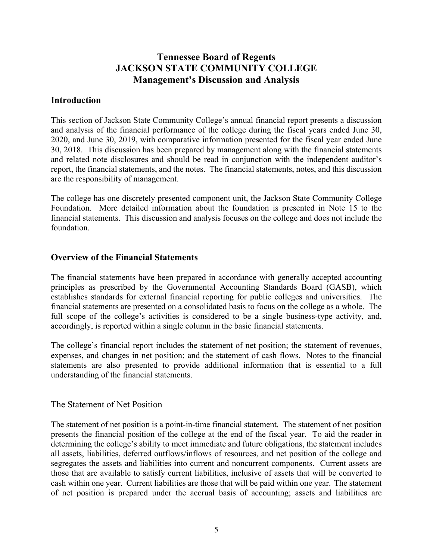## **Tennessee Board of Regents JACKSON STATE COMMUNITY COLLEGE Management's Discussion and Analysis**

#### **Introduction**

This section of Jackson State Community College's annual financial report presents a discussion and analysis of the financial performance of the college during the fiscal years ended June 30, 2020, and June 30, 2019, with comparative information presented for the fiscal year ended June 30, 2018. This discussion has been prepared by management along with the financial statements and related note disclosures and should be read in conjunction with the independent auditor's report, the financial statements, and the notes. The financial statements, notes, and this discussion are the responsibility of management.

The college has one discretely presented component unit, the Jackson State Community College Foundation. More detailed information about the foundation is presented in Note 15 to the financial statements. This discussion and analysis focuses on the college and does not include the foundation.

#### **Overview of the Financial Statements**

The financial statements have been prepared in accordance with generally accepted accounting principles as prescribed by the Governmental Accounting Standards Board (GASB), which establishes standards for external financial reporting for public colleges and universities. The financial statements are presented on a consolidated basis to focus on the college as a whole. The full scope of the college's activities is considered to be a single business-type activity, and, accordingly, is reported within a single column in the basic financial statements.

The college's financial report includes the statement of net position; the statement of revenues, expenses, and changes in net position; and the statement of cash flows. Notes to the financial statements are also presented to provide additional information that is essential to a full understanding of the financial statements.

#### The Statement of Net Position

The statement of net position is a point-in-time financial statement. The statement of net position presents the financial position of the college at the end of the fiscal year. To aid the reader in determining the college's ability to meet immediate and future obligations, the statement includes all assets, liabilities, deferred outflows/inflows of resources, and net position of the college and segregates the assets and liabilities into current and noncurrent components. Current assets are those that are available to satisfy current liabilities, inclusive of assets that will be converted to cash within one year. Current liabilities are those that will be paid within one year. The statement of net position is prepared under the accrual basis of accounting; assets and liabilities are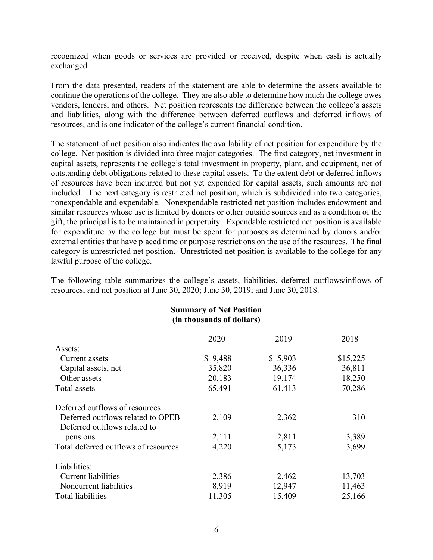recognized when goods or services are provided or received, despite when cash is actually exchanged.

From the data presented, readers of the statement are able to determine the assets available to continue the operations of the college. They are also able to determine how much the college owes vendors, lenders, and others. Net position represents the difference between the college's assets and liabilities, along with the difference between deferred outflows and deferred inflows of resources, and is one indicator of the college's current financial condition.

The statement of net position also indicates the availability of net position for expenditure by the college. Net position is divided into three major categories. The first category, net investment in capital assets, represents the college's total investment in property, plant, and equipment, net of outstanding debt obligations related to these capital assets. To the extent debt or deferred inflows of resources have been incurred but not yet expended for capital assets, such amounts are not included. The next category is restricted net position, which is subdivided into two categories, nonexpendable and expendable. Nonexpendable restricted net position includes endowment and similar resources whose use is limited by donors or other outside sources and as a condition of the gift, the principal is to be maintained in perpetuity. Expendable restricted net position is available for expenditure by the college but must be spent for purposes as determined by donors and/or external entities that have placed time or purpose restrictions on the use of the resources. The final category is unrestricted net position. Unrestricted net position is available to the college for any lawful purpose of the college.

The following table summarizes the college's assets, liabilities, deferred outflows/inflows of resources, and net position at June 30, 2020; June 30, 2019; and June 30, 2018.

|                                      | 2020    | 2019    | 2018     |
|--------------------------------------|---------|---------|----------|
| Assets:                              |         |         |          |
| Current assets                       | \$9,488 | \$5,903 | \$15,225 |
| Capital assets, net                  | 35,820  | 36,336  | 36,811   |
| Other assets                         | 20,183  | 19,174  | 18,250   |
| Total assets                         | 65,491  | 61,413  | 70,286   |
|                                      |         |         |          |
| Deferred outflows of resources       |         |         |          |
| Deferred outflows related to OPEB    | 2,109   | 2,362   | 310      |
| Deferred outflows related to         |         |         |          |
| pensions                             | 2,111   | 2,811   | 3,389    |
| Total deferred outflows of resources | 4,220   | 5,173   | 3,699    |
|                                      |         |         |          |
| Liabilities:                         |         |         |          |
| Current liabilities                  | 2,386   | 2,462   | 13,703   |
| Noncurrent liabilities               | 8,919   | 12,947  | 11,463   |
| <b>Total liabilities</b>             | 11,305  | 15,409  | 25,166   |

#### **Summary of Net Position (in thousands of dollars)**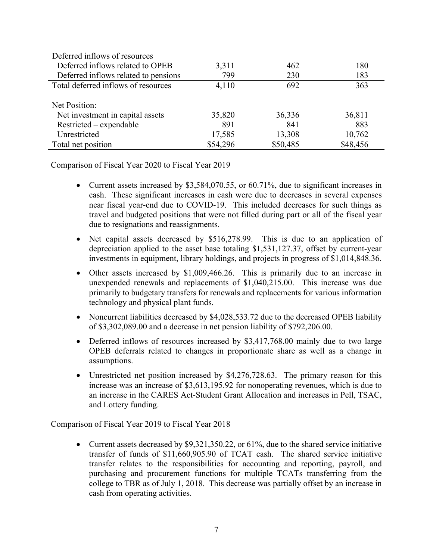| Deferred inflows of resources        |          |          |          |
|--------------------------------------|----------|----------|----------|
| Deferred inflows related to OPEB     | 3,311    | 462      | 180      |
| Deferred inflows related to pensions | 799      | 230      | 183      |
| Total deferred inflows of resources  | 4,110    | 692      | 363      |
| Net Position:                        |          |          |          |
| Net investment in capital assets     | 35,820   | 36,336   | 36,811   |
| Restricted – expendable              | 891      | 841      | 883      |
| Unrestricted                         | 17,585   | 13,308   | 10,762   |
| Total net position                   | \$54,296 | \$50,485 | \$48,456 |

#### Comparison of Fiscal Year 2020 to Fiscal Year 2019

- Current assets increased by \$3,584,070.55, or 60.71%, due to significant increases in cash. These significant increases in cash were due to decreases in several expenses near fiscal year-end due to COVID-19. This included decreases for such things as travel and budgeted positions that were not filled during part or all of the fiscal year due to resignations and reassignments.
- Net capital assets decreased by \$516,278.99. This is due to an application of depreciation applied to the asset base totaling \$1,531,127.37, offset by current-year investments in equipment, library holdings, and projects in progress of \$1,014,848.36.
- Other assets increased by \$1,009,466.26. This is primarily due to an increase in unexpended renewals and replacements of \$1,040,215.00. This increase was due primarily to budgetary transfers for renewals and replacements for various information technology and physical plant funds.
- Noncurrent liabilities decreased by \$4,028,533.72 due to the decreased OPEB liability of \$3,302,089.00 and a decrease in net pension liability of \$792,206.00.
- Deferred inflows of resources increased by \$3,417,768.00 mainly due to two large OPEB deferrals related to changes in proportionate share as well as a change in assumptions.
- Unrestricted net position increased by \$4,276,728.63. The primary reason for this increase was an increase of \$3,613,195.92 for nonoperating revenues, which is due to an increase in the CARES Act-Student Grant Allocation and increases in Pell, TSAC, and Lottery funding.

#### Comparison of Fiscal Year 2019 to Fiscal Year 2018

• Current assets decreased by  $$9,321,350.22$ , or 61%, due to the shared service initiative transfer of funds of \$11,660,905.90 of TCAT cash. The shared service initiative transfer relates to the responsibilities for accounting and reporting, payroll, and purchasing and procurement functions for multiple TCATs transferring from the college to TBR as of July 1, 2018. This decrease was partially offset by an increase in cash from operating activities.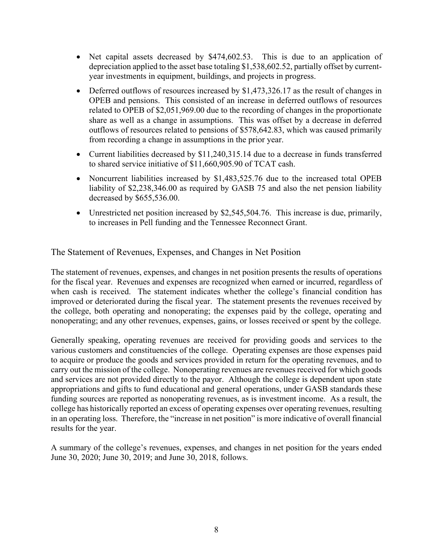- Net capital assets decreased by \$474,602.53. This is due to an application of depreciation applied to the asset base totaling \$1,538,602.52, partially offset by currentyear investments in equipment, buildings, and projects in progress.
- Deferred outflows of resources increased by \$1,473,326.17 as the result of changes in OPEB and pensions. This consisted of an increase in deferred outflows of resources related to OPEB of \$2,051,969.00 due to the recording of changes in the proportionate share as well as a change in assumptions. This was offset by a decrease in deferred outflows of resources related to pensions of \$578,642.83, which was caused primarily from recording a change in assumptions in the prior year.
- Current liabilities decreased by \$11,240,315.14 due to a decrease in funds transferred to shared service initiative of \$11,660,905.90 of TCAT cash.
- Noncurrent liabilities increased by \$1,483,525.76 due to the increased total OPEB liability of \$2,238,346.00 as required by GASB 75 and also the net pension liability decreased by \$655,536.00.
- Unrestricted net position increased by \$2,545,504.76. This increase is due, primarily, to increases in Pell funding and the Tennessee Reconnect Grant.

#### The Statement of Revenues, Expenses, and Changes in Net Position

The statement of revenues, expenses, and changes in net position presents the results of operations for the fiscal year. Revenues and expenses are recognized when earned or incurred, regardless of when cash is received. The statement indicates whether the college's financial condition has improved or deteriorated during the fiscal year. The statement presents the revenues received by the college, both operating and nonoperating; the expenses paid by the college, operating and nonoperating; and any other revenues, expenses, gains, or losses received or spent by the college.

Generally speaking, operating revenues are received for providing goods and services to the various customers and constituencies of the college. Operating expenses are those expenses paid to acquire or produce the goods and services provided in return for the operating revenues, and to carry out the mission of the college. Nonoperating revenues are revenues received for which goods and services are not provided directly to the payor.Although the college is dependent upon state appropriations and gifts to fund educational and general operations, under GASB standards these funding sources are reported as nonoperating revenues, as is investment income. As a result, the college has historically reported an excess of operating expenses over operating revenues, resulting in an operating loss. Therefore, the "increase in net position" is more indicative of overall financial results for the year.

A summary of the college's revenues, expenses, and changes in net position for the years ended June 30, 2020; June 30, 2019; and June 30, 2018, follows.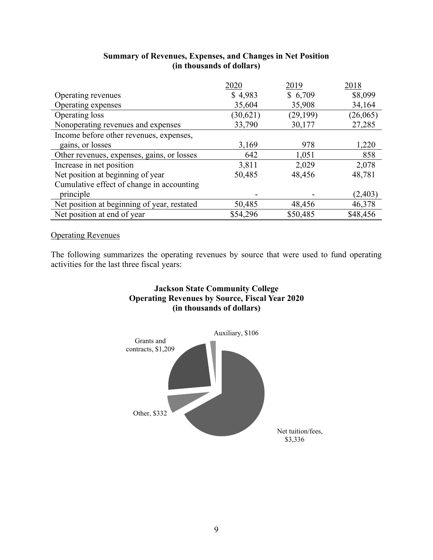|                                             | 2020     | 2019      | 2018     |
|---------------------------------------------|----------|-----------|----------|
| Operating revenues                          | \$4,983  | \$6,709   | \$8,099  |
| Operating expenses                          | 35,604   | 35,908    | 34,164   |
| Operating loss                              | (30,621) | (29, 199) | (26,065) |
| Nonoperating revenues and expenses          | 33,790   | 30,177    | 27,285   |
| Income before other revenues, expenses,     |          |           |          |
| gains, or losses                            | 3,169    | 978       | 1,220    |
| Other revenues, expenses, gains, or losses  | 642      | 1,051     | 858      |
| Increase in net position                    | 3,811    | 2,029     | 2,078    |
| Net position at beginning of year           | 50,485   | 48,456    | 48,781   |
| Cumulative effect of change in accounting   |          |           |          |
| principle                                   |          |           | (2,403)  |
| Net position at beginning of year, restated | 50,485   | 48,456    | 46,378   |
| Net position at end of year                 | \$54,296 | \$50,485  | \$48,456 |

#### **Summary of Revenues, Expenses, and Changes in Net Position (in thousands of dollars)**

#### Operating Revenues

The following summarizes the operating revenues by source that were used to fund operating activities for the last three fiscal years:

#### **Jackson State Community College Operating Revenues by Source, Fiscal Year 2020 (in thousands of dollars)**

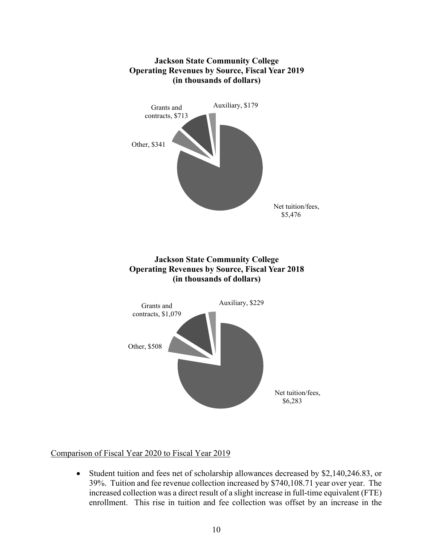# Net tuition/fees, \$5,476 Other, \$341 Grants and contracts, \$713 Auxiliary, \$179 **Jackson State Community College Operating Revenues by Source, Fiscal Year 2019 (in thousands of dollars)** Net tuition/fees, \$6,283 Other, \$508 Grants and contracts, \$1,079 Auxiliary, \$229 **Jackson State Community College Operating Revenues by Source, Fiscal Year 2018 (in thousands of dollars)**

#### Comparison of Fiscal Year 2020 to Fiscal Year 2019

 Student tuition and fees net of scholarship allowances decreased by \$2,140,246.83, or 39%. Tuition and fee revenue collection increased by \$740,108.71 year over year. The increased collection was a direct result of a slight increase in full-time equivalent (FTE) enrollment. This rise in tuition and fee collection was offset by an increase in the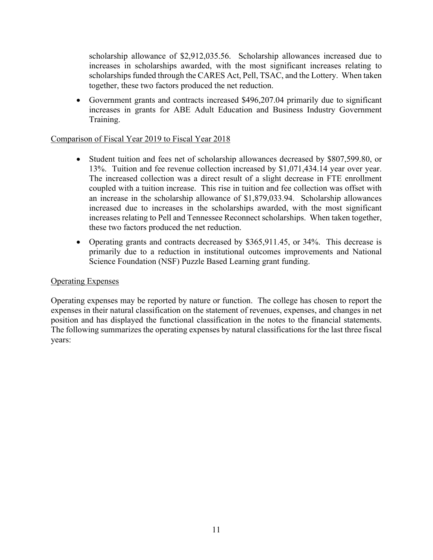scholarship allowance of \$2,912,035.56. Scholarship allowances increased due to increases in scholarships awarded, with the most significant increases relating to scholarships funded through the CARES Act, Pell, TSAC, and the Lottery. When taken together, these two factors produced the net reduction.

 Government grants and contracts increased \$496,207.04 primarily due to significant increases in grants for ABE Adult Education and Business Industry Government Training.

#### Comparison of Fiscal Year 2019 to Fiscal Year 2018

- Student tuition and fees net of scholarship allowances decreased by \$807,599.80, or 13%. Tuition and fee revenue collection increased by \$1,071,434.14 year over year. The increased collection was a direct result of a slight decrease in FTE enrollment coupled with a tuition increase. This rise in tuition and fee collection was offset with an increase in the scholarship allowance of \$1,879,033.94. Scholarship allowances increased due to increases in the scholarships awarded, with the most significant increases relating to Pell and Tennessee Reconnect scholarships. When taken together, these two factors produced the net reduction.
- Operating grants and contracts decreased by \$365,911.45, or 34%. This decrease is primarily due to a reduction in institutional outcomes improvements and National Science Foundation (NSF) Puzzle Based Learning grant funding.

#### Operating Expenses

Operating expenses may be reported by nature or function. The college has chosen to report the expenses in their natural classification on the statement of revenues, expenses, and changes in net position and has displayed the functional classification in the notes to the financial statements. The following summarizes the operating expenses by natural classifications for the last three fiscal years: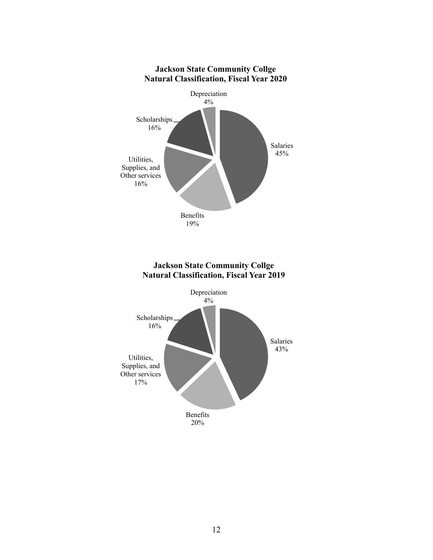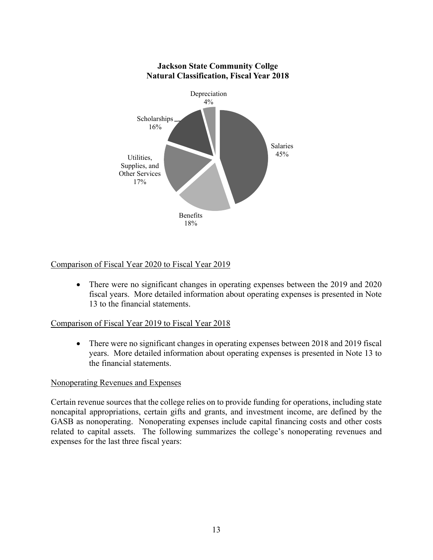

#### Comparison of Fiscal Year 2020 to Fiscal Year 2019

• There were no significant changes in operating expenses between the 2019 and 2020 fiscal years. More detailed information about operating expenses is presented in Note 13 to the financial statements.

#### Comparison of Fiscal Year 2019 to Fiscal Year 2018

• There were no significant changes in operating expenses between 2018 and 2019 fiscal years. More detailed information about operating expenses is presented in Note 13 to the financial statements.

#### Nonoperating Revenues and Expenses

Certain revenue sources that the college relies on to provide funding for operations, including state noncapital appropriations, certain gifts and grants, and investment income, are defined by the GASB as nonoperating. Nonoperating expenses include capital financing costs and other costs related to capital assets. The following summarizes the college's nonoperating revenues and expenses for the last three fiscal years: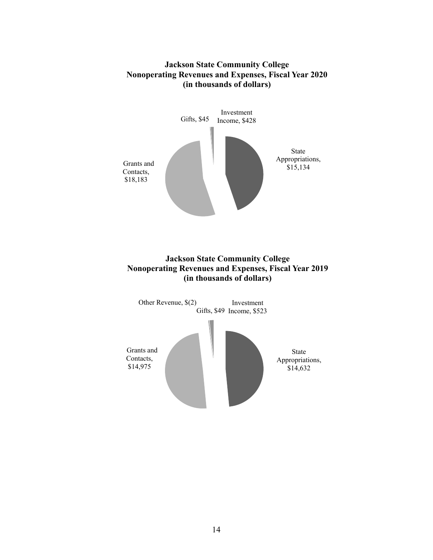#### **Jackson State Community College Nonoperating Revenues and Expenses, Fiscal Year 2020 (in thousands of dollars)**



#### **Jackson State Community College Nonoperating Revenues and Expenses, Fiscal Year 2019 (in thousands of dollars)**

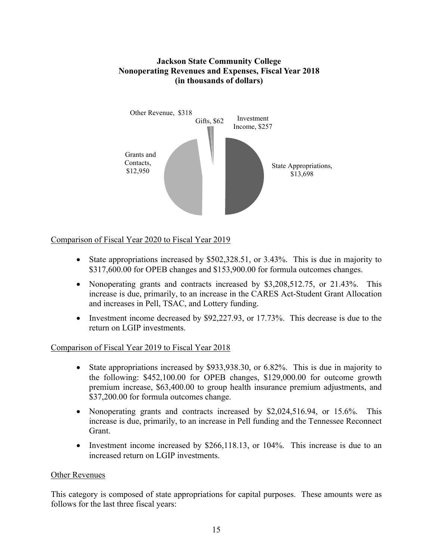#### **Jackson State Community College Nonoperating Revenues and Expenses, Fiscal Year 2018 (in thousands of dollars)**



#### Comparison of Fiscal Year 2020 to Fiscal Year 2019

- State appropriations increased by \$502,328.51, or 3.43%. This is due in majority to \$317,600.00 for OPEB changes and \$153,900.00 for formula outcomes changes.
- Nonoperating grants and contracts increased by \$3,208,512.75, or 21.43%. This increase is due, primarily, to an increase in the CARES Act-Student Grant Allocation and increases in Pell, TSAC, and Lottery funding.
- Investment income decreased by \$92,227.93, or 17.73%. This decrease is due to the return on LGIP investments.

#### Comparison of Fiscal Year 2019 to Fiscal Year 2018

- State appropriations increased by \$933,938.30, or  $6.82\%$ . This is due in majority to the following: \$452,100.00 for OPEB changes, \$129,000.00 for outcome growth premium increase, \$63,400.00 to group health insurance premium adjustments, and \$37,200.00 for formula outcomes change.
- Nonoperating grants and contracts increased by \$2,024,516.94, or 15.6%. This increase is due, primarily, to an increase in Pell funding and the Tennessee Reconnect Grant.
- Investment income increased by \$266,118.13, or 104%. This increase is due to an increased return on LGIP investments.

#### Other Revenues

This category is composed of state appropriations for capital purposes. These amounts were as follows for the last three fiscal years: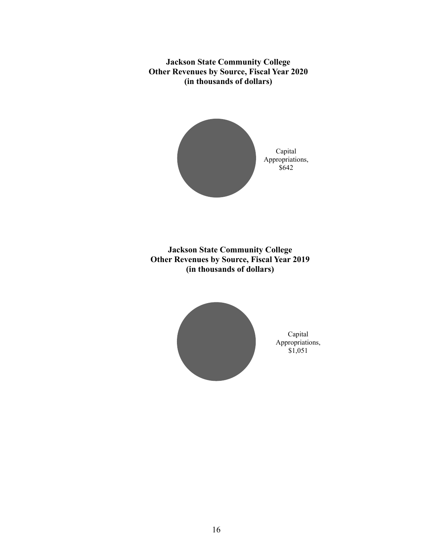**Jackson State Community College Other Revenues by Source, Fiscal Year 2020 (in thousands of dollars)**



**Jackson State Community College Other Revenues by Source, Fiscal Year 2019 (in thousands of dollars)**



Capital Appropriations, \$1,051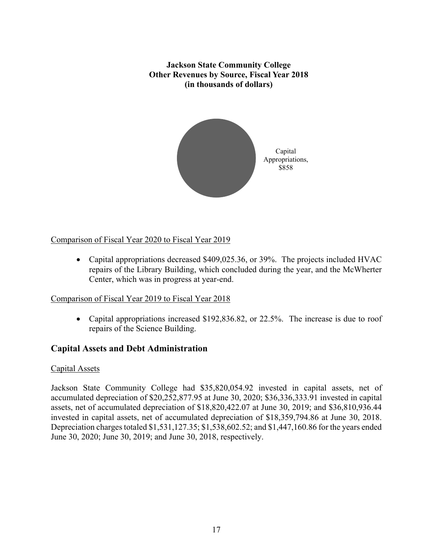**Jackson State Community College Other Revenues by Source, Fiscal Year 2018 (in thousands of dollars)**



#### Comparison of Fiscal Year 2020 to Fiscal Year 2019

 Capital appropriations decreased \$409,025.36, or 39%. The projects included HVAC repairs of the Library Building, which concluded during the year, and the McWherter Center, which was in progress at year-end.

#### Comparison of Fiscal Year 2019 to Fiscal Year 2018

• Capital appropriations increased \$192,836.82, or 22.5%. The increase is due to roof repairs of the Science Building.

#### **Capital Assets and Debt Administration**

#### Capital Assets

Jackson State Community College had \$35,820,054.92 invested in capital assets, net of accumulated depreciation of \$20,252,877.95 at June 30, 2020; \$36,336,333.91 invested in capital assets, net of accumulated depreciation of \$18,820,422.07 at June 30, 2019; and \$36,810,936.44 invested in capital assets, net of accumulated depreciation of \$18,359,794.86 at June 30, 2018. Depreciation charges totaled \$1,531,127.35; \$1,538,602.52; and \$1,447,160.86 for the years ended June 30, 2020; June 30, 2019; and June 30, 2018, respectively.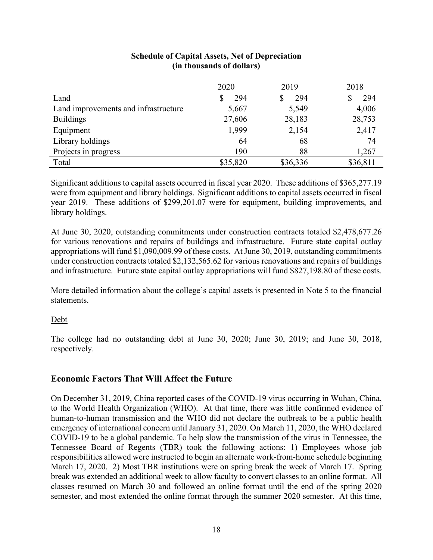|                                      | 2020     | 2019     | 2018     |
|--------------------------------------|----------|----------|----------|
| Land                                 | 294<br>S | 294      | 294      |
| Land improvements and infrastructure | 5,667    | 5,549    | 4,006    |
| <b>Buildings</b>                     | 27,606   | 28,183   | 28,753   |
| Equipment                            | 1,999    | 2,154    | 2,417    |
| Library holdings                     | 64       | 68       | 74       |
| Projects in progress                 | 190      | 88       | 1,267    |
| Total                                | \$35,820 | \$36,336 | \$36,811 |

#### **Schedule of Capital Assets, Net of Depreciation (in thousands of dollars)**

Significant additions to capital assets occurred in fiscal year 2020. These additions of \$365,277.19 were from equipment and library holdings. Significant additions to capital assets occurred in fiscal year 2019. These additions of \$299,201.07 were for equipment, building improvements, and library holdings.

At June 30, 2020, outstanding commitments under construction contracts totaled \$2,478,677.26 for various renovations and repairs of buildings and infrastructure. Future state capital outlay appropriations will fund \$1,090,009.99 of these costs. At June 30, 2019, outstanding commitments under construction contracts totaled \$2,132,565.62 for various renovations and repairs of buildings and infrastructure. Future state capital outlay appropriations will fund \$827,198.80 of these costs.

More detailed information about the college's capital assets is presented in Note 5 to the financial statements.

#### Debt

The college had no outstanding debt at June 30, 2020; June 30, 2019; and June 30, 2018, respectively.

#### **Economic Factors That Will Affect the Future**

On December 31, 2019, China reported cases of the COVID-19 virus occurring in Wuhan, China, to the World Health Organization (WHO). At that time, there was little confirmed evidence of human-to-human transmission and the WHO did not declare the outbreak to be a public health emergency of international concern until January 31, 2020. On March 11, 2020, the WHO declared COVID-19 to be a global pandemic. To help slow the transmission of the virus in Tennessee, the Tennessee Board of Regents (TBR) took the following actions: 1) Employees whose job responsibilities allowed were instructed to begin an alternate work-from-home schedule beginning March 17, 2020. 2) Most TBR institutions were on spring break the week of March 17. Spring break was extended an additional week to allow faculty to convert classes to an online format. All classes resumed on March 30 and followed an online format until the end of the spring 2020 semester, and most extended the online format through the summer 2020 semester. At this time,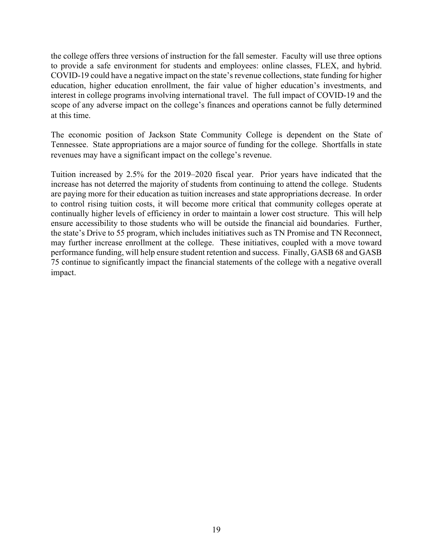the college offers three versions of instruction for the fall semester. Faculty will use three options to provide a safe environment for students and employees: online classes, FLEX, and hybrid. COVID-19 could have a negative impact on the state's revenue collections, state funding for higher education, higher education enrollment, the fair value of higher education's investments, and interest in college programs involving international travel. The full impact of COVID-19 and the scope of any adverse impact on the college's finances and operations cannot be fully determined at this time.

The economic position of Jackson State Community College is dependent on the State of Tennessee. State appropriations are a major source of funding for the college. Shortfalls in state revenues may have a significant impact on the college's revenue.

Tuition increased by 2.5% for the 2019–2020 fiscal year. Prior years have indicated that the increase has not deterred the majority of students from continuing to attend the college. Students are paying more for their education as tuition increases and state appropriations decrease. In order to control rising tuition costs, it will become more critical that community colleges operate at continually higher levels of efficiency in order to maintain a lower cost structure. This will help ensure accessibility to those students who will be outside the financial aid boundaries. Further, the state's Drive to 55 program, which includes initiatives such as TN Promise and TN Reconnect, may further increase enrollment at the college. These initiatives, coupled with a move toward performance funding, will help ensure student retention and success. Finally, GASB 68 and GASB 75 continue to significantly impact the financial statements of the college with a negative overall impact.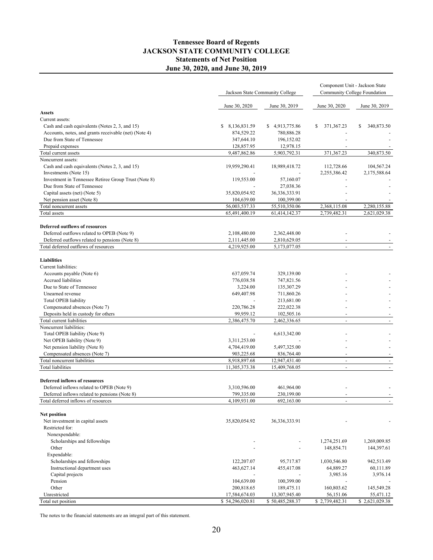#### **Tennessee Board of Regents JACKSON STATE COMMUNITY COLLEGE Statements of Net Position June 30, 2020, and June 30, 2019**

|                                                       | Jackson State Community College |                           |                          |                          |
|-------------------------------------------------------|---------------------------------|---------------------------|--------------------------|--------------------------|
|                                                       | June 30, 2020                   | June 30, 2019             | June 30, 2020            | June 30, 2019            |
| <b>Assets</b>                                         |                                 |                           |                          |                          |
| Current assets:                                       |                                 |                           |                          |                          |
| Cash and cash equivalents (Notes 2, 3, and 15)        | \$<br>8,136,831.59              | 4,913,775.86<br>\$        | \$<br>371,367.23         | \$<br>340,873.50         |
| Accounts, notes, and grants receivable (net) (Note 4) | 874,529.22                      | 780,886.28                |                          |                          |
| Due from State of Tennessee                           | 347,644.10                      | 196,152.02                |                          |                          |
| Prepaid expenses                                      | 128,857.95<br>9,487,862.86      | 12,978.15<br>5,903,792.31 |                          |                          |
| Total current assets<br>Noncurrent assets:            |                                 |                           | 371,367.23               | 340,873.50               |
| Cash and cash equivalents (Notes 2, 3, and 15)        | 19,959,290.41                   | 18,989,418.72             | 112,728.66               | 104,567.24               |
| Investments (Note 15)                                 |                                 |                           | 2,255,386.42             | 2,175,588.64             |
| Investment in Tennessee Retiree Group Trust (Note 8)  | 119,553.00                      | 57,160.07                 |                          |                          |
| Due from State of Tennessee                           |                                 | 27,038.36                 |                          |                          |
| Capital assets (net) (Note 5)                         | 35,820,054.92                   | 36,336,333.91             |                          |                          |
| Net pension asset (Note 8)                            | 104,639.00                      | 100,399.00                |                          |                          |
| Total noncurrent assets                               | 56,003,537.33                   | 55,510,350.06             | 2,368,115.08             | 2,280,155.88             |
| Total assets                                          | 65,491,400.19                   | 61,414,142.37             | 2,739,482.31             | 2,621,029.38             |
|                                                       |                                 |                           |                          |                          |
| <b>Deferred outflows of resources</b>                 |                                 |                           |                          |                          |
| Deferred outflows related to OPEB (Note 9)            | 2,108,480.00                    | 2,362,448.00              |                          |                          |
| Deferred outflows related to pensions (Note 8)        | 2,111,445.00                    | 2,810,629.05              | $\overline{\phantom{a}}$ |                          |
| Total deferred outflows of resources                  | 4,219,925.00                    | 5,173,077.05              | $\blacksquare$           |                          |
|                                                       |                                 |                           |                          |                          |
| <b>Liabilities</b>                                    |                                 |                           |                          |                          |
| Current liabilities:                                  |                                 |                           |                          |                          |
| Accounts payable (Note 6)                             | 637,059.74                      | 329,139.00                |                          |                          |
| Accrued liabilities                                   | 776,038.58                      | 747,821.56                |                          |                          |
| Due to State of Tennessee                             | 3,224.00                        | 135,307.29                |                          |                          |
| Unearned revenue                                      | 649,407.98                      | 711,860.26                |                          |                          |
| Total OPEB liability                                  |                                 | 213,681.00                |                          |                          |
| Compensated absences (Note 7)                         | 220,786.28                      | 222,022.38                |                          |                          |
| Deposits held in custody for others                   | 99,959.12                       | 102,505.16                |                          |                          |
| Total current liabilities<br>Noncurrent liabilities:  | 2,386,475.70                    | 2,462,336.65              | $\sim$                   | $\overline{\phantom{a}}$ |
| Total OPEB liability (Note 9)                         |                                 |                           |                          |                          |
| Net OPEB liability (Note 9)                           | 3,311,253.00                    | 6,613,342.00              |                          |                          |
| Net pension liability (Note 8)                        | 4,704,419.00                    | 5,497,325.00              |                          |                          |
| Compensated absences (Note 7)                         | 903,225.68                      | 836,764.40                |                          |                          |
| Total noncurrent liabilities                          | 8,918,897.68                    | 12,947,431.40             | $\overline{\phantom{a}}$ |                          |
| <b>Total liabilities</b>                              | 11,305,373.38                   | 15,409,768.05             | $\blacksquare$           | $\overline{\phantom{a}}$ |
|                                                       |                                 |                           |                          |                          |
| <b>Deferred inflows of resources</b>                  |                                 |                           |                          |                          |
| Deferred inflows related to OPEB (Note 9)             | 3,310,596.00                    | 461,964.00                |                          |                          |
| Deferred inflows related to pensions (Note 8)         | 799,335.00                      | 230,199.00                |                          |                          |
| Total deferred inflows of resources                   | 4,109,931.00                    | 692,163.00                | $\overline{\phantom{a}}$ |                          |
|                                                       |                                 |                           |                          |                          |
| <b>Net position</b>                                   |                                 |                           |                          |                          |
| Net investment in capital assets                      | 35,820,054.92                   | 36, 336, 333. 91          |                          |                          |
| Restricted for:                                       |                                 |                           |                          |                          |
| Nonexpendable:                                        |                                 |                           |                          |                          |
| Scholarships and fellowships                          |                                 |                           | 1,274,251.69             | 1,269,009.85             |
| Other                                                 |                                 |                           | 148,854.71               | 144,397.61               |
| Expendable:                                           |                                 |                           |                          |                          |
| Scholarships and fellowships                          | 122,207.07                      | 95,717.87                 | 1,030,546.80             | 942,513.49               |
| Instructional department uses                         | 463,627.14                      | 455,417.08                | 64,889.27                | 60,111.89                |
| Capital projects                                      |                                 |                           | 3,985.16                 | 3,976.14                 |
| Pension                                               | 104,639.00                      | 100,399.00                |                          |                          |
| Other                                                 | 200,818.65                      | 189,475.11                | 160,803.62               | 145,549.28               |
| Unrestricted                                          | 17,584,674.03                   | 13,307,945.40             | 56,151.06                | 55,471.12                |
| Total net position                                    | \$54,296,020.81                 | \$50,485,288.37           | \$2,739,482.31           | \$2,621,029.38           |

The notes to the financial statements are an integral part of this statement.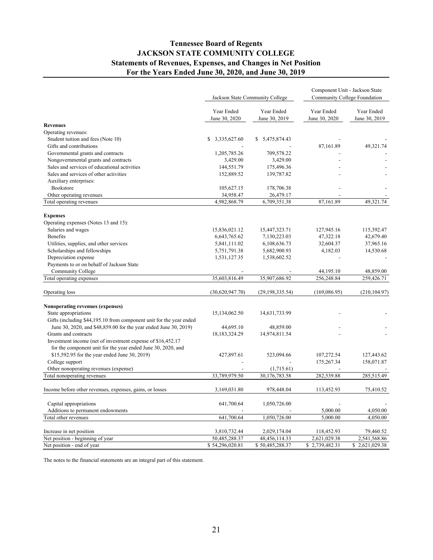#### **Tennessee Board of Regents JACKSON STATE COMMUNITY COLLEGE Statements of Revenues, Expenses, and Changes in Net Position For the Years Ended June 30, 2020, and June 30, 2019**

|                                                                     | Jackson State Community College |                   | Component Unit - Jackson State<br>Community College Foundation |                |  |  |
|---------------------------------------------------------------------|---------------------------------|-------------------|----------------------------------------------------------------|----------------|--|--|
|                                                                     | Year Ended                      | Year Ended        | Year Ended                                                     | Year Ended     |  |  |
| <b>Revenues</b>                                                     | June 30, 2020                   | June 30, 2019     | June 30, 2020                                                  | June 30, 2019  |  |  |
| Operating revenues:                                                 |                                 |                   |                                                                |                |  |  |
| Student tuition and fees (Note 10)                                  | \$<br>3,335,627.60              | \$5,475,874.43    |                                                                |                |  |  |
| Gifts and contributions                                             |                                 |                   | 87,161.89                                                      | 49,321.74      |  |  |
| Governmental grants and contracts                                   |                                 | 709,578.22        |                                                                |                |  |  |
| Nongovernmental grants and contracts                                | 1,205,785.26<br>3,429.00        | 3,429.00          |                                                                |                |  |  |
| Sales and services of educational activities                        | 144,551.79                      | 175,496.36        |                                                                |                |  |  |
| Sales and services of other activities                              | 152,889.52                      | 139,787.82        |                                                                |                |  |  |
| Auxiliary enterprises:                                              |                                 |                   |                                                                |                |  |  |
| Bookstore                                                           | 105,627.15                      | 178,706.38        |                                                                |                |  |  |
| Other operating revenues                                            | 34,958.47                       | 26,479.17         |                                                                |                |  |  |
| Total operating revenues                                            | 4,982,868.79                    | 6,709,351.38      | 87,161.89                                                      | 49,321.74      |  |  |
|                                                                     |                                 |                   |                                                                |                |  |  |
| <b>Expenses</b>                                                     |                                 |                   |                                                                |                |  |  |
| Operating expenses (Notes 13 and 15):                               |                                 |                   |                                                                |                |  |  |
| Salaries and wages                                                  | 15,836,021.12                   | 15,447,323.71     | 127,945.16                                                     | 115,392.47     |  |  |
| Benefits                                                            | 6,643,765.62                    | 7,130,223.03      | 47,322.18                                                      | 42,679.40      |  |  |
| Utilities, supplies, and other services                             | 5,841,111.02                    | 6,108,636.73      | 32,604.37                                                      | 37,965.16      |  |  |
| Scholarships and fellowships                                        | 5,751,791.38                    | 5,682,900.93      | 4,182.03                                                       | 14,530.68      |  |  |
| Depreciation expense                                                | 1,531,127.35                    | 1,538,602.52      |                                                                |                |  |  |
| Payments to or on behalf of Jackson State                           |                                 |                   |                                                                |                |  |  |
| <b>Community College</b>                                            |                                 |                   | 44,195.10                                                      | 48,859.00      |  |  |
| Total operating expenses                                            | 35,603,816.49                   | 35,907,686.92     | 256,248.84                                                     | 259,426.71     |  |  |
|                                                                     |                                 |                   |                                                                |                |  |  |
| Operating loss                                                      | (30,620,947.70)                 | (29, 198, 335.54) | (169,086.95)                                                   | (210, 104.97)  |  |  |
| Nonoperating revenues (expenses)                                    |                                 |                   |                                                                |                |  |  |
| State appropriations                                                | 15, 134, 062.50                 | 14,631,733.99     |                                                                |                |  |  |
| Gifts (including \$44,195.10 from component unit for the year ended |                                 |                   |                                                                |                |  |  |
| June 30, 2020, and \$48,859.00 for the year ended June 30, 2019)    | 44,695.10                       | 48,859.00         |                                                                |                |  |  |
| Grants and contracts                                                | 18,183,324.29                   | 14,974,811.54     |                                                                |                |  |  |
| Investment income (net of investment expense of \$16,452.17)        |                                 |                   |                                                                |                |  |  |
| for the component unit for the year ended June 30, 2020, and        |                                 |                   |                                                                |                |  |  |
| \$15,592.95 for the year ended June 30, 2019)                       | 427,897.61                      | 523,094.66        | 107,272.54                                                     | 127,443.62     |  |  |
| College support                                                     |                                 |                   | 175,267.34                                                     | 158,071.87     |  |  |
| Other nonoperating revenues (expense)                               |                                 | (1,715.61)        |                                                                |                |  |  |
| Total nonoperating revenues                                         | 33,789,979.50                   | 30,176,783.58     | 282,539.88                                                     | 285,515.49     |  |  |
|                                                                     |                                 |                   |                                                                |                |  |  |
| Income before other revenues, expenses, gains, or losses            | 3,169,031.80                    | 978,448.04        | 113,452.93                                                     | 75,410.52      |  |  |
| Capital appropriations                                              | 641,700.64                      | 1,050,726.00      |                                                                |                |  |  |
| Additions to permanent endowments                                   |                                 |                   | 5,000.00                                                       | 4,050.00       |  |  |
| Total other revenues                                                | 641,700.64                      | 1,050,726.00      | 5,000.00                                                       | 4,050.00       |  |  |
| Increase in net position                                            | 3,810,732.44                    | 2,029,174.04      | 118,452.93                                                     | 79,460.52      |  |  |
| Net position - beginning of year                                    | 50,485,288.37                   | 48,456,114.33     | 2,621,029.38                                                   | 2,541,568.86   |  |  |
| Net position - end of year                                          | \$54,296,020.81                 | \$50,485,288.37   | 2,739,482.31<br>$\mathbb{S}$                                   | \$2,621,029.38 |  |  |

The notes to the financial statements are an integral part of this statement.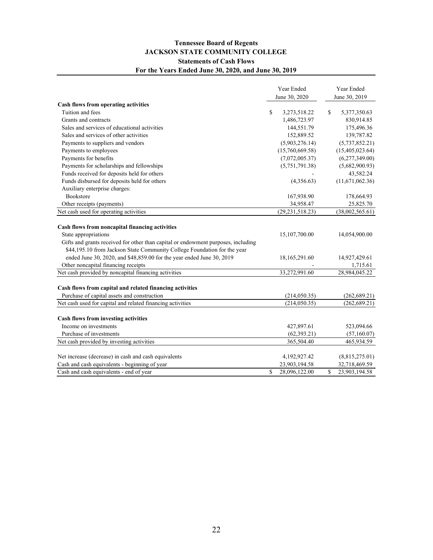#### **Tennessee Board of Regents JACKSON STATE COMMUNITY COLLEGE Statements of Cash Flows For the Years Ended June 30, 2020, and June 30, 2019**

|                                                                                                                                                                                                                                          | Year Ended | Year Ended                     |                                      |
|------------------------------------------------------------------------------------------------------------------------------------------------------------------------------------------------------------------------------------------|------------|--------------------------------|--------------------------------------|
|                                                                                                                                                                                                                                          |            | June 30, 2020                  | June 30, 2019                        |
| <b>Cash flows from operating activities</b>                                                                                                                                                                                              |            |                                |                                      |
| Tuition and fees                                                                                                                                                                                                                         | \$         | 3,273,518.22                   | \$<br>5,377,350.63                   |
| Grants and contracts                                                                                                                                                                                                                     |            | 1,486,723.97                   | 830,914.85                           |
| Sales and services of educational activities                                                                                                                                                                                             |            | 144,551.79                     | 175,496.36                           |
| Sales and services of other activities                                                                                                                                                                                                   |            | 152,889.52                     | 139,787.82                           |
| Payments to suppliers and vendors                                                                                                                                                                                                        |            | (5,903,276.14)                 | (5,737,852.21)                       |
| Payments to employees                                                                                                                                                                                                                    |            | (15,760,669.58)                | (15,405,023.64)                      |
| Payments for benefits                                                                                                                                                                                                                    |            | (7,072,005.37)                 | (6,277,349.00)                       |
| Payments for scholarships and fellowships                                                                                                                                                                                                |            | (5,751,791.38)                 | (5,682,900.93)                       |
| Funds received for deposits held for others                                                                                                                                                                                              |            |                                | 43,582.24                            |
| Funds disbursed for deposits held for others                                                                                                                                                                                             |            | (4,356.63)                     | (11,671,062.36)                      |
| Auxiliary enterprise charges:                                                                                                                                                                                                            |            |                                |                                      |
| Bookstore                                                                                                                                                                                                                                |            | 167,938.90                     | 178,664.93                           |
| Other receipts (payments)                                                                                                                                                                                                                |            | 34,958.47                      | 25,825.70                            |
| Net cash used for operating activities                                                                                                                                                                                                   |            | (29, 231, 518.23)              | (38,002,565.61)                      |
| Cash flows from noncapital financing activities<br>State appropriations<br>Gifts and grants received for other than capital or endowment purposes, including<br>\$44,195.10 from Jackson State Community College Foundation for the year |            | 15,107,700.00                  | 14,054,900.00                        |
| ended June 30, 2020, and \$48,859.00 for the year ended June 30, 2019                                                                                                                                                                    |            | 18,165,291.60                  | 14,927,429.61                        |
| Other noncapital financing receipts                                                                                                                                                                                                      |            |                                | 1,715.61                             |
| Net cash provided by noncapital financing activities                                                                                                                                                                                     |            | 33,272,991.60                  | 28,984,045.22                        |
|                                                                                                                                                                                                                                          |            |                                |                                      |
| Cash flows from capital and related financing activities                                                                                                                                                                                 |            |                                |                                      |
| Purchase of capital assets and construction                                                                                                                                                                                              |            | (214,050.35)                   | (262, 689.21)                        |
| Net cash used for capital and related financing activities                                                                                                                                                                               |            | (214, 050.35)                  | (262, 689.21)                        |
| <b>Cash flows from investing activities</b>                                                                                                                                                                                              |            |                                |                                      |
| Income on investments                                                                                                                                                                                                                    |            | 427,897.61                     | 523,094.66                           |
| Purchase of investments                                                                                                                                                                                                                  |            | (62, 393.21)                   | (57,160.07)                          |
| Net cash provided by investing activities                                                                                                                                                                                                |            | 365,504.40                     | 465,934.59                           |
| Net increase (decrease) in cash and cash equivalents<br>Cash and cash equivalents - beginning of year                                                                                                                                    |            | 4,192,927.42                   | (8,815,275.01)                       |
| Cash and cash equivalents - end of year                                                                                                                                                                                                  | \$         | 23,903,194.58<br>28,096,122.00 | \$<br>32,718,469.59<br>23.903.194.58 |
|                                                                                                                                                                                                                                          |            |                                |                                      |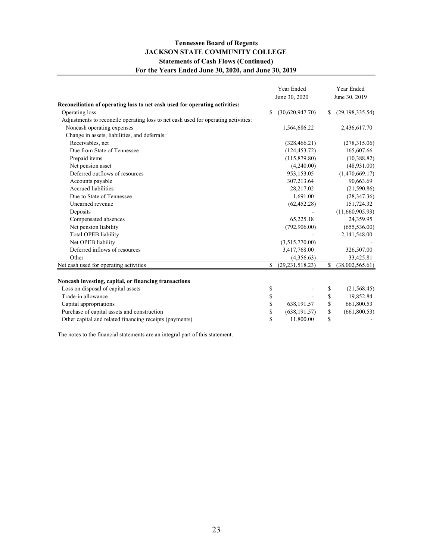#### **JACKSON STATE COMMUNITY COLLEGE Statements of Cash Flows (Continued) For the Years Ended June 30, 2020, and June 30, 2019 Tennessee Board of Regents**

| Year Ended<br>June 30, 2020                                                        |    |                   |    | Year Ended<br>June 30, 2019 |
|------------------------------------------------------------------------------------|----|-------------------|----|-----------------------------|
| Reconciliation of operating loss to net cash used for operating activities:        |    |                   |    |                             |
| Operating loss                                                                     | \$ | (30,620,947.70)   | S  | (29, 198, 335.54)           |
| Adjustments to reconcile operating loss to net cash used for operating activities: |    |                   |    |                             |
| Noncash operating expenses                                                         |    | 1,564,686.22      |    | 2,436,617.70                |
| Change in assets, liabilities, and deferrals:                                      |    |                   |    |                             |
| Receivables, net                                                                   |    | (328, 466.21)     |    | (278,315.06)                |
| Due from State of Tennessee                                                        |    | (124, 453.72)     |    | 165,607.66                  |
| Prepaid items                                                                      |    | (115,879.80)      |    | (10,388.82)                 |
| Net pension asset                                                                  |    | (4,240.00)        |    | (48,931.00)                 |
| Deferred outflows of resources                                                     |    | 953,153.05        |    | (1,470,669.17)              |
| Accounts payable                                                                   |    | 307,213.64        |    | 90,663.69                   |
| <b>Accrued liabilities</b>                                                         |    | 28,217.02         |    | (21,590.86)                 |
| Due to State of Tennessee                                                          |    | 1,691.00          |    | (28, 347.36)                |
| Unearned revenue                                                                   |    | (62, 452.28)      |    | 151,724.32                  |
| Deposits                                                                           |    |                   |    | (11,660,905.93)             |
| Compensated absences                                                               |    | 65,225.18         |    | 24,359.95                   |
| Net pension liability                                                              |    | (792,906.00)      |    | (655, 536.00)               |
| Total OPEB liability                                                               |    |                   |    | 2,141,548.00                |
| Net OPEB liability                                                                 |    | (3,515,770.00)    |    |                             |
| Deferred inflows of resources                                                      |    | 3,417,768.00      |    | 326,507.00                  |
| Other                                                                              |    | (4,356.63)        |    | 33,425.81                   |
| Net cash used for operating activities                                             | \$ | (29, 231, 518.23) | \$ | (38,002,565.61)             |
|                                                                                    |    |                   |    |                             |
| Noncash investing, capital, or financing transactions                              |    |                   |    |                             |
| Loss on disposal of capital assets                                                 | \$ |                   | \$ | (21, 568.45)                |
| Trade-in allowance                                                                 | \$ |                   | \$ | 19,852.84                   |
| Capital appropriations                                                             | \$ | 638,191.57        | \$ | 661,800.53                  |
| Purchase of capital assets and construction                                        | \$ | (638, 191.57)     | \$ | (661,800.53)                |
| Other capital and related financing receipts (payments)                            | \$ | 11,800.00         | S  |                             |

The notes to the financial statements are an integral part of this statement.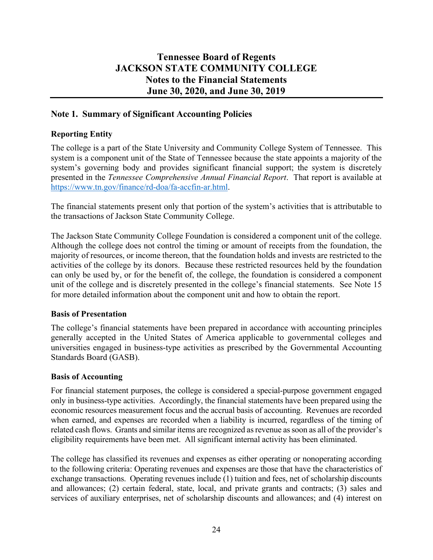## **Tennessee Board of Regents JACKSON STATE COMMUNITY COLLEGE Notes to the Financial Statements June 30, 2020, and June 30, 2019**

#### **Note 1. Summary of Significant Accounting Policies**

#### **Reporting Entity**

The college is a part of the State University and Community College System of Tennessee. This system is a component unit of the State of Tennessee because the state appoints a majority of the system's governing body and provides significant financial support; the system is discretely presented in the *Tennessee Comprehensive Annual Financial Report*. That report is available at [https://www.tn.gov/finance/rd-doa/fa-accfin-ar.html.](https://www.tn.gov/finance/rd-doa/fa-accfin-ar.html) 

The financial statements present only that portion of the system's activities that is attributable to the transactions of Jackson State Community College.

The Jackson State Community College Foundation is considered a component unit of the college. Although the college does not control the timing or amount of receipts from the foundation, the majority of resources, or income thereon, that the foundation holds and invests are restricted to the activities of the college by its donors. Because these restricted resources held by the foundation can only be used by, or for the benefit of, the college, the foundation is considered a component unit of the college and is discretely presented in the college's financial statements. See Note 15 for more detailed information about the component unit and how to obtain the report.

#### **Basis of Presentation**

The college's financial statements have been prepared in accordance with accounting principles generally accepted in the United States of America applicable to governmental colleges and universities engaged in business-type activities as prescribed by the Governmental Accounting Standards Board (GASB).

#### **Basis of Accounting**

For financial statement purposes, the college is considered a special-purpose government engaged only in business-type activities. Accordingly, the financial statements have been prepared using the economic resources measurement focus and the accrual basis of accounting. Revenues are recorded when earned, and expenses are recorded when a liability is incurred, regardless of the timing of related cash flows. Grants and similar items are recognized as revenue as soon as all of the provider's eligibility requirements have been met. All significant internal activity has been eliminated.

The college has classified its revenues and expenses as either operating or nonoperating according to the following criteria: Operating revenues and expenses are those that have the characteristics of exchange transactions. Operating revenues include (1) tuition and fees, net of scholarship discounts and allowances; (2) certain federal, state, local, and private grants and contracts; (3) sales and services of auxiliary enterprises, net of scholarship discounts and allowances; and (4) interest on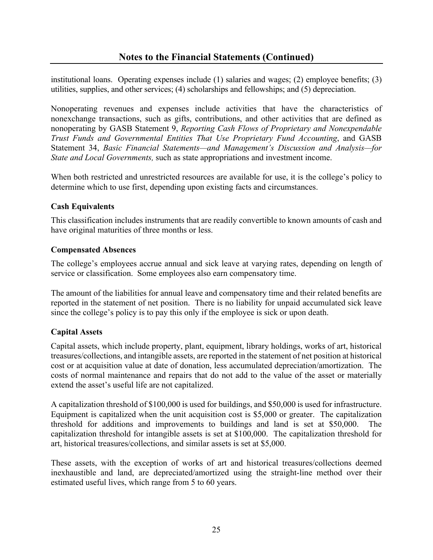institutional loans. Operating expenses include (1) salaries and wages; (2) employee benefits; (3) utilities, supplies, and other services; (4) scholarships and fellowships; and (5) depreciation.

Nonoperating revenues and expenses include activities that have the characteristics of nonexchange transactions, such as gifts, contributions, and other activities that are defined as nonoperating by GASB Statement 9, *Reporting Cash Flows of Proprietary and Nonexpendable Trust Funds and Governmental Entities That Use Proprietary Fund Accounting*, and GASB Statement 34, *Basic Financial Statements—and Management's Discussion and Analysis—for State and Local Governments,* such as state appropriations and investment income.

When both restricted and unrestricted resources are available for use, it is the college's policy to determine which to use first, depending upon existing facts and circumstances.

#### **Cash Equivalents**

This classification includes instruments that are readily convertible to known amounts of cash and have original maturities of three months or less.

#### **Compensated Absences**

The college's employees accrue annual and sick leave at varying rates, depending on length of service or classification. Some employees also earn compensatory time.

The amount of the liabilities for annual leave and compensatory time and their related benefits are reported in the statement of net position. There is no liability for unpaid accumulated sick leave since the college's policy is to pay this only if the employee is sick or upon death.

#### **Capital Assets**

Capital assets, which include property, plant, equipment, library holdings, works of art, historical treasures/collections, and intangible assets, are reported in the statement of net position at historical cost or at acquisition value at date of donation, less accumulated depreciation/amortization. The costs of normal maintenance and repairs that do not add to the value of the asset or materially extend the asset's useful life are not capitalized.

A capitalization threshold of \$100,000 is used for buildings, and \$50,000 is used for infrastructure. Equipment is capitalized when the unit acquisition cost is \$5,000 or greater. The capitalization threshold for additions and improvements to buildings and land is set at \$50,000. The capitalization threshold for intangible assets is set at \$100,000. The capitalization threshold for art, historical treasures/collections, and similar assets is set at \$5,000.

These assets, with the exception of works of art and historical treasures/collections deemed inexhaustible and land, are depreciated/amortized using the straight-line method over their estimated useful lives, which range from 5 to 60 years.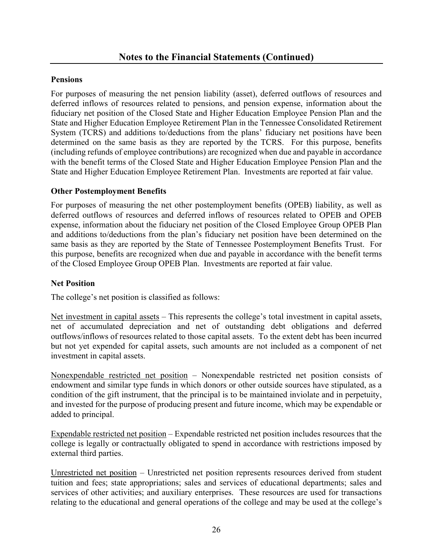#### **Pensions**

For purposes of measuring the net pension liability (asset), deferred outflows of resources and deferred inflows of resources related to pensions, and pension expense, information about the fiduciary net position of the Closed State and Higher Education Employee Pension Plan and the State and Higher Education Employee Retirement Plan in the Tennessee Consolidated Retirement System (TCRS) and additions to/deductions from the plans' fiduciary net positions have been determined on the same basis as they are reported by the TCRS. For this purpose, benefits (including refunds of employee contributions) are recognized when due and payable in accordance with the benefit terms of the Closed State and Higher Education Employee Pension Plan and the State and Higher Education Employee Retirement Plan. Investments are reported at fair value.

#### **Other Postemployment Benefits**

For purposes of measuring the net other postemployment benefits (OPEB) liability, as well as deferred outflows of resources and deferred inflows of resources related to OPEB and OPEB expense, information about the fiduciary net position of the Closed Employee Group OPEB Plan and additions to/deductions from the plan's fiduciary net position have been determined on the same basis as they are reported by the State of Tennessee Postemployment Benefits Trust. For this purpose, benefits are recognized when due and payable in accordance with the benefit terms of the Closed Employee Group OPEB Plan. Investments are reported at fair value.

#### **Net Position**

The college's net position is classified as follows:

Net investment in capital assets – This represents the college's total investment in capital assets, net of accumulated depreciation and net of outstanding debt obligations and deferred outflows/inflows of resources related to those capital assets. To the extent debt has been incurred but not yet expended for capital assets, such amounts are not included as a component of net investment in capital assets.

Nonexpendable restricted net position – Nonexpendable restricted net position consists of endowment and similar type funds in which donors or other outside sources have stipulated, as a condition of the gift instrument, that the principal is to be maintained inviolate and in perpetuity, and invested for the purpose of producing present and future income, which may be expendable or added to principal.

Expendable restricted net position – Expendable restricted net position includes resources that the college is legally or contractually obligated to spend in accordance with restrictions imposed by external third parties.

Unrestricted net position – Unrestricted net position represents resources derived from student tuition and fees; state appropriations; sales and services of educational departments; sales and services of other activities; and auxiliary enterprises. These resources are used for transactions relating to the educational and general operations of the college and may be used at the college's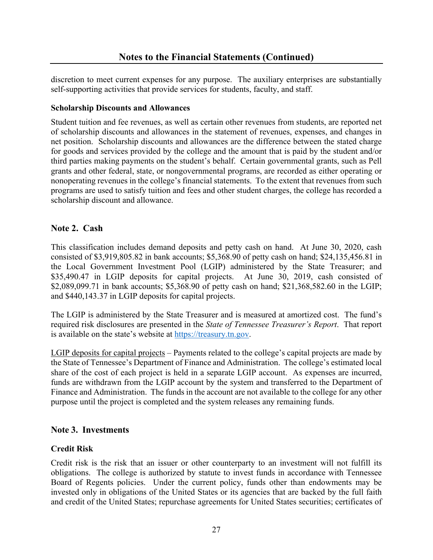discretion to meet current expenses for any purpose. The auxiliary enterprises are substantially self-supporting activities that provide services for students, faculty, and staff.

#### **Scholarship Discounts and Allowances**

Student tuition and fee revenues, as well as certain other revenues from students, are reported net of scholarship discounts and allowances in the statement of revenues, expenses, and changes in net position. Scholarship discounts and allowances are the difference between the stated charge for goods and services provided by the college and the amount that is paid by the student and/or third parties making payments on the student's behalf. Certain governmental grants, such as Pell grants and other federal, state, or nongovernmental programs, are recorded as either operating or nonoperating revenues in the college's financial statements. To the extent that revenues from such programs are used to satisfy tuition and fees and other student charges, the college has recorded a scholarship discount and allowance.

#### **Note 2. Cash**

This classification includes demand deposits and petty cash on hand. At June 30, 2020, cash consisted of \$3,919,805.82 in bank accounts; \$5,368.90 of petty cash on hand; \$24,135,456.81 in the Local Government Investment Pool (LGIP) administered by the State Treasurer; and \$35,490.47 in LGIP deposits for capital projects. At June 30, 2019, cash consisted of \$2,089,099.71 in bank accounts; \$5,368.90 of petty cash on hand; \$21,368,582.60 in the LGIP; and \$440,143.37 in LGIP deposits for capital projects.

The LGIP is administered by the State Treasurer and is measured at amortized cost. The fund's required risk disclosures are presented in the *State of Tennessee Treasurer's Report*. That report is available on the state's website at [https://treasury.tn.gov.](https://treasury.tn.gov) 

LGIP deposits for capital projects – Payments related to the college's capital projects are made by the State of Tennessee's Department of Finance and Administration. The college's estimated local share of the cost of each project is held in a separate LGIP account. As expenses are incurred, funds are withdrawn from the LGIP account by the system and transferred to the Department of Finance and Administration. The funds in the account are not available to the college for any other purpose until the project is completed and the system releases any remaining funds.

#### **Note 3. Investments**

#### **Credit Risk**

Credit risk is the risk that an issuer or other counterparty to an investment will not fulfill its obligations. The college is authorized by statute to invest funds in accordance with Tennessee Board of Regents policies. Under the current policy, funds other than endowments may be invested only in obligations of the United States or its agencies that are backed by the full faith and credit of the United States; repurchase agreements for United States securities; certificates of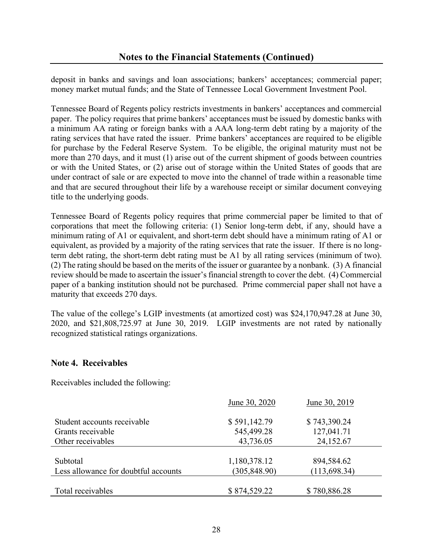deposit in banks and savings and loan associations; bankers' acceptances; commercial paper; money market mutual funds; and the State of Tennessee Local Government Investment Pool.

Tennessee Board of Regents policy restricts investments in bankers' acceptances and commercial paper. The policy requires that prime bankers' acceptances must be issued by domestic banks with a minimum AA rating or foreign banks with a AAA long-term debt rating by a majority of the rating services that have rated the issuer. Prime bankers' acceptances are required to be eligible for purchase by the Federal Reserve System. To be eligible, the original maturity must not be more than 270 days, and it must (1) arise out of the current shipment of goods between countries or with the United States, or (2) arise out of storage within the United States of goods that are under contract of sale or are expected to move into the channel of trade within a reasonable time and that are secured throughout their life by a warehouse receipt or similar document conveying title to the underlying goods.

Tennessee Board of Regents policy requires that prime commercial paper be limited to that of corporations that meet the following criteria: (1) Senior long-term debt, if any, should have a minimum rating of A1 or equivalent, and short-term debt should have a minimum rating of A1 or equivalent, as provided by a majority of the rating services that rate the issuer. If there is no longterm debt rating, the short-term debt rating must be A1 by all rating services (minimum of two). (2) The rating should be based on the merits of the issuer or guarantee by a nonbank. (3) A financial review should be made to ascertain the issuer's financial strength to cover the debt. (4) Commercial paper of a banking institution should not be purchased. Prime commercial paper shall not have a maturity that exceeds 270 days.

The value of the college's LGIP investments (at amortized cost) was \$24,170,947.28 at June 30, 2020, and \$21,808,725.97 at June 30, 2019. LGIP investments are not rated by nationally recognized statistical ratings organizations.

#### **Note 4. Receivables**

Receivables included the following:

|                                                  | June 30, 2020              | June 30, 2019              |
|--------------------------------------------------|----------------------------|----------------------------|
| Student accounts receivable<br>Grants receivable | \$591,142.79<br>545,499.28 | \$743,390.24<br>127,041.71 |
| Other receivables                                | 43,736.05                  | 24,152.67                  |
| Subtotal                                         | 1,180,378.12               | 894,584.62                 |
| Less allowance for doubtful accounts             | (305, 848.90)              | (113, 698.34)              |
| Total receivables                                | \$874,529.22               | \$780,886.28               |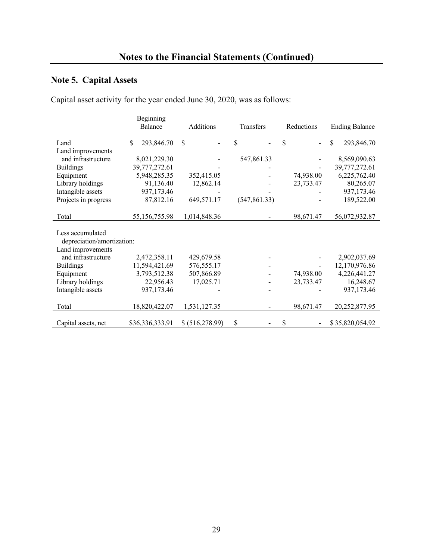#### **Note 5. Capital Assets**

Capital asset activity for the year ended June 30, 2020, was as follows:

|                            | Beginning        |                  |                  |                  |            |           |                       |                 |
|----------------------------|------------------|------------------|------------------|------------------|------------|-----------|-----------------------|-----------------|
|                            | Balance          | <b>Additions</b> |                  | <b>Transfers</b> | Reductions |           | <b>Ending Balance</b> |                 |
|                            |                  |                  |                  |                  |            |           |                       |                 |
| Land                       | \$<br>293,846.70 | \$               |                  | \$               | \$         |           | \$                    | 293,846.70      |
| Land improvements          |                  |                  |                  |                  |            |           |                       |                 |
| and infrastructure         | 8,021,229.30     |                  |                  | 547,861.33       |            |           |                       | 8,569,090.63    |
| <b>Buildings</b>           | 39,777,272.61    |                  |                  |                  |            |           |                       | 39,777,272.61   |
| Equipment                  | 5,948,285.35     |                  | 352,415.05       |                  |            | 74,938.00 |                       | 6,225,762.40    |
| Library holdings           | 91,136.40        |                  | 12,862.14        |                  |            | 23,733.47 |                       | 80,265.07       |
| Intangible assets          | 937,173.46       |                  |                  |                  |            |           |                       | 937,173.46      |
| Projects in progress       | 87,812.16        |                  | 649,571.17       | (547, 861.33)    |            |           |                       | 189,522.00      |
|                            |                  |                  |                  |                  |            |           |                       |                 |
| Total                      | 55,156,755.98    |                  | 1,014,848.36     |                  |            | 98,671.47 |                       | 56,072,932.87   |
|                            |                  |                  |                  |                  |            |           |                       |                 |
| Less accumulated           |                  |                  |                  |                  |            |           |                       |                 |
| depreciation/amortization: |                  |                  |                  |                  |            |           |                       |                 |
| Land improvements          |                  |                  |                  |                  |            |           |                       |                 |
| and infrastructure         | 2,472,358.11     |                  | 429,679.58       |                  |            |           |                       | 2,902,037.69    |
| <b>Buildings</b>           | 11,594,421.69    |                  | 576,555.17       |                  |            |           |                       | 12,170,976.86   |
| Equipment                  | 3,793,512.38     |                  | 507,866.89       |                  |            | 74,938.00 |                       | 4,226,441.27    |
| Library holdings           | 22,956.43        |                  | 17,025.71        |                  |            | 23,733.47 |                       | 16,248.67       |
| Intangible assets          | 937,173.46       |                  |                  |                  |            |           |                       | 937,173.46      |
|                            |                  |                  |                  |                  |            |           |                       |                 |
| Total                      | 18,820,422.07    |                  | 1,531,127.35     |                  |            | 98,671.47 |                       | 20,252,877.95   |
|                            |                  |                  |                  |                  |            |           |                       |                 |
| Capital assets, net        | \$36,336,333.91  |                  | \$ (516, 278.99) | \$               | \$         |           |                       | \$35,820,054.92 |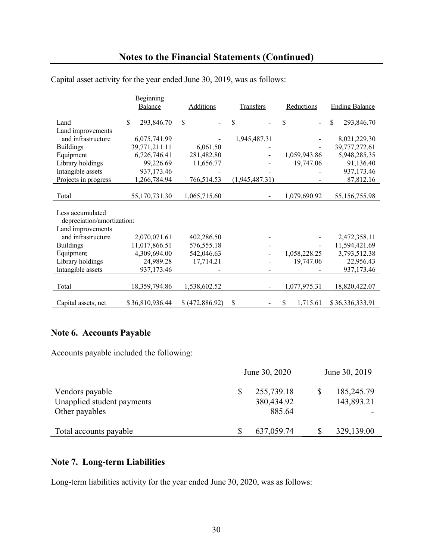|                            | Beginning        |                  |                |                 |                       |  |  |
|----------------------------|------------------|------------------|----------------|-----------------|-----------------------|--|--|
|                            | Balance          | <b>Additions</b> | Transfers      | Reductions      | <b>Ending Balance</b> |  |  |
|                            |                  |                  |                |                 |                       |  |  |
| Land                       | \$<br>293,846.70 | \$               | \$             | \$              | \$<br>293,846.70      |  |  |
| Land improvements          |                  |                  |                |                 |                       |  |  |
| and infrastructure         | 6,075,741.99     |                  | 1,945,487.31   |                 | 8,021,229.30          |  |  |
| <b>Buildings</b>           | 39,771,211.11    | 6,061.50         |                |                 | 39,777,272.61         |  |  |
| Equipment                  | 6,726,746.41     | 281,482.80       |                | 1,059,943.86    | 5,948,285.35          |  |  |
| Library holdings           | 99,226.69        | 11,656.77        |                | 19,747.06       | 91,136.40             |  |  |
| Intangible assets          | 937,173.46       |                  |                |                 | 937,173.46            |  |  |
| Projects in progress       | 1,266,784.94     | 766,514.53       | (1,945,487.31) |                 | 87,812.16             |  |  |
|                            |                  |                  |                |                 |                       |  |  |
| Total                      | 55,170,731.30    | 1,065,715.60     |                | 1,079,690.92    | 55,156,755.98         |  |  |
|                            |                  |                  |                |                 |                       |  |  |
| Less accumulated           |                  |                  |                |                 |                       |  |  |
| depreciation/amortization: |                  |                  |                |                 |                       |  |  |
| Land improvements          |                  |                  |                |                 |                       |  |  |
| and infrastructure         | 2,070,071.61     | 402,286.50       |                |                 | 2,472,358.11          |  |  |
| <b>Buildings</b>           | 11,017,866.51    | 576,555.18       |                |                 | 11,594,421.69         |  |  |
| Equipment                  | 4,309,694.00     | 542,046.63       |                | 1,058,228.25    | 3,793,512.38          |  |  |
| Library holdings           | 24,989.28        | 17,714.21        |                | 19,747.06       | 22,956.43             |  |  |
| Intangible assets          | 937,173.46       |                  |                |                 | 937,173.46            |  |  |
|                            |                  |                  |                |                 |                       |  |  |
| Total                      | 18,359,794.86    | 1,538,602.52     |                | 1,077,975.31    | 18,820,422.07         |  |  |
|                            |                  |                  |                |                 |                       |  |  |
| Capital assets, net        | \$36,810,936.44  | \$ (472,886.92)  | \$             | 1,715.61<br>\$. | \$36,336,333.91       |  |  |

Capital asset activity for the year ended June 30, 2019, was as follows:

#### **Note 6. Accounts Payable**

Accounts payable included the following:

|                            | June 30, 2020 |            |  | June 30, 2019 |  |
|----------------------------|---------------|------------|--|---------------|--|
| Vendors payable            |               | 255,739.18 |  | 185,245.79    |  |
| Unapplied student payments |               | 380,434.92 |  | 143,893.21    |  |
| Other payables             |               | 885.64     |  |               |  |
|                            |               |            |  |               |  |
| Total accounts payable     |               | 637,059.74 |  | 329,139.00    |  |

#### **Note 7. Long-term Liabilities**

Long-term liabilities activity for the year ended June 30, 2020, was as follows: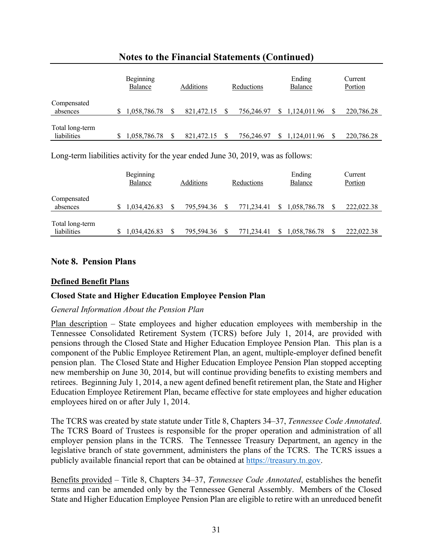| Beginning<br>Balance           |  | Additions    |  | Reductions |  | Ending<br>Balance |  | Current<br>Portion |            |
|--------------------------------|--|--------------|--|------------|--|-------------------|--|--------------------|------------|
| Compensated<br>absences        |  | 1,058,786.78 |  | 821,472.15 |  | 756,246.97        |  | 1.124.011.96       | 220,786.28 |
| Total long-term<br>liabilities |  | 1,058,786.78 |  | 821,472.15 |  | 756,246.97        |  | 1.124.011.96       | 220,786.28 |

#### **Notes to the Financial Statements (Continued)**

Long-term liabilities activity for the year ended June 30, 2019, was as follows:

|                                | Beginning<br>Balance |  | <b>Additions</b> |  | Reductions |    | Ending<br>Balance |  | Current<br>Portion |
|--------------------------------|----------------------|--|------------------|--|------------|----|-------------------|--|--------------------|
| Compensated<br>absences        | 1,034,426.83         |  | 795,594.36       |  | 771.234.41 | S. | 1,058,786.78      |  | 222,022.38         |
| Total long-term<br>liabilities | 1,034,426.83         |  | 795,594.36       |  | 771.234.41 |    | 1,058,786.78      |  | 222,022.38         |

#### **Note 8. Pension Plans**

#### **Defined Benefit Plans**

#### **Closed State and Higher Education Employee Pension Plan**

#### *General Information About the Pension Plan*

Plan description – State employees and higher education employees with membership in the Tennessee Consolidated Retirement System (TCRS) before July 1, 2014, are provided with pensions through the Closed State and Higher Education Employee Pension Plan. This plan is a component of the Public Employee Retirement Plan, an agent, multiple-employer defined benefit pension plan. The Closed State and Higher Education Employee Pension Plan stopped accepting new membership on June 30, 2014, but will continue providing benefits to existing members and retirees. Beginning July 1, 2014, a new agent defined benefit retirement plan, the State and Higher Education Employee Retirement Plan, became effective for state employees and higher education employees hired on or after July 1, 2014.

The TCRS was created by state statute under Title 8, Chapters 34–37, *Tennessee Code Annotated*. The TCRS Board of Trustees is responsible for the proper operation and administration of all employer pension plans in the TCRS. The Tennessee Treasury Department, an agency in the legislative branch of state government, administers the plans of the TCRS. The TCRS issues a publicly available financial report that can be obtained at [https://treasury.tn.gov.](https://treasury.tn.gov) 

Benefits provided – Title 8, Chapters 34–37, *Tennessee Code Annotated*, establishes the benefit terms and can be amended only by the Tennessee General Assembly. Members of the Closed State and Higher Education Employee Pension Plan are eligible to retire with an unreduced benefit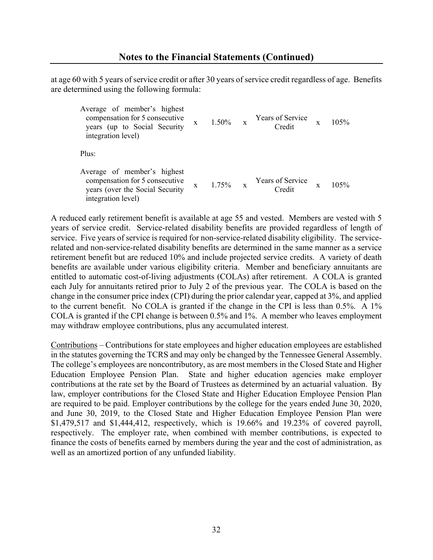at age 60 with 5 years of service credit or after 30 years of service credit regardless of age. Benefits are determined using the following formula:

Average of member's highest compensation for 5 consecutive years (up to Social Security integration level)  $x = 1.50\%$  x Years of Service<br>Credit  $x \quad 105\%$ Plus: Average of member's highest compensation for 5 consecutive years (over the Social Security integration level)  $x = 1.75\%$   $x = \frac{Y}{C}$   $\frac{1}{x}$ Credit  $x = 105\%$ 

A reduced early retirement benefit is available at age 55 and vested. Members are vested with 5 years of service credit. Service-related disability benefits are provided regardless of length of service. Five years of service is required for non-service-related disability eligibility. The servicerelated and non-service-related disability benefits are determined in the same manner as a service retirement benefit but are reduced 10% and include projected service credits. A variety of death benefits are available under various eligibility criteria. Member and beneficiary annuitants are entitled to automatic cost-of-living adjustments (COLAs) after retirement. A COLA is granted each July for annuitants retired prior to July 2 of the previous year. The COLA is based on the change in the consumer price index (CPI) during the prior calendar year, capped at 3%, and applied to the current benefit. No COLA is granted if the change in the CPI is less than 0.5%. A 1% COLA is granted if the CPI change is between 0.5% and 1%. A member who leaves employment may withdraw employee contributions, plus any accumulated interest.

Contributions – Contributions for state employees and higher education employees are established in the statutes governing the TCRS and may only be changed by the Tennessee General Assembly. The college's employees are noncontributory, as are most members in the Closed State and Higher Education Employee Pension Plan. State and higher education agencies make employer contributions at the rate set by the Board of Trustees as determined by an actuarial valuation. By law, employer contributions for the Closed State and Higher Education Employee Pension Plan are required to be paid. Employer contributions by the college for the years ended June 30, 2020, and June 30, 2019, to the Closed State and Higher Education Employee Pension Plan were \$1,479,517 and \$1,444,412, respectively, which is 19.66% and 19.23% of covered payroll, respectively. The employer rate, when combined with member contributions, is expected to finance the costs of benefits earned by members during the year and the cost of administration, as well as an amortized portion of any unfunded liability.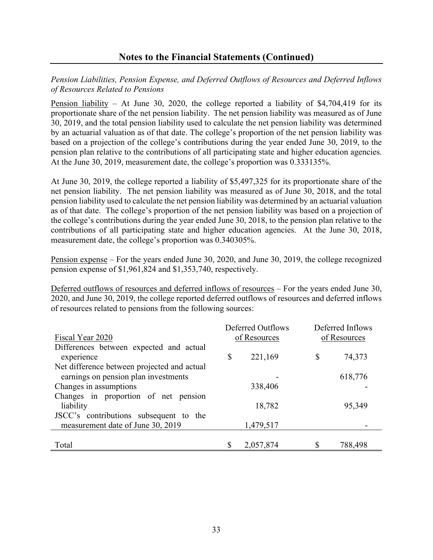#### *Pension Liabilities, Pension Expense, and Deferred Outflows of Resources and Deferred Inflows of Resources Related to Pensions*

Pension liability *–* At June 30, 2020, the college reported a liability of \$4,704,419 for its proportionate share of the net pension liability. The net pension liability was measured as of June 30, 2019, and the total pension liability used to calculate the net pension liability was determined by an actuarial valuation as of that date. The college's proportion of the net pension liability was based on a projection of the college's contributions during the year ended June 30, 2019, to the pension plan relative to the contributions of all participating state and higher education agencies. At the June 30, 2019, measurement date, the college's proportion was 0.333135%.

At June 30, 2019, the college reported a liability of \$5,497,325 for its proportionate share of the net pension liability. The net pension liability was measured as of June 30, 2018, and the total pension liability used to calculate the net pension liability was determined by an actuarial valuation as of that date. The college's proportion of the net pension liability was based on a projection of the college's contributions during the year ended June 30, 2018, to the pension plan relative to the contributions of all participating state and higher education agencies. At the June 30, 2018, measurement date, the college's proportion was 0.340305%.

Pension expense – For the years ended June 30, 2020, and June 30, 2019, the college recognized pension expense of \$1,961,824 and \$1,353,740, respectively.

Deferred outflows of resources and deferred inflows of resources – For the years ended June 30, 2020, and June 30, 2019, the college reported deferred outflows of resources and deferred inflows of resources related to pensions from the following sources:

|                                             | Deferred Outflows |           | Deferred Inflows |
|---------------------------------------------|-------------------|-----------|------------------|
| Fiscal Year 2020                            | of Resources      |           | of Resources     |
| Differences between expected and actual     |                   |           |                  |
| experience                                  | \$                | 221,169   | \$<br>74,373     |
| Net difference between projected and actual |                   |           |                  |
| earnings on pension plan investments        |                   |           | 618,776          |
| Changes in assumptions                      |                   | 338,406   |                  |
| Changes in proportion of net pension        |                   |           |                  |
| liability                                   |                   | 18,782    | 95,349           |
| JSCC's contributions subsequent to the      |                   |           |                  |
| measurement date of June 30, 2019           |                   | 1,479,517 |                  |
|                                             |                   |           |                  |
| Total                                       | \$                | 2,057,874 | \$<br>788,498    |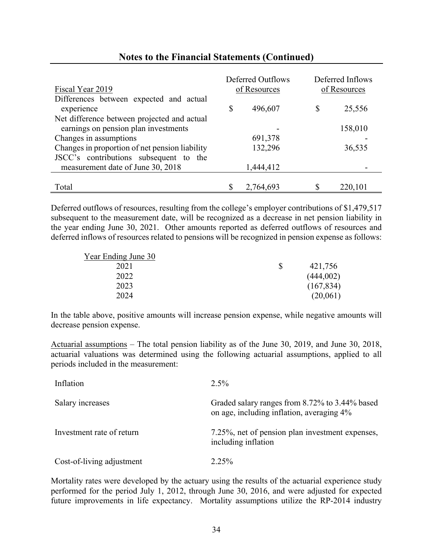| Fiscal Year 2019                                      | Deferred Outflows<br>of Resources |           | Deferred Inflows<br>of Resources |
|-------------------------------------------------------|-----------------------------------|-----------|----------------------------------|
| Differences between expected and actual<br>experience | \$                                | 496,607   | \$<br>25,556                     |
| Net difference between projected and actual           |                                   |           |                                  |
| earnings on pension plan investments                  |                                   |           | 158,010                          |
| Changes in assumptions                                |                                   | 691,378   |                                  |
| Changes in proportion of net pension liability        |                                   | 132,296   | 36,535                           |
| JSCC's contributions subsequent to the                |                                   |           |                                  |
| measurement date of June 30, 2018                     |                                   | 1,444,412 |                                  |
|                                                       |                                   |           |                                  |
| Total                                                 |                                   | 2,764,693 | 220,101                          |

Deferred outflows of resources, resulting from the college's employer contributions of \$1,479,517 subsequent to the measurement date, will be recognized as a decrease in net pension liability in the year ending June 30, 2021. Other amounts reported as deferred outflows of resources and deferred inflows of resources related to pensions will be recognized in pension expense as follows:

| Year Ending June 30 |          |            |
|---------------------|----------|------------|
| 2021                | <b>S</b> | 421,756    |
| 2022                |          | (444,002)  |
| 2023                |          | (167, 834) |
| 2024                |          | (20,061)   |

In the table above, positive amounts will increase pension expense, while negative amounts will decrease pension expense.

Actuarial assumptions – The total pension liability as of the June 30, 2019, and June 30, 2018, actuarial valuations was determined using the following actuarial assumptions, applied to all periods included in the measurement:

| Inflation                 | $2.5\%$                                                                                     |
|---------------------------|---------------------------------------------------------------------------------------------|
| Salary increases          | Graded salary ranges from 8.72% to 3.44% based<br>on age, including inflation, averaging 4% |
| Investment rate of return | 7.25%, net of pension plan investment expenses,<br>including inflation                      |
| Cost-of-living adjustment | $2.25\%$                                                                                    |

Mortality rates were developed by the actuary using the results of the actuarial experience study performed for the period July 1, 2012, through June 30, 2016, and were adjusted for expected future improvements in life expectancy. Mortality assumptions utilize the RP-2014 industry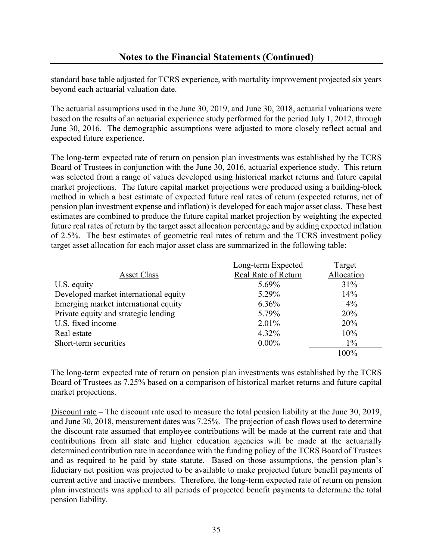standard base table adjusted for TCRS experience, with mortality improvement projected six years beyond each actuarial valuation date.

The actuarial assumptions used in the June 30, 2019, and June 30, 2018, actuarial valuations were based on the results of an actuarial experience study performed for the period July 1, 2012, through June 30, 2016. The demographic assumptions were adjusted to more closely reflect actual and expected future experience.

The long-term expected rate of return on pension plan investments was established by the TCRS Board of Trustees in conjunction with the June 30, 2016, actuarial experience study. This return was selected from a range of values developed using historical market returns and future capital market projections. The future capital market projections were produced using a building-block method in which a best estimate of expected future real rates of return (expected returns, net of pension plan investment expense and inflation) is developed for each major asset class. These best estimates are combined to produce the future capital market projection by weighting the expected future real rates of return by the target asset allocation percentage and by adding expected inflation of 2.5%. The best estimates of geometric real rates of return and the TCRS investment policy target asset allocation for each major asset class are summarized in the following table:

|                                       | Long-term Expected  | Target     |
|---------------------------------------|---------------------|------------|
| <b>Asset Class</b>                    | Real Rate of Return | Allocation |
| U.S. equity                           | 5.69%               | 31%        |
| Developed market international equity | 5.29%               | 14%        |
| Emerging market international equity  | 6.36%               | $4\%$      |
| Private equity and strategic lending  | 5.79%               | 20%        |
| U.S. fixed income                     | 2.01%               | 20%        |
| Real estate                           | 4.32%               | 10%        |
| Short-term securities                 | $0.00\%$            | $1\%$      |
|                                       |                     | 100%       |

The long-term expected rate of return on pension plan investments was established by the TCRS Board of Trustees as 7.25% based on a comparison of historical market returns and future capital market projections.

Discount rate – The discount rate used to measure the total pension liability at the June 30, 2019, and June 30, 2018, measurement dates was 7.25%. The projection of cash flows used to determine the discount rate assumed that employee contributions will be made at the current rate and that contributions from all state and higher education agencies will be made at the actuarially determined contribution rate in accordance with the funding policy of the TCRS Board of Trustees and as required to be paid by state statute. Based on those assumptions, the pension plan's fiduciary net position was projected to be available to make projected future benefit payments of current active and inactive members. Therefore, the long-term expected rate of return on pension plan investments was applied to all periods of projected benefit payments to determine the total pension liability.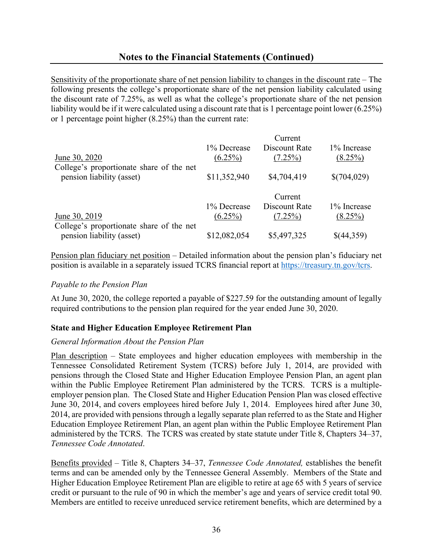Sensitivity of the proportionate share of net pension liability to changes in the discount rate – The following presents the college's proportionate share of the net pension liability calculated using the discount rate of 7.25%, as well as what the college's proportionate share of the net pension liability would be if it were calculated using a discount rate that is 1 percentage point lower (6.25%) or 1 percentage point higher (8.25%) than the current rate:

|                                                                       |              | Current       |             |
|-----------------------------------------------------------------------|--------------|---------------|-------------|
|                                                                       | 1% Decrease  | Discount Rate | 1% Increase |
| June 30, 2020                                                         | $(6.25\%)$   | $(7.25\%)$    | (8.25%)     |
| College's proportionate share of the net<br>pension liability (asset) | \$11,352,940 | \$4,704,419   | \$(704,029) |
|                                                                       |              | Current       |             |
|                                                                       | 1% Decrease  | Discount Rate | 1% Increase |
| June 30, 2019                                                         | $(6.25\%)$   | $(7.25\%)$    | $(8.25\%)$  |
| College's proportionate share of the net<br>pension liability (asset) | \$12,082,054 | \$5,497,325   | \$(44,359)  |

Pension plan fiduciary net position – Detailed information about the pension plan's fiduciary net position is available in a separately issued TCRS financial report at [https://treasury.tn.gov/tcrs.](https://treasury.tn.gov/tcrs) 

#### *Payable to the Pension Plan*

At June 30, 2020, the college reported a payable of \$227.59 for the outstanding amount of legally required contributions to the pension plan required for the year ended June 30, 2020.

#### **State and Higher Education Employee Retirement Plan**

#### *General Information About the Pension Plan*

Plan description – State employees and higher education employees with membership in the Tennessee Consolidated Retirement System (TCRS) before July 1, 2014, are provided with pensions through the Closed State and Higher Education Employee Pension Plan, an agent plan within the Public Employee Retirement Plan administered by the TCRS. TCRS is a multipleemployer pension plan. The Closed State and Higher Education Pension Plan was closed effective June 30, 2014, and covers employees hired before July 1, 2014. Employees hired after June 30, 2014, are provided with pensions through a legally separate plan referred to as the State and Higher Education Employee Retirement Plan, an agent plan within the Public Employee Retirement Plan administered by the TCRS. The TCRS was created by state statute under Title 8, Chapters 34–37, *Tennessee Code Annotated*.

Benefits provided – Title 8, Chapters 34–37, *Tennessee Code Annotated,* establishes the benefit terms and can be amended only by the Tennessee General Assembly. Members of the State and Higher Education Employee Retirement Plan are eligible to retire at age 65 with 5 years of service credit or pursuant to the rule of 90 in which the member's age and years of service credit total 90. Members are entitled to receive unreduced service retirement benefits, which are determined by a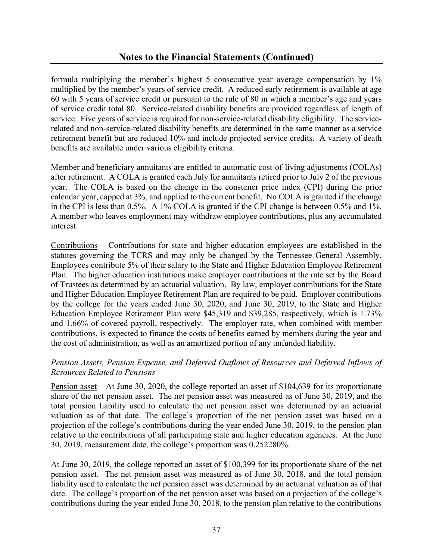formula multiplying the member's highest 5 consecutive year average compensation by 1% multiplied by the member's years of service credit. A reduced early retirement is available at age 60 with 5 years of service credit or pursuant to the rule of 80 in which a member's age and years of service credit total 80. Service-related disability benefits are provided regardless of length of service. Five years of service is required for non-service-related disability eligibility. The servicerelated and non-service-related disability benefits are determined in the same manner as a service retirement benefit but are reduced 10% and include projected service credits. A variety of death benefits are available under various eligibility criteria.

Member and beneficiary annuitants are entitled to automatic cost-of-living adjustments (COLAs) after retirement. A COLA is granted each July for annuitants retired prior to July 2 of the previous year. The COLA is based on the change in the consumer price index (CPI) during the prior calendar year, capped at 3%, and applied to the current benefit. No COLA is granted if the change in the CPI is less than 0.5%. A 1% COLA is granted if the CPI change is between 0.5% and 1%. A member who leaves employment may withdraw employee contributions, plus any accumulated interest.

Contributions – Contributions for state and higher education employees are established in the statutes governing the TCRS and may only be changed by the Tennessee General Assembly. Employees contribute 5% of their salary to the State and Higher Education Employee Retirement Plan. The higher education institutions make employer contributions at the rate set by the Board of Trustees as determined by an actuarial valuation. By law, employer contributions for the State and Higher Education Employee Retirement Plan are required to be paid. Employer contributions by the college for the years ended June 30, 2020, and June 30, 2019, to the State and Higher Education Employee Retirement Plan were \$45,319 and \$39,285, respectively, which is 1.73% and 1.66% of covered payroll, respectively. The employer rate, when combined with member contributions, is expected to finance the costs of benefits earned by members during the year and the cost of administration, as well as an amortized portion of any unfunded liability.

### *Pension Assets, Pension Expense, and Deferred Outflows of Resources and Deferred Inflows of Resources Related to Pensions*

Pension asset – At June 30, 2020, the college reported an asset of \$104,639 for its proportionate share of the net pension asset. The net pension asset was measured as of June 30, 2019, and the total pension liability used to calculate the net pension asset was determined by an actuarial valuation as of that date. The college's proportion of the net pension asset was based on a projection of the college's contributions during the year ended June 30, 2019, to the pension plan relative to the contributions of all participating state and higher education agencies. At the June 30, 2019, measurement date, the college's proportion was 0.252280%.

At June 30, 2019, the college reported an asset of \$100,399 for its proportionate share of the net pension asset. The net pension asset was measured as of June 30, 2018, and the total pension liability used to calculate the net pension asset was determined by an actuarial valuation as of that date. The college's proportion of the net pension asset was based on a projection of the college's contributions during the year ended June 30, 2018, to the pension plan relative to the contributions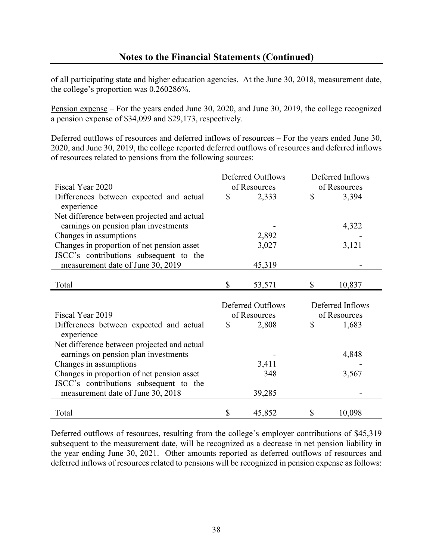of all participating state and higher education agencies. At the June 30, 2018, measurement date, the college's proportion was 0.260286%.

Pension expense – For the years ended June 30, 2020, and June 30, 2019, the college recognized a pension expense of \$34,099 and \$29,173, respectively.

Deferred outflows of resources and deferred inflows of resources – For the years ended June 30, 2020, and June 30, 2019, the college reported deferred outflows of resources and deferred inflows of resources related to pensions from the following sources:

|                                                       | <b>Deferred Outflows</b> |                   |              | Deferred Inflows |
|-------------------------------------------------------|--------------------------|-------------------|--------------|------------------|
| Fiscal Year 2020                                      |                          | of Resources      |              | of Resources     |
| Differences between expected and actual<br>experience | $\mathbb{S}$             | 2,333             | $\mathbb{S}$ | 3,394            |
| Net difference between projected and actual           |                          |                   |              |                  |
| earnings on pension plan investments                  |                          |                   |              | 4,322            |
| Changes in assumptions                                |                          | 2,892             |              |                  |
| Changes in proportion of net pension asset            |                          | 3,027             |              | 3,121            |
| JSCC's contributions subsequent to the                |                          |                   |              |                  |
| measurement date of June 30, 2019                     |                          | 45,319            |              |                  |
|                                                       |                          |                   |              |                  |
| Total                                                 | \$                       | 53,571            | \$           | 10,837           |
|                                                       |                          |                   |              |                  |
|                                                       |                          |                   |              |                  |
|                                                       |                          | Deferred Outflows |              | Deferred Inflows |
| Fiscal Year 2019                                      |                          | of Resources      |              | of Resources     |
| Differences between expected and actual               | $\mathbb{S}$             | 2,808             | \$           | 1,683            |
| experience                                            |                          |                   |              |                  |
| Net difference between projected and actual           |                          |                   |              |                  |
| earnings on pension plan investments                  |                          |                   |              | 4,848            |
| Changes in assumptions                                |                          | 3,411             |              |                  |
| Changes in proportion of net pension asset            |                          | 348               |              | 3,567            |
| JSCC's contributions subsequent to the                |                          |                   |              |                  |
| measurement date of June 30, 2018                     |                          | 39,285            |              |                  |
|                                                       |                          |                   |              |                  |

Deferred outflows of resources, resulting from the college's employer contributions of \$45,319 subsequent to the measurement date, will be recognized as a decrease in net pension liability in the year ending June 30, 2021. Other amounts reported as deferred outflows of resources and deferred inflows of resources related to pensions will be recognized in pension expense as follows: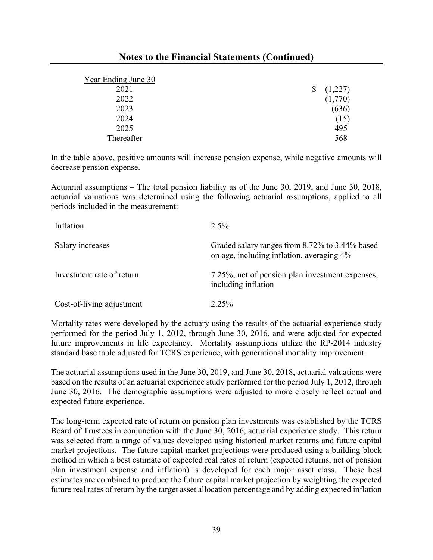| Year Ending June 30 |         |
|---------------------|---------|
| 2021                | (1,227) |
| 2022                | (1,770) |
| 2023                | (636)   |
| 2024                | (15)    |
| 2025                | 495     |
| Thereafter          | 568     |

In the table above, positive amounts will increase pension expense, while negative amounts will decrease pension expense.

Actuarial assumptions – The total pension liability as of the June 30, 2019, and June 30, 2018, actuarial valuations was determined using the following actuarial assumptions, applied to all periods included in the measurement:

| Inflation                 | $2.5\%$                                                                                     |
|---------------------------|---------------------------------------------------------------------------------------------|
| Salary increases          | Graded salary ranges from 8.72% to 3.44% based<br>on age, including inflation, averaging 4% |
| Investment rate of return | 7.25%, net of pension plan investment expenses,<br>including inflation                      |
| Cost-of-living adjustment | $2.25\%$                                                                                    |

Mortality rates were developed by the actuary using the results of the actuarial experience study performed for the period July 1, 2012, through June 30, 2016, and were adjusted for expected future improvements in life expectancy. Mortality assumptions utilize the RP-2014 industry standard base table adjusted for TCRS experience, with generational mortality improvement.

The actuarial assumptions used in the June 30, 2019, and June 30, 2018, actuarial valuations were based on the results of an actuarial experience study performed for the period July 1, 2012, through June 30, 2016. The demographic assumptions were adjusted to more closely reflect actual and expected future experience.

The long-term expected rate of return on pension plan investments was established by the TCRS Board of Trustees in conjunction with the June 30, 2016, actuarial experience study. This return was selected from a range of values developed using historical market returns and future capital market projections. The future capital market projections were produced using a building-block method in which a best estimate of expected real rates of return (expected returns, net of pension plan investment expense and inflation) is developed for each major asset class. These best estimates are combined to produce the future capital market projection by weighting the expected future real rates of return by the target asset allocation percentage and by adding expected inflation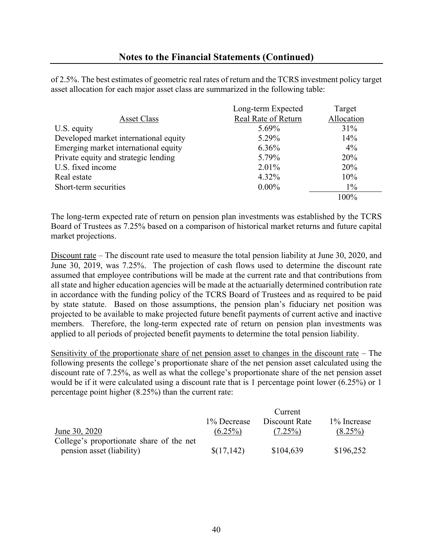of 2.5%. The best estimates of geometric real rates of return and the TCRS investment policy target asset allocation for each major asset class are summarized in the following table:

|                                       | Long-term Expected  | Target     |
|---------------------------------------|---------------------|------------|
| <b>Asset Class</b>                    | Real Rate of Return | Allocation |
| U.S. equity                           | 5.69%               | 31%        |
| Developed market international equity | 5.29%               | 14%        |
| Emerging market international equity  | $6.36\%$            | $4\%$      |
| Private equity and strategic lending  | 5.79%               | 20%        |
| U.S. fixed income                     | 2.01%               | 20%        |
| Real estate                           | 4.32%               | 10%        |
| Short-term securities                 | $0.00\%$            | $1\%$      |
|                                       |                     | 100%       |

The long-term expected rate of return on pension plan investments was established by the TCRS Board of Trustees as 7.25% based on a comparison of historical market returns and future capital market projections.

Discount rate – The discount rate used to measure the total pension liability at June 30, 2020, and June 30, 2019, was 7.25%. The projection of cash flows used to determine the discount rate assumed that employee contributions will be made at the current rate and that contributions from all state and higher education agencies will be made at the actuarially determined contribution rate in accordance with the funding policy of the TCRS Board of Trustees and as required to be paid by state statute. Based on those assumptions, the pension plan's fiduciary net position was projected to be available to make projected future benefit payments of current active and inactive members. Therefore, the long-term expected rate of return on pension plan investments was applied to all periods of projected benefit payments to determine the total pension liability.

Sensitivity of the proportionate share of net pension asset to changes in the discount rate – The following presents the college's proportionate share of the net pension asset calculated using the discount rate of 7.25%, as well as what the college's proportionate share of the net pension asset would be if it were calculated using a discount rate that is 1 percentage point lower (6.25%) or 1 percentage point higher (8.25%) than the current rate:

|                                          |             | Current       |              |
|------------------------------------------|-------------|---------------|--------------|
|                                          | 1% Decrease | Discount Rate | 1\% Increase |
| June 30, 2020                            | $(6.25\%)$  | $(7.25\%)$    | $(8.25\%)$   |
| College's proportionate share of the net |             |               |              |
| pension asset (liability)                | \$(17,142)  | \$104,639     | \$196,252    |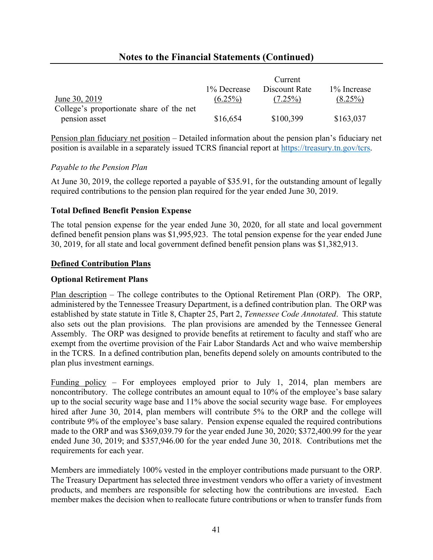|                                                           |             | Current       |              |
|-----------------------------------------------------------|-------------|---------------|--------------|
|                                                           | 1% Decrease | Discount Rate | 1\% Increase |
| June 30, 2019                                             | $(6.25\%)$  | $(7.25\%)$    | $(8.25\%)$   |
| College's proportionate share of the net<br>pension asset | \$16,654    | \$100,399     | \$163,037    |

Pension plan fiduciary net position – Detailed information about the pension plan's fiduciary net position is available in a separately issued TCRS financial report at [https://treasury.tn.gov/tcrs.](https://treasury.tn.gov/tcrs) 

#### *Payable to the Pension Plan*

At June 30, 2019, the college reported a payable of \$35.91, for the outstanding amount of legally required contributions to the pension plan required for the year ended June 30, 2019.

#### **Total Defined Benefit Pension Expense**

The total pension expense for the year ended June 30, 2020, for all state and local government defined benefit pension plans was \$1,995,923. The total pension expense for the year ended June 30, 2019, for all state and local government defined benefit pension plans was \$1,382,913.

#### **Defined Contribution Plans**

#### **Optional Retirement Plans**

Plan description – The college contributes to the Optional Retirement Plan (ORP). The ORP, administered by the Tennessee Treasury Department, is a defined contribution plan. The ORP was established by state statute in Title 8, Chapter 25, Part 2, *Tennessee Code Annotated*. This statute also sets out the plan provisions. The plan provisions are amended by the Tennessee General Assembly. The ORP was designed to provide benefits at retirement to faculty and staff who are exempt from the overtime provision of the Fair Labor Standards Act and who waive membership in the TCRS. In a defined contribution plan, benefits depend solely on amounts contributed to the plan plus investment earnings.

Funding policy – For employees employed prior to July 1, 2014, plan members are noncontributory. The college contributes an amount equal to 10% of the employee's base salary up to the social security wage base and 11% above the social security wage base. For employees hired after June 30, 2014, plan members will contribute 5% to the ORP and the college will contribute 9% of the employee's base salary. Pension expense equaled the required contributions made to the ORP and was \$369,039.79 for the year ended June 30, 2020; \$372,400.99 for the year ended June 30, 2019; and \$357,946.00 for the year ended June 30, 2018. Contributions met the requirements for each year.

Members are immediately 100% vested in the employer contributions made pursuant to the ORP. The Treasury Department has selected three investment vendors who offer a variety of investment products, and members are responsible for selecting how the contributions are invested. Each member makes the decision when to reallocate future contributions or when to transfer funds from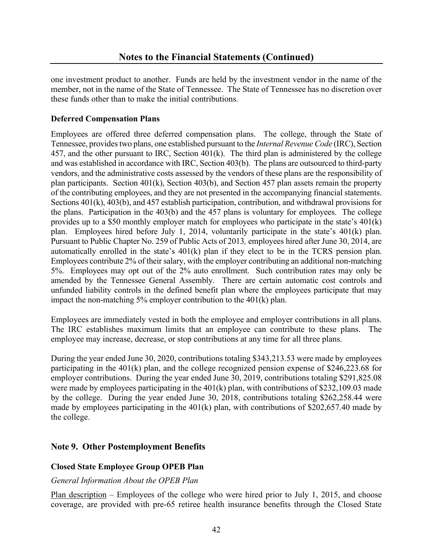one investment product to another. Funds are held by the investment vendor in the name of the member, not in the name of the State of Tennessee. The State of Tennessee has no discretion over these funds other than to make the initial contributions.

#### **Deferred Compensation Plans**

Employees are offered three deferred compensation plans. The college, through the State of Tennessee, provides two plans, one established pursuant to the *Internal Revenue Code* (IRC), Section 457, and the other pursuant to IRC, Section 401(k). The third plan is administered by the college and was established in accordance with IRC, Section 403(b). The plans are outsourced to third-party vendors, and the administrative costs assessed by the vendors of these plans are the responsibility of plan participants. Section 401(k), Section 403(b), and Section 457 plan assets remain the property of the contributing employees, and they are not presented in the accompanying financial statements. Sections 401(k), 403(b), and 457 establish participation, contribution, and withdrawal provisions for the plans. Participation in the 403(b) and the 457 plans is voluntary for employees. The college provides up to a \$50 monthly employer match for employees who participate in the state's 401(k) plan. Employees hired before July 1, 2014, voluntarily participate in the state's 401(k) plan. Pursuant to Public Chapter No. 259 of Public Acts of 2013*,* employees hired after June 30, 2014, are automatically enrolled in the state's 401(k) plan if they elect to be in the TCRS pension plan. Employees contribute 2% of their salary, with the employer contributing an additional non-matching 5%. Employees may opt out of the 2% auto enrollment. Such contribution rates may only be amended by the Tennessee General Assembly. There are certain automatic cost controls and unfunded liability controls in the defined benefit plan where the employees participate that may impact the non-matching 5% employer contribution to the 401(k) plan.

Employees are immediately vested in both the employee and employer contributions in all plans. The IRC establishes maximum limits that an employee can contribute to these plans. The employee may increase, decrease, or stop contributions at any time for all three plans.

During the year ended June 30, 2020, contributions totaling \$343,213.53 were made by employees participating in the 401(k) plan, and the college recognized pension expense of \$246,223.68 for employer contributions. During the year ended June 30, 2019, contributions totaling \$291,825.08 were made by employees participating in the 401(k) plan, with contributions of \$232,109.03 made by the college. During the year ended June 30, 2018, contributions totaling \$262,258.44 were made by employees participating in the 401(k) plan, with contributions of \$202,657.40 made by the college.

# **Note 9. Other Postemployment Benefits**

#### **Closed State Employee Group OPEB Plan**

#### *General Information About the OPEB Plan*

Plan description – Employees of the college who were hired prior to July 1, 2015, and choose coverage, are provided with pre-65 retiree health insurance benefits through the Closed State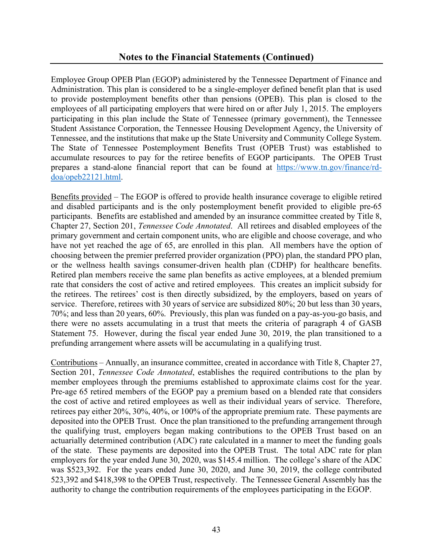Employee Group OPEB Plan (EGOP) administered by the Tennessee Department of Finance and Administration. This plan is considered to be a single-employer defined benefit plan that is used to provide postemployment benefits other than pensions (OPEB). This plan is closed to the employees of all participating employers that were hired on or after July 1, 2015. The employers participating in this plan include the State of Tennessee (primary government), the Tennessee Student Assistance Corporation, the Tennessee Housing Development Agency, the University of Tennessee, and the institutions that make up the State University and Community College System. The State of Tennessee Postemployment Benefits Trust (OPEB Trust) was established to accumulate resources to pay for the retiree benefits of EGOP participants. The OPEB Trust [prepares a stand-alone financial report that can be found at https://www.tn.gov/finance/rd](https://www.tn.gov/finance/rd-doa/43)doa/opeb22121.html.

Benefits provided – The EGOP is offered to provide health insurance coverage to eligible retired and disabled participants and is the only postemployment benefit provided to eligible pre-65 participants. Benefits are established and amended by an insurance committee created by Title 8, Chapter 27, Section 201, *Tennessee Code Annotated*. All retirees and disabled employees of the primary government and certain component units, who are eligible and choose coverage, and who have not yet reached the age of 65, are enrolled in this plan. All members have the option of choosing between the premier preferred provider organization (PPO) plan, the standard PPO plan, or the wellness health savings consumer-driven health plan (CDHP) for healthcare benefits. Retired plan members receive the same plan benefits as active employees, at a blended premium rate that considers the cost of active and retired employees. This creates an implicit subsidy for the retirees. The retirees' cost is then directly subsidized, by the employers, based on years of service. Therefore, retirees with 30 years of service are subsidized 80%; 20 but less than 30 years, 70%; and less than 20 years, 60%. Previously, this plan was funded on a pay-as-you-go basis, and there were no assets accumulating in a trust that meets the criteria of paragraph 4 of GASB Statement 75. However, during the fiscal year ended June 30, 2019, the plan transitioned to a prefunding arrangement where assets will be accumulating in a qualifying trust.

Contributions – Annually, an insurance committee, created in accordance with Title 8, Chapter 27, Section 201, *Tennessee Code Annotated*, establishes the required contributions to the plan by member employees through the premiums established to approximate claims cost for the year. Pre-age 65 retired members of the EGOP pay a premium based on a blended rate that considers the cost of active and retired employees as well as their individual years of service. Therefore, retirees pay either 20%, 30%, 40%, or 100% of the appropriate premium rate. These payments are deposited into the OPEB Trust. Once the plan transitioned to the prefunding arrangement through the qualifying trust, employers began making contributions to the OPEB Trust based on an actuarially determined contribution (ADC) rate calculated in a manner to meet the funding goals of the state. These payments are deposited into the OPEB Trust. The total ADC rate for plan employers for the year ended June 30, 2020, was \$145.4 million. The college's share of the ADC was \$523,392. For the years ended June 30, 2020, and June 30, 2019, the college contributed 523,392 and \$418,398 to the OPEB Trust, respectively. The Tennessee General Assembly has the authority to change the contribution requirements of the employees participating in the EGOP.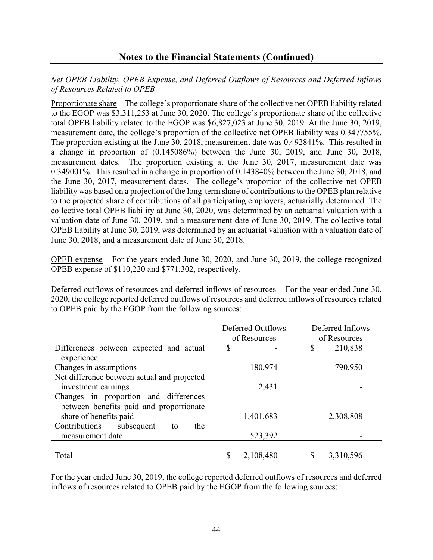#### *Net OPEB Liability, OPEB Expense, and Deferred Outflows of Resources and Deferred Inflows of Resources Related to OPEB*

Proportionate share – The college's proportionate share of the collective net OPEB liability related to the EGOP was \$3,311,253 at June 30, 2020. The college's proportionate share of the collective total OPEB liability related to the EGOP was \$6,827,023 at June 30, 2019. At the June 30, 2019, measurement date, the college's proportion of the collective net OPEB liability was 0.347755%. The proportion existing at the June 30, 2018, measurement date was 0.492841%. This resulted in a change in proportion of (0.145086%) between the June 30, 2019, and June 30, 2018, measurement dates. The proportion existing at the June 30, 2017, measurement date was 0.349001%. This resulted in a change in proportion of 0.143840% between the June 30, 2018, and the June 30, 2017, measurement dates. The college's proportion of the collective net OPEB liability was based on a projection of the long-term share of contributions to the OPEB plan relative to the projected share of contributions of all participating employers, actuarially determined. The collective total OPEB liability at June 30, 2020, was determined by an actuarial valuation with a valuation date of June 30, 2019, and a measurement date of June 30, 2019. The collective total OPEB liability at June 30, 2019, was determined by an actuarial valuation with a valuation date of June 30, 2018, and a measurement date of June 30, 2018.

OPEB expense – For the years ended June 30, 2020, and June 30, 2019, the college recognized OPEB expense of \$110,220 and \$771,302, respectively.

Deferred outflows of resources and deferred inflows of resources – For the year ended June 30, 2020, the college reported deferred outflows of resources and deferred inflows of resources related to OPEB paid by the EGOP from the following sources:

|                                                                                  | Deferred Outflows | Deferred Inflows |
|----------------------------------------------------------------------------------|-------------------|------------------|
|                                                                                  | of Resources      | of Resources     |
| Differences between expected and actual<br>experience                            | $\mathbb{S}$      | \$<br>210,838    |
| Changes in assumptions                                                           | 180,974           | 790,950          |
| Net difference between actual and projected<br>investment earnings               | 2,431             |                  |
| Changes in proportion and differences<br>between benefits paid and proportionate |                   |                  |
| share of benefits paid                                                           | 1,401,683         | 2,308,808        |
| Contributions<br>subsequent<br>the<br>to                                         |                   |                  |
| measurement date                                                                 | 523,392           |                  |
|                                                                                  |                   |                  |
| Total                                                                            | \$<br>2,108,480   | \$<br>3,310,596  |

For the year ended June 30, 2019, the college reported deferred outflows of resources and deferred inflows of resources related to OPEB paid by the EGOP from the following sources: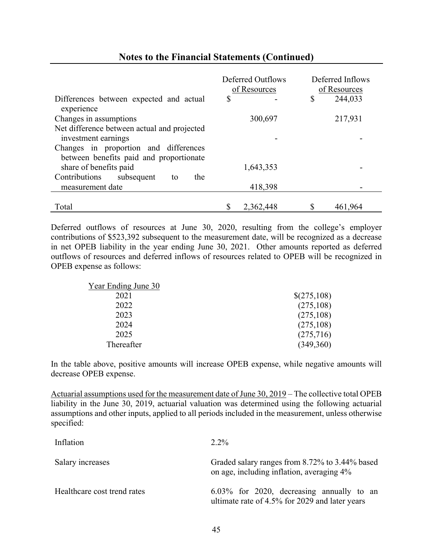|                                                       | Deferred Outflows<br>of Resources |   | Deferred Inflows<br>of Resources |
|-------------------------------------------------------|-----------------------------------|---|----------------------------------|
| Differences between expected and actual<br>experience | \$                                | S | 244,033                          |
| Changes in assumptions                                | 300,697                           |   | 217,931                          |
| Net difference between actual and projected           |                                   |   |                                  |
| investment earnings                                   |                                   |   |                                  |
| Changes in proportion and differences                 |                                   |   |                                  |
| between benefits paid and proportionate               |                                   |   |                                  |
| share of benefits paid                                | 1,643,353                         |   |                                  |
| Contributions<br>subsequent<br>the<br>to              |                                   |   |                                  |
| measurement date                                      | 418,398                           |   |                                  |
|                                                       |                                   |   |                                  |
| Total                                                 | S<br>2,362,448                    |   | 461,964                          |

Deferred outflows of resources at June 30, 2020, resulting from the college's employer contributions of \$523,392 subsequent to the measurement date, will be recognized as a decrease in net OPEB liability in the year ending June 30, 2021. Other amounts reported as deferred outflows of resources and deferred inflows of resources related to OPEB will be recognized in OPEB expense as follows:

| 2021       | \$(275,108) |
|------------|-------------|
| 2022       | (275,108)   |
| 2023       | (275,108)   |
| 2024       | (275, 108)  |
| 2025       | (275,716)   |
| Thereafter | (349,360)   |

In the table above, positive amounts will increase OPEB expense, while negative amounts will decrease OPEB expense.

Actuarial assumptions used for the measurement date of June 30, 2019 – The collective total OPEB liability in the June 30, 2019, actuarial valuation was determined using the following actuarial assumptions and other inputs, applied to all periods included in the measurement, unless otherwise specified:

| Inflation                   | $2.2\%$                                                                                     |
|-----------------------------|---------------------------------------------------------------------------------------------|
| Salary increases            | Graded salary ranges from 8.72% to 3.44% based<br>on age, including inflation, averaging 4% |
| Healthcare cost trend rates | 6.03% for 2020, decreasing annually to an<br>ultimate rate of 4.5% for 2029 and later years |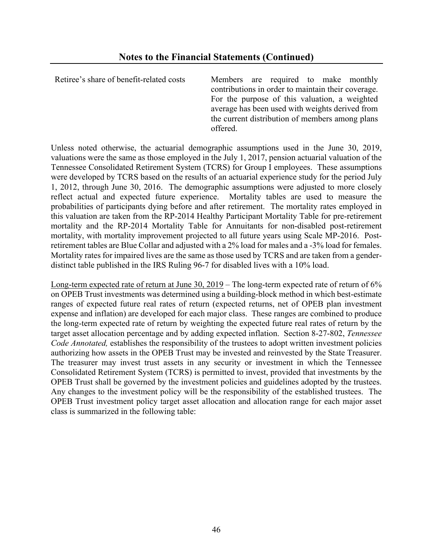Retiree's share of benefit-related costs Members are required to make monthly contributions in order to maintain their coverage. For the purpose of this valuation, a weighted average has been used with weights derived from the current distribution of members among plans offered.

Unless noted otherwise, the actuarial demographic assumptions used in the June 30, 2019, valuations were the same as those employed in the July 1, 2017, pension actuarial valuation of the Tennessee Consolidated Retirement System (TCRS) for Group I employees. These assumptions were developed by TCRS based on the results of an actuarial experience study for the period July 1, 2012, through June 30, 2016. The demographic assumptions were adjusted to more closely reflect actual and expected future experience. Mortality tables are used to measure the probabilities of participants dying before and after retirement. The mortality rates employed in this valuation are taken from the RP-2014 Healthy Participant Mortality Table for pre-retirement mortality and the RP-2014 Mortality Table for Annuitants for non-disabled post-retirement mortality, with mortality improvement projected to all future years using Scale MP-2016. Postretirement tables are Blue Collar and adjusted with a 2% load for males and a -3% load for females. Mortality rates for impaired lives are the same as those used by TCRS and are taken from a genderdistinct table published in the IRS Ruling 96-7 for disabled lives with a 10% load.

Long-term expected rate of return at June 30, 2019 – The long-term expected rate of return of 6% on OPEB Trust investments was determined using a building-block method in which best-estimate ranges of expected future real rates of return (expected returns, net of OPEB plan investment expense and inflation) are developed for each major class. These ranges are combined to produce the long-term expected rate of return by weighting the expected future real rates of return by the target asset allocation percentage and by adding expected inflation. Section 8-27-802, *Tennessee Code Annotated,* establishes the responsibility of the trustees to adopt written investment policies authorizing how assets in the OPEB Trust may be invested and reinvested by the State Treasurer. The treasurer may invest trust assets in any security or investment in which the Tennessee Consolidated Retirement System (TCRS) is permitted to invest, provided that investments by the OPEB Trust shall be governed by the investment policies and guidelines adopted by the trustees. Any changes to the investment policy will be the responsibility of the established trustees. The OPEB Trust investment policy target asset allocation and allocation range for each major asset class is summarized in the following table: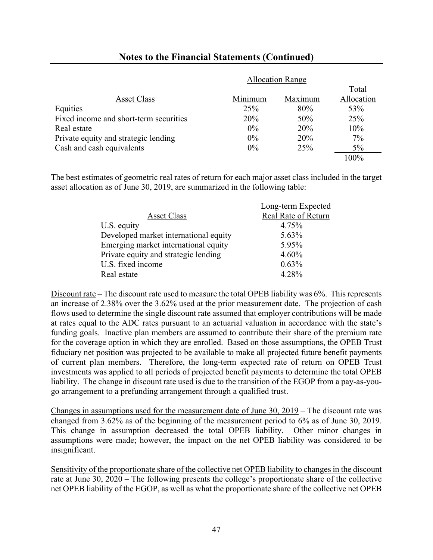|                                        | <b>Allocation Range</b> |         |            |
|----------------------------------------|-------------------------|---------|------------|
|                                        |                         |         | Total      |
| <b>Asset Class</b>                     | Minimum                 | Maximum | Allocation |
| Equities                               | 25%                     | 80%     | 53%        |
| Fixed income and short-term securities | 20%                     | 50%     | 25%        |
| Real estate                            | $0\%$                   | 20%     | 10%        |
| Private equity and strategic lending   | $0\%$                   | 20%     | 7%         |
| Cash and cash equivalents              | $0\%$                   | 25%     | $5\%$      |
|                                        |                         |         | 100%       |

The best estimates of geometric real rates of return for each major asset class included in the target asset allocation as of June 30, 2019, are summarized in the following table:

|                                       | Long-term Expected  |
|---------------------------------------|---------------------|
| <b>Asset Class</b>                    | Real Rate of Return |
| U.S. equity                           | 4.75%               |
| Developed market international equity | 5.63%               |
| Emerging market international equity  | 5.95%               |
| Private equity and strategic lending  | 4.60%               |
| U.S. fixed income                     | 0.63%               |
| Real estate                           | 4.28%               |

Discount rate – The discount rate used to measure the total OPEB liability was 6%. This represents an increase of 2.38% over the 3.62% used at the prior measurement date. The projection of cash flows used to determine the single discount rate assumed that employer contributions will be made at rates equal to the ADC rates pursuant to an actuarial valuation in accordance with the state's funding goals. Inactive plan members are assumed to contribute their share of the premium rate for the coverage option in which they are enrolled. Based on those assumptions, the OPEB Trust fiduciary net position was projected to be available to make all projected future benefit payments of current plan members. Therefore, the long-term expected rate of return on OPEB Trust investments was applied to all periods of projected benefit payments to determine the total OPEB liability. The change in discount rate used is due to the transition of the EGOP from a pay-as-yougo arrangement to a prefunding arrangement through a qualified trust.

Changes in assumptions used for the measurement date of June  $30$ ,  $2019$  – The discount rate was changed from 3.62% as of the beginning of the measurement period to 6% as of June 30, 2019. This change in assumption decreased the total OPEB liability. Other minor changes in assumptions were made; however, the impact on the net OPEB liability was considered to be insignificant.

Sensitivity of the proportionate share of the collective net OPEB liability to changes in the discount rate at June 30, 2020 – The following presents the college's proportionate share of the collective net OPEB liability of the EGOP, as well as what the proportionate share of the collective net OPEB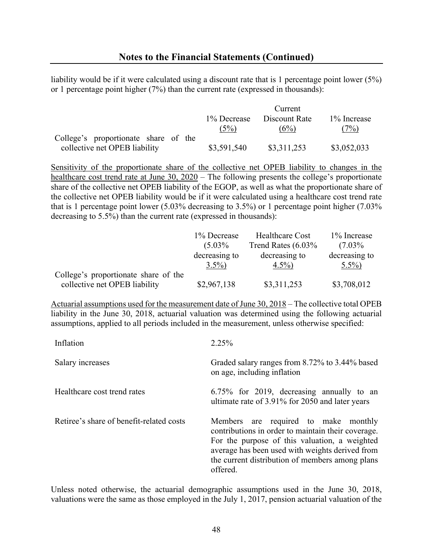liability would be if it were calculated using a discount rate that is 1 percentage point lower (5%) or 1 percentage point higher (7%) than the current rate (expressed in thousands):

|                                      |             | Current       |              |
|--------------------------------------|-------------|---------------|--------------|
|                                      | 1% Decrease | Discount Rate | 1\% Increase |
|                                      | (5%)        | (6%)          | (7%)         |
| College's proportionate share of the |             |               |              |
| collective net OPEB liability        | \$3,591,540 | \$3,311,253   | \$3,052,033  |

Sensitivity of the proportionate share of the collective net OPEB liability to changes in the healthcare cost trend rate at June 30, 2020 – The following presents the college's proportionate share of the collective net OPEB liability of the EGOP, as well as what the proportionate share of the collective net OPEB liability would be if it were calculated using a healthcare cost trend rate that is 1 percentage point lower (5.03% decreasing to 3.5%) or 1 percentage point higher (7.03% decreasing to 5.5%) than the current rate (expressed in thousands):

|                                      | 1% Decrease   | Healthcare Cost       | 1% Increase   |
|--------------------------------------|---------------|-----------------------|---------------|
|                                      | $(5.03\%$     | Trend Rates $(6.03\%$ | $(7.03\%$     |
|                                      | decreasing to | decreasing to         | decreasing to |
|                                      | $3.5\%$       | $4.5\%$               | $5.5\%$       |
| College's proportionate share of the |               |                       |               |
| collective net OPEB liability        | \$2,967,138   | \$3,311,253           | \$3,708,012   |

Actuarial assumptions used for the measurement date of June 30, 2018 – The collective total OPEB liability in the June 30, 2018, actuarial valuation was determined using the following actuarial assumptions, applied to all periods included in the measurement, unless otherwise specified:

| Inflation                                | 2.25%                                                                                                                                                                                                                                                         |
|------------------------------------------|---------------------------------------------------------------------------------------------------------------------------------------------------------------------------------------------------------------------------------------------------------------|
| Salary increases                         | Graded salary ranges from 8.72% to 3.44% based<br>on age, including inflation                                                                                                                                                                                 |
| Healthcare cost trend rates              | 6.75% for 2019, decreasing annually to an<br>ultimate rate of 3.91% for 2050 and later years                                                                                                                                                                  |
| Retiree's share of benefit-related costs | Members are required to make monthly<br>contributions in order to maintain their coverage.<br>For the purpose of this valuation, a weighted<br>average has been used with weights derived from<br>the current distribution of members among plans<br>offered. |

Unless noted otherwise, the actuarial demographic assumptions used in the June 30, 2018, valuations were the same as those employed in the July 1, 2017, pension actuarial valuation of the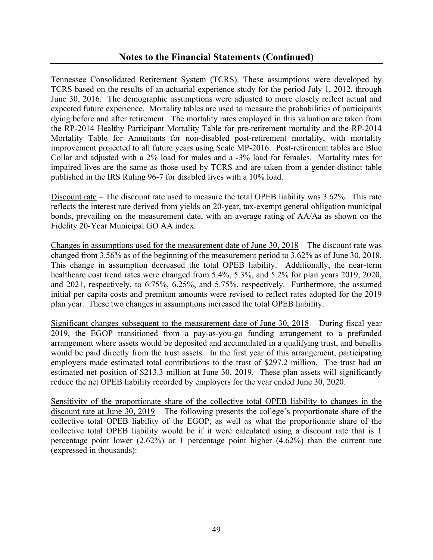Tennessee Consolidated Retirement System (TCRS). These assumptions were developed by TCRS based on the results of an actuarial experience study for the period July 1, 2012, through June 30, 2016. The demographic assumptions were adjusted to more closely reflect actual and expected future experience. Mortality tables are used to measure the probabilities of participants dying before and after retirement. The mortality rates employed in this valuation are taken from the RP-2014 Healthy Participant Mortality Table for pre-retirement mortality and the RP-2014 Mortality Table for Annuitants for non-disabled post-retirement mortality, with mortality improvement projected to all future years using Scale MP-2016. Post-retirement tables are Blue Collar and adjusted with a 2% load for males and a -3% load for females. Mortality rates for impaired lives are the same as those used by TCRS and are taken from a gender-distinct table published in the IRS Ruling 96-7 for disabled lives with a 10% load.

Discount rate – The discount rate used to measure the total OPEB liability was 3.62%. This rate reflects the interest rate derived from yields on 20-year, tax-exempt general obligation municipal bonds, prevailing on the measurement date, with an average rating of AA/Aa as shown on the Fidelity 20-Year Municipal GO AA index.

Changes in assumptions used for the measurement date of June 30, 2018 – The discount rate was changed from 3.56% as of the beginning of the measurement period to 3.62% as of June 30, 2018. This change in assumption decreased the total OPEB liability. Additionally, the near-term healthcare cost trend rates were changed from 5.4%, 5.3%, and 5.2% for plan years 2019, 2020, and 2021, respectively, to 6.75%, 6.25%, and 5.75%, respectively. Furthermore, the assumed initial per capita costs and premium amounts were revised to reflect rates adopted for the 2019 plan year. These two changes in assumptions increased the total OPEB liability.

Significant changes subsequent to the measurement date of June 30, 2018 – During fiscal year 2019, the EGOP transitioned from a pay-as-you-go funding arrangement to a prefunded arrangement where assets would be deposited and accumulated in a qualifying trust, and benefits would be paid directly from the trust assets. In the first year of this arrangement, participating employers made estimated total contributions to the trust of \$297.2 million. The trust had an estimated net position of \$213.3 million at June 30, 2019. These plan assets will significantly reduce the net OPEB liability recorded by employers for the year ended June 30, 2020.

Sensitivity of the proportionate share of the collective total OPEB liability to changes in the discount rate at June 30, 2019 – The following presents the college's proportionate share of the collective total OPEB liability of the EGOP, as well as what the proportionate share of the collective total OPEB liability would be if it were calculated using a discount rate that is 1 percentage point lower (2.62%) or 1 percentage point higher (4.62%) than the current rate (expressed in thousands):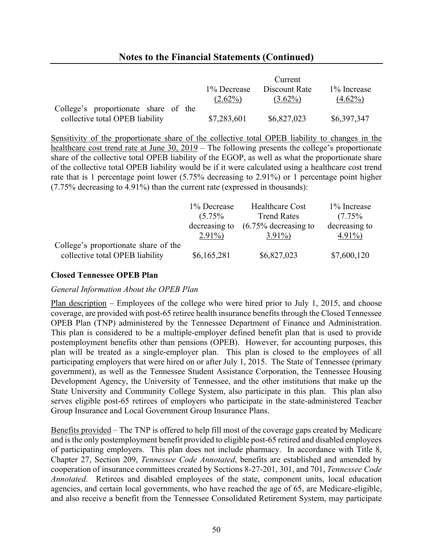|                                      |             | Current       |              |
|--------------------------------------|-------------|---------------|--------------|
|                                      | 1% Decrease | Discount Rate | 1\% Increase |
|                                      | $(2.62\%)$  | $(3.62\%)$    | $(4.62\%)$   |
| College's proportionate share of the |             |               |              |
| collective total OPEB liability      | \$7,283,601 | \$6,827,023   | \$6,397,347  |

Sensitivity of the proportionate share of the collective total OPEB liability to changes in the healthcare cost trend rate at June 30, 2019 – The following presents the college's proportionate share of the collective total OPEB liability of the EGOP, as well as what the proportionate share of the collective total OPEB liability would be if it were calculated using a healthcare cost trend rate that is 1 percentage point lower (5.75% decreasing to 2.91%) or 1 percentage point higher (7.75% decreasing to 4.91%) than the current rate (expressed in thousands):

|                                                                         | 1% Decrease   | <b>Healthcare Cost</b>  | 1% Increase   |
|-------------------------------------------------------------------------|---------------|-------------------------|---------------|
|                                                                         | (5.75%        | <b>Trend Rates</b>      | $(7.75\%$     |
|                                                                         | decreasing to | $(6.75\%$ decreasing to | decreasing to |
|                                                                         | $2.91\%$      | $3.91\%$                | $4.91\%$      |
| College's proportionate share of the<br>collective total OPEB liability | \$6,165,281   | \$6,827,023             | \$7,600,120   |
|                                                                         |               |                         |               |

#### **Closed Tennessee OPEB Plan**

#### *General Information About the OPEB Plan*

Plan description – Employees of the college who were hired prior to July 1, 2015, and choose coverage, are provided with post-65 retiree health insurance benefits through the Closed Tennessee OPEB Plan (TNP) administered by the Tennessee Department of Finance and Administration. This plan is considered to be a multiple-employer defined benefit plan that is used to provide postemployment benefits other than pensions (OPEB). However, for accounting purposes, this plan will be treated as a single-employer plan. This plan is closed to the employees of all participating employers that were hired on or after July 1, 2015. The State of Tennessee (primary government), as well as the Tennessee Student Assistance Corporation, the Tennessee Housing Development Agency, the University of Tennessee, and the other institutions that make up the State University and Community College System, also participate in this plan. This plan also serves eligible post-65 retirees of employers who participate in the state-administered Teacher Group Insurance and Local Government Group Insurance Plans.

Benefits provided – The TNP is offered to help fill most of the coverage gaps created by Medicare and is the only postemployment benefit provided to eligible post-65 retired and disabled employees of participating employers. This plan does not include pharmacy. In accordance with Title 8, Chapter 27, Section 209, *Tennessee Code Annotated*, benefits are established and amended by cooperation of insurance committees created by Sections 8-27-201, 301, and 701, *Tennessee Code Annotated*. Retirees and disabled employees of the state, component units, local education agencies, and certain local governments, who have reached the age of 65, are Medicare-eligible, and also receive a benefit from the Tennessee Consolidated Retirement System, may participate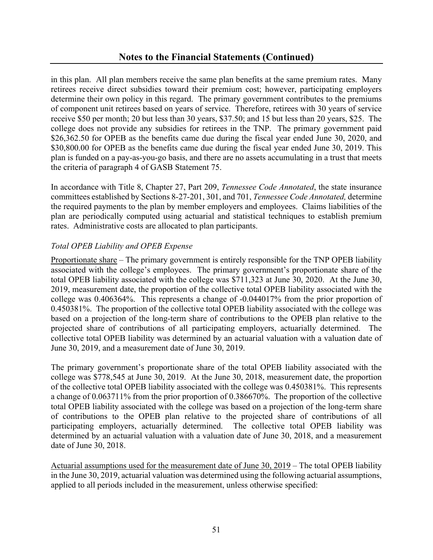in this plan. All plan members receive the same plan benefits at the same premium rates. Many retirees receive direct subsidies toward their premium cost; however, participating employers determine their own policy in this regard. The primary government contributes to the premiums of component unit retirees based on years of service. Therefore, retirees with 30 years of service receive \$50 per month; 20 but less than 30 years, \$37.50; and 15 but less than 20 years, \$25. The college does not provide any subsidies for retirees in the TNP. The primary government paid \$26,362.50 for OPEB as the benefits came due during the fiscal year ended June 30, 2020, and \$30,800.00 for OPEB as the benefits came due during the fiscal year ended June 30, 2019. This plan is funded on a pay-as-you-go basis, and there are no assets accumulating in a trust that meets the criteria of paragraph 4 of GASB Statement 75.

In accordance with Title 8, Chapter 27, Part 209, *Tennessee Code Annotated*, the state insurance committees established by Sections 8-27-201, 301, and 701, *Tennessee Code Annotated,* determine the required payments to the plan by member employers and employees. Claims liabilities of the plan are periodically computed using actuarial and statistical techniques to establish premium rates. Administrative costs are allocated to plan participants.

### *Total OPEB Liability and OPEB Expense*

Proportionate share – The primary government is entirely responsible for the TNP OPEB liability associated with the college's employees. The primary government's proportionate share of the total OPEB liability associated with the college was \$711,323 at June 30, 2020. At the June 30, 2019, measurement date, the proportion of the collective total OPEB liability associated with the college was 0.406364%. This represents a change of -0.044017% from the prior proportion of 0.450381%. The proportion of the collective total OPEB liability associated with the college was based on a projection of the long-term share of contributions to the OPEB plan relative to the projected share of contributions of all participating employers, actuarially determined. The collective total OPEB liability was determined by an actuarial valuation with a valuation date of June 30, 2019, and a measurement date of June 30, 2019.

The primary government's proportionate share of the total OPEB liability associated with the college was \$778,545 at June 30, 2019. At the June 30, 2018, measurement date, the proportion of the collective total OPEB liability associated with the college was 0.450381%. This represents a change of 0.063711% from the prior proportion of 0.386670%. The proportion of the collective total OPEB liability associated with the college was based on a projection of the long-term share of contributions to the OPEB plan relative to the projected share of contributions of all participating employers, actuarially determined. The collective total OPEB liability was determined by an actuarial valuation with a valuation date of June 30, 2018, and a measurement date of June 30, 2018.

Actuarial assumptions used for the measurement date of June 30, 2019 – The total OPEB liability in the June 30, 2019, actuarial valuation was determined using the following actuarial assumptions, applied to all periods included in the measurement, unless otherwise specified: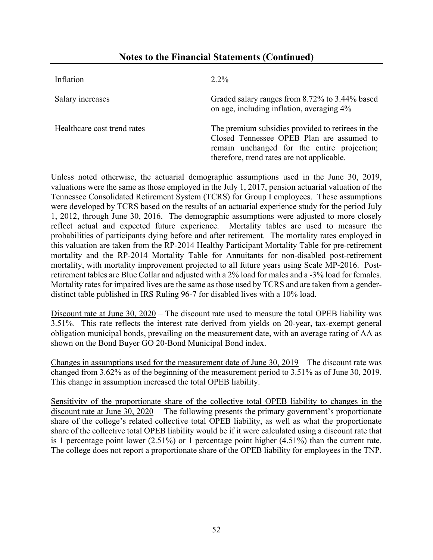| Inflation                   | $2.2\%$                                                                                                                                                                                     |
|-----------------------------|---------------------------------------------------------------------------------------------------------------------------------------------------------------------------------------------|
| Salary increases            | Graded salary ranges from 8.72% to 3.44% based<br>on age, including inflation, averaging 4%                                                                                                 |
| Healthcare cost trend rates | The premium subsidies provided to retirees in the<br>Closed Tennessee OPEB Plan are assumed to<br>remain unchanged for the entire projection;<br>therefore, trend rates are not applicable. |

Unless noted otherwise, the actuarial demographic assumptions used in the June 30, 2019, valuations were the same as those employed in the July 1, 2017, pension actuarial valuation of the Tennessee Consolidated Retirement System (TCRS) for Group I employees. These assumptions were developed by TCRS based on the results of an actuarial experience study for the period July 1, 2012, through June 30, 2016. The demographic assumptions were adjusted to more closely reflect actual and expected future experience. Mortality tables are used to measure the probabilities of participants dying before and after retirement. The mortality rates employed in this valuation are taken from the RP-2014 Healthy Participant Mortality Table for pre-retirement mortality and the RP-2014 Mortality Table for Annuitants for non-disabled post-retirement mortality, with mortality improvement projected to all future years using Scale MP-2016. Postretirement tables are Blue Collar and adjusted with a 2% load for males and a -3% load for females. Mortality rates for impaired lives are the same as those used by TCRS and are taken from a genderdistinct table published in IRS Ruling 96-7 for disabled lives with a 10% load.

Discount rate at June 30, 2020 – The discount rate used to measure the total OPEB liability was 3.51%. This rate reflects the interest rate derived from yields on 20-year, tax-exempt general obligation municipal bonds, prevailing on the measurement date, with an average rating of AA as shown on the Bond Buyer GO 20-Bond Municipal Bond index.

Changes in assumptions used for the measurement date of June 30, 2019 – The discount rate was changed from 3.62% as of the beginning of the measurement period to 3.51% as of June 30, 2019. This change in assumption increased the total OPEB liability.

Sensitivity of the proportionate share of the collective total OPEB liability to changes in the discount rate at June  $30, 2020$  – The following presents the primary government's proportionate share of the college's related collective total OPEB liability, as well as what the proportionate share of the collective total OPEB liability would be if it were calculated using a discount rate that is 1 percentage point lower (2.51%) or 1 percentage point higher (4.51%) than the current rate. The college does not report a proportionate share of the OPEB liability for employees in the TNP.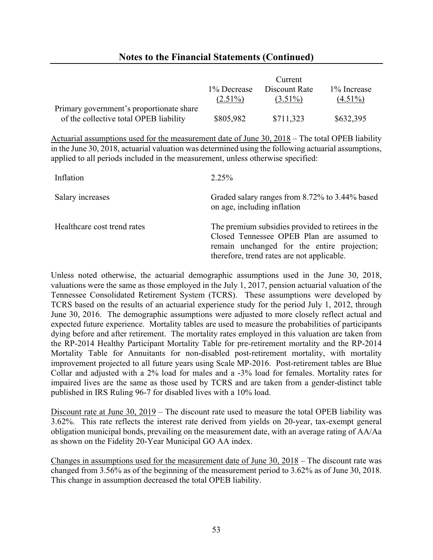|                                          |             | Current       |              |
|------------------------------------------|-------------|---------------|--------------|
|                                          | 1% Decrease | Discount Rate | 1\% Increase |
|                                          | $(2.51\%)$  | $(3.51\%)$    | $(4.51\%)$   |
| Primary government's proportionate share |             |               |              |
| of the collective total OPEB liability   | \$805,982   | \$711,323     | \$632,395    |

Actuarial assumptions used for the measurement date of June 30, 2018 – The total OPEB liability in the June 30, 2018, actuarial valuation was determined using the following actuarial assumptions, applied to all periods included in the measurement, unless otherwise specified:

| Inflation                   | 2.25%                                                                                                                                                                                       |
|-----------------------------|---------------------------------------------------------------------------------------------------------------------------------------------------------------------------------------------|
| Salary increases            | Graded salary ranges from 8.72% to 3.44% based<br>on age, including inflation                                                                                                               |
| Healthcare cost trend rates | The premium subsidies provided to retirees in the<br>Closed Tennessee OPEB Plan are assumed to<br>remain unchanged for the entire projection;<br>therefore, trend rates are not applicable. |

Unless noted otherwise, the actuarial demographic assumptions used in the June 30, 2018, valuations were the same as those employed in the July 1, 2017, pension actuarial valuation of the Tennessee Consolidated Retirement System (TCRS). These assumptions were developed by TCRS based on the results of an actuarial experience study for the period July 1, 2012, through June 30, 2016. The demographic assumptions were adjusted to more closely reflect actual and expected future experience. Mortality tables are used to measure the probabilities of participants dying before and after retirement. The mortality rates employed in this valuation are taken from the RP-2014 Healthy Participant Mortality Table for pre-retirement mortality and the RP-2014 Mortality Table for Annuitants for non-disabled post-retirement mortality, with mortality improvement projected to all future years using Scale MP-2016. Post-retirement tables are Blue Collar and adjusted with a 2% load for males and a -3% load for females. Mortality rates for impaired lives are the same as those used by TCRS and are taken from a gender-distinct table published in IRS Ruling 96-7 for disabled lives with a 10% load.

Discount rate at June 30, 2019 – The discount rate used to measure the total OPEB liability was 3.62%. This rate reflects the interest rate derived from yields on 20-year, tax-exempt general obligation municipal bonds, prevailing on the measurement date, with an average rating of AA/Aa as shown on the Fidelity 20-Year Municipal GO AA index.

Changes in assumptions used for the measurement date of June 30, 2018 – The discount rate was changed from 3.56% as of the beginning of the measurement period to 3.62% as of June 30, 2018. This change in assumption decreased the total OPEB liability.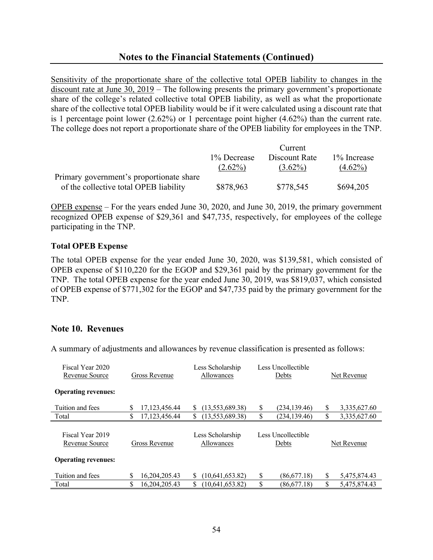Sensitivity of the proportionate share of the collective total OPEB liability to changes in the discount rate at June 30, 2019 – The following presents the primary government's proportionate share of the college's related collective total OPEB liability, as well as what the proportionate share of the collective total OPEB liability would be if it were calculated using a discount rate that is 1 percentage point lower (2.62%) or 1 percentage point higher (4.62%) than the current rate. The college does not report a proportionate share of the OPEB liability for employees in the TNP.

|                                          | Current     |               |              |  |  |
|------------------------------------------|-------------|---------------|--------------|--|--|
|                                          | 1% Decrease | Discount Rate | 1\% Increase |  |  |
|                                          | $(2.62\%)$  | $(3.62\%)$    | $(4.62\%)$   |  |  |
| Primary government's proportionate share |             |               |              |  |  |
| of the collective total OPEB liability   | \$878,963   | \$778,545     | \$694,205    |  |  |

OPEB expense – For the years ended June 30, 2020, and June 30, 2019, the primary government recognized OPEB expense of \$29,361 and \$47,735, respectively, for employees of the college participating in the TNP.

#### **Total OPEB Expense**

The total OPEB expense for the year ended June 30, 2020, was \$139,581, which consisted of OPEB expense of \$110,220 for the EGOP and \$29,361 paid by the primary government for the TNP. The total OPEB expense for the year ended June 30, 2019, was \$819,037, which consisted of OPEB expense of \$771,302 for the EGOP and \$47,735 paid by the primary government for the TNP.

#### **Note 10. Revenues**

A summary of adjustments and allowances by revenue classification is presented as follows:

| Fiscal Year 2020<br>Revenue Source |               | Gross Revenue |                                | Less Scholarship<br>Allowances | Less Uncollectible<br>Debts |    | Net Revenue  |  |
|------------------------------------|---------------|---------------|--------------------------------|--------------------------------|-----------------------------|----|--------------|--|
| <b>Operating revenues:</b>         |               |               |                                |                                |                             |    |              |  |
| Tuition and fees                   | \$            | 17,123,456.44 | S                              | (13, 553, 689.38)              | \$<br>(234, 139.46)         | \$ | 3,335,627.60 |  |
| Total                              | \$            | 17,123,456.44 | \$                             | (13, 553, 689.38)              | \$<br>(234, 139.46)         | \$ | 3,335,627.60 |  |
| Fiscal Year 2019<br>Revenue Source | Gross Revenue |               | Less Scholarship<br>Allowances |                                | Less Uncollectible<br>Debts |    | Net Revenue  |  |
| <b>Operating revenues:</b>         |               |               |                                |                                |                             |    |              |  |
| Tuition and fees                   | \$            | 16,204,205.43 | \$                             | (10,641,653.82)                | \$<br>(86, 677.18)          | \$ | 5,475,874.43 |  |
| Total                              | \$            | 16.204.205.43 | \$                             | (10,641,653.82)                | \$<br>(86, 677.18)          | \$ | 5.475.874.43 |  |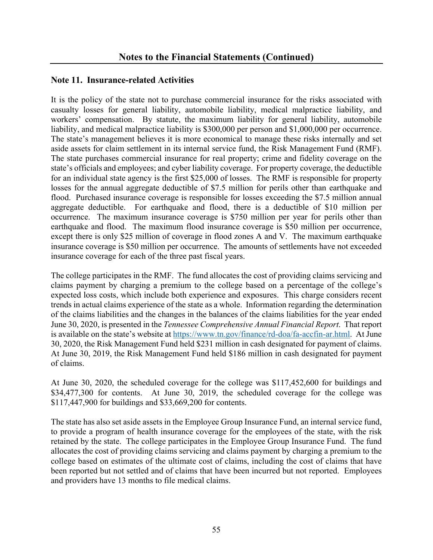#### **Note 11. Insurance-related Activities**

It is the policy of the state not to purchase commercial insurance for the risks associated with casualty losses for general liability, automobile liability, medical malpractice liability, and workers' compensation. By statute, the maximum liability for general liability, automobile liability, and medical malpractice liability is \$300,000 per person and \$1,000,000 per occurrence. The state's management believes it is more economical to manage these risks internally and set aside assets for claim settlement in its internal service fund, the Risk Management Fund (RMF). The state purchases commercial insurance for real property; crime and fidelity coverage on the state's officials and employees; and cyber liability coverage. For property coverage, the deductible for an individual state agency is the first \$25,000 of losses. The RMF is responsible for property losses for the annual aggregate deductible of \$7.5 million for perils other than earthquake and flood. Purchased insurance coverage is responsible for losses exceeding the \$7.5 million annual aggregate deductible. For earthquake and flood, there is a deductible of \$10 million per occurrence. The maximum insurance coverage is \$750 million per year for perils other than earthquake and flood. The maximum flood insurance coverage is \$50 million per occurrence, except there is only \$25 million of coverage in flood zones A and V. The maximum earthquake insurance coverage is \$50 million per occurrence. The amounts of settlements have not exceeded insurance coverage for each of the three past fiscal years.

The college participates in the RMF. The fund allocates the cost of providing claims servicing and claims payment by charging a premium to the college based on a percentage of the college's expected loss costs, which include both experience and exposures. This charge considers recent trends in actual claims experience of the state as a whole. Information regarding the determination of the claims liabilities and the changes in the balances of the claims liabilities for the year ended June 30, 2020, is presented in the *Tennessee Comprehensive Annual Financial Report*. That report is available on the state's website at [https://www.tn.gov/finance/rd-doa/fa-accfin-ar.html. A](https://www.tn.gov/finance/rd-doa/fa-accfin-ar.html)t June 30, 2020, the Risk Management Fund held \$231 million in cash designated for payment of claims. At June 30, 2019, the Risk Management Fund held \$186 million in cash designated for payment of claims.

At June 30, 2020, the scheduled coverage for the college was \$117,452,600 for buildings and \$34,477,300 for contents. At June 30, 2019, the scheduled coverage for the college was \$117,447,900 for buildings and \$33,669,200 for contents.

The state has also set aside assets in the Employee Group Insurance Fund, an internal service fund, to provide a program of health insurance coverage for the employees of the state, with the risk retained by the state. The college participates in the Employee Group Insurance Fund. The fund allocates the cost of providing claims servicing and claims payment by charging a premium to the college based on estimates of the ultimate cost of claims, including the cost of claims that have been reported but not settled and of claims that have been incurred but not reported. Employees and providers have 13 months to file medical claims.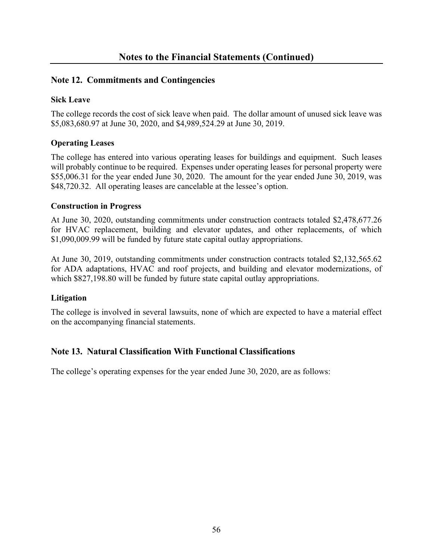### **Note 12. Commitments and Contingencies**

#### **Sick Leave**

The college records the cost of sick leave when paid. The dollar amount of unused sick leave was \$5,083,680.97 at June 30, 2020, and \$4,989,524.29 at June 30, 2019.

#### **Operating Leases**

The college has entered into various operating leases for buildings and equipment. Such leases will probably continue to be required. Expenses under operating leases for personal property were \$55,006.31 for the year ended June 30, 2020. The amount for the year ended June 30, 2019, was \$48,720.32. All operating leases are cancelable at the lessee's option.

#### **Construction in Progress**

At June 30, 2020, outstanding commitments under construction contracts totaled \$2,478,677.26 for HVAC replacement, building and elevator updates, and other replacements, of which \$1,090,009.99 will be funded by future state capital outlay appropriations.

At June 30, 2019, outstanding commitments under construction contracts totaled \$2,132,565.62 for ADA adaptations, HVAC and roof projects, and building and elevator modernizations, of which  $$827,198.80$  will be funded by future state capital outlay appropriations.

#### **Litigation**

The college is involved in several lawsuits, none of which are expected to have a material effect on the accompanying financial statements.

# **Note 13. Natural Classification With Functional Classifications**

The college's operating expenses for the year ended June 30, 2020, are as follows: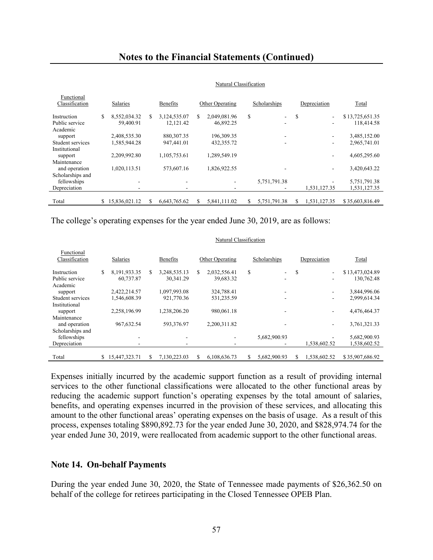| Functional<br>Classification |   | Salaries      |   | Benefits     |   | Other Operating |    | Scholarships |     | Depreciation                 | Total           |
|------------------------------|---|---------------|---|--------------|---|-----------------|----|--------------|-----|------------------------------|-----------------|
| Instruction                  | S | 8,552,034.32  | S | 3,124,535.07 | S | 2,049,081.96    | \$ | $\sim$       | S   | $\overline{\phantom{a}}$     | \$13,725,651.35 |
| Public service               |   | 59,400.91     |   | 12,121.42    |   | 46,892.25       |    |              |     |                              | 118,414.58      |
| Academic                     |   |               |   |              |   |                 |    |              |     |                              |                 |
| support                      |   | 2,408,535.30  |   | 880, 307. 35 |   | 196,309.35      |    |              |     | ۰                            | 3,485,152.00    |
| Student services             |   | 1,585,944.28  |   | 947,441.01   |   | 432,355.72      |    |              |     | $\blacksquare$               | 2,965,741.01    |
| Institutional                |   |               |   |              |   |                 |    |              |     |                              |                 |
| support                      |   | 2,209,992.80  |   | 1.105.753.61 |   | 1.289.549.19    |    |              |     | ۰                            | 4,605,295.60    |
| Maintenance                  |   |               |   |              |   |                 |    |              |     |                              |                 |
| and operation                |   | 1,020,113.51  |   | 573,607.16   |   | 1,826,922.55    |    |              |     | ٠                            | 3,420,643.22    |
| Scholarships and             |   |               |   |              |   |                 |    |              |     |                              |                 |
| fellowships                  |   |               |   |              |   |                 |    | 5,751,791.38 |     | $\qquad \qquad \blacksquare$ | 5,751,791.38    |
| Depreciation                 |   |               |   | ۰            |   |                 |    |              |     | 1,531,127.35                 | 1,531,127.35    |
|                              |   |               |   |              |   |                 |    |              |     |                              |                 |
| Total                        |   | 15.836.021.12 |   | 6,643,765.62 | S | 5,841,111.02    | S  | 5,751,791.38 | \$. | 1,531,127.35                 | \$35,603,816.49 |

#### Natural Classification

Natural Classification

The college's operating expenses for the year ended June 30, 2019, are as follows:

| Functional<br>Classification |   | Salaries      |   | Benefits     |     | Other Operating |    | Scholarships |    | Depreciation                 | Total           |
|------------------------------|---|---------------|---|--------------|-----|-----------------|----|--------------|----|------------------------------|-----------------|
| Instruction                  | S | 8,191,933.35  | S | 3,248,535.13 | \$. | 2,032,556.41    | \$ | ۰.           | \$ | $\overline{a}$               | \$13,473,024.89 |
| Public service               |   | 60,737.87     |   | 30.341.29    |     | 39,683.32       |    |              |    |                              | 130,762.48      |
| Academic                     |   |               |   |              |     |                 |    |              |    |                              |                 |
| support                      |   | 2,422,214.57  |   | 1,097,993.08 |     | 324,788.41      |    |              |    | ۰                            | 3,844,996.06    |
| Student services             |   | 1.546.608.39  |   | 921,770.36   |     | 531,235.59      |    |              |    | $\blacksquare$               | 2.999.614.34    |
| Institutional                |   |               |   |              |     |                 |    |              |    |                              |                 |
| support                      |   | 2,258,196.99  |   | 1.238.206.20 |     | 980,061.18      |    |              |    | $\qquad \qquad \blacksquare$ | 4,476,464.37    |
| Maintenance                  |   |               |   |              |     |                 |    |              |    |                              |                 |
| and operation                |   | 967,632.54    |   | 593,376.97   |     | 2,200,311.82    |    |              |    | $\qquad \qquad \blacksquare$ | 3,761,321.33    |
| Scholarships and             |   |               |   |              |     |                 |    |              |    |                              |                 |
| fellowships                  |   |               |   |              |     |                 |    | 5,682,900.93 |    |                              | 5,682,900.93    |
| Depreciation                 |   |               |   |              |     |                 |    |              |    | 1,538,602.52                 | 1,538,602.52    |
|                              |   |               |   |              |     |                 |    |              |    |                              |                 |
| Total                        |   | 15,447,323.71 |   | 7.130.223.03 | S   | 6.108.636.73    | S  | 5.682,900.93 | S  | 1.538.602.52                 | \$35,907,686.92 |

Expenses initially incurred by the academic support function as a result of providing internal services to the other functional classifications were allocated to the other functional areas by reducing the academic support function's operating expenses by the total amount of salaries, benefits, and operating expenses incurred in the provision of these services, and allocating this amount to the other functional areas' operating expenses on the basis of usage. As a result of this process, expenses totaling \$890,892.73 for the year ended June 30, 2020, and \$828,974.74 for the year ended June 30, 2019, were reallocated from academic support to the other functional areas.

#### **Note 14. On-behalf Payments**

During the year ended June 30, 2020, the State of Tennessee made payments of \$26,362.50 on behalf of the college for retirees participating in the Closed Tennessee OPEB Plan.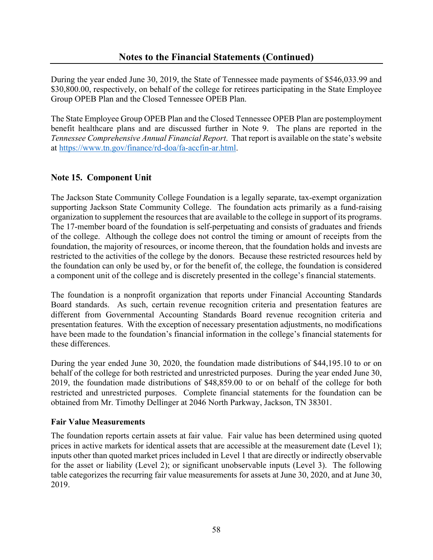During the year ended June 30, 2019, the State of Tennessee made payments of \$546,033.99 and \$30,800.00, respectively, on behalf of the college for retirees participating in the State Employee Group OPEB Plan and the Closed Tennessee OPEB Plan.

The State Employee Group OPEB Plan and the Closed Tennessee OPEB Plan are postemployment benefit healthcare plans and are discussed further in Note 9. The plans are reported in the *Tennessee Comprehensive Annual Financial Report*. That report is available on the state's website at [https://www.tn.gov/finance/rd-doa/fa-accfin-ar.html.](https://www.tn.gov/finance/rd-doa/fa-accfin-ar.html) 

### **Note 15. Component Unit**

The Jackson State Community College Foundation is a legally separate, tax-exempt organization supporting Jackson State Community College. The foundation acts primarily as a fund-raising organization to supplement the resources that are available to the college in support of its programs. The 17-member board of the foundation is self-perpetuating and consists of graduates and friends of the college. Although the college does not control the timing or amount of receipts from the foundation, the majority of resources, or income thereon, that the foundation holds and invests are restricted to the activities of the college by the donors. Because these restricted resources held by the foundation can only be used by, or for the benefit of, the college, the foundation is considered a component unit of the college and is discretely presented in the college's financial statements.

The foundation is a nonprofit organization that reports under Financial Accounting Standards Board standards. As such, certain revenue recognition criteria and presentation features are different from Governmental Accounting Standards Board revenue recognition criteria and presentation features. With the exception of necessary presentation adjustments, no modifications have been made to the foundation's financial information in the college's financial statements for these differences.

During the year ended June 30, 2020, the foundation made distributions of \$44,195.10 to or on behalf of the college for both restricted and unrestricted purposes. During the year ended June 30, 2019, the foundation made distributions of \$48,859.00 to or on behalf of the college for both restricted and unrestricted purposes. Complete financial statements for the foundation can be obtained from Mr. Timothy Dellinger at 2046 North Parkway, Jackson, TN 38301.

#### **Fair Value Measurements**

The foundation reports certain assets at fair value. Fair value has been determined using quoted prices in active markets for identical assets that are accessible at the measurement date (Level 1); inputs other than quoted market prices included in Level 1 that are directly or indirectly observable for the asset or liability (Level 2); or significant unobservable inputs (Level 3). The following table categorizes the recurring fair value measurements for assets at June 30, 2020, and at June 30, 2019.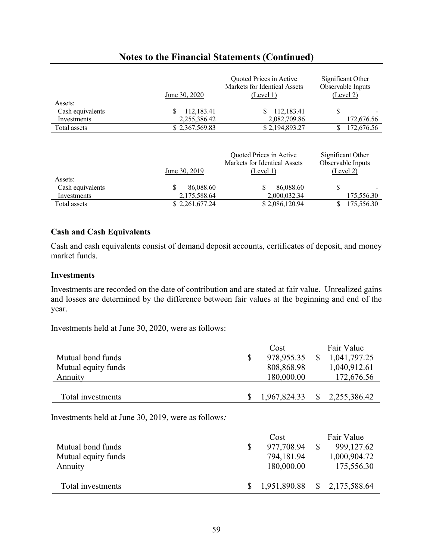|                  | June 30, 2020  | Quoted Prices in Active<br>Markets for Identical Assets<br>(Level 1) | Significant Other<br>Observable Inputs<br>(Level 2) |
|------------------|----------------|----------------------------------------------------------------------|-----------------------------------------------------|
| Assets:          |                |                                                                      |                                                     |
| Cash equivalents | 112,183.41     | 112,183.41                                                           |                                                     |
| Investments      | 2,255,386.42   | 2,082,709.86                                                         | 172,676.56                                          |
| Total assets     | \$2,367,569.83 | \$2,194,893.27                                                       | 172,676.56                                          |

|                  | June 30, 2019  | Quoted Prices in Active<br>Markets for Identical Assets<br>(Level 1) | Significant Other<br>Observable Inputs<br>(Level 2) |
|------------------|----------------|----------------------------------------------------------------------|-----------------------------------------------------|
| Assets:          |                |                                                                      |                                                     |
| Cash equivalents | 86,088.60      | 86,088.60                                                            |                                                     |
| Investments      | 2,175,588.64   | 2,000,032.34                                                         | 175,556.30                                          |
| Total assets     | \$2,261,677.24 | \$2,086,120.94                                                       | 175,556.30                                          |

### **Cash and Cash Equivalents**

Cash and cash equivalents consist of demand deposit accounts, certificates of deposit, and money market funds.

#### **Investments**

Investments are recorded on the date of contribution and are stated at fair value. Unrealized gains and losses are determined by the difference between fair values at the beginning and end of the year.

Investments held at June 30, 2020, were as follows:

| Mutual bond funds<br>Mutual equity funds<br>Annuity | \$ | Cost<br>978,955.35<br>808,868.98<br>180,000.00 | $\mathbb{S}$  | Fair Value<br>1,041,797.25<br>1,040,912.61<br>172,676.56 |
|-----------------------------------------------------|----|------------------------------------------------|---------------|----------------------------------------------------------|
| Total investments                                   | S  | 1,967,824.33                                   | <sup>S</sup>  | 2,255,386.42                                             |
| Investments held at June 30, 2019, were as follows: |    |                                                |               |                                                          |
| Mutual bond funds<br>Mutual equity funds<br>Annuity | \$ | Cost<br>977,708.94<br>794,181.94<br>180,000.00 | <sup>\$</sup> | Fair Value<br>999,127.62<br>1,000,904.72<br>175,556.30   |
| Total investments                                   | S  | 1,951,890.88                                   | S.            | 2,175,588.64                                             |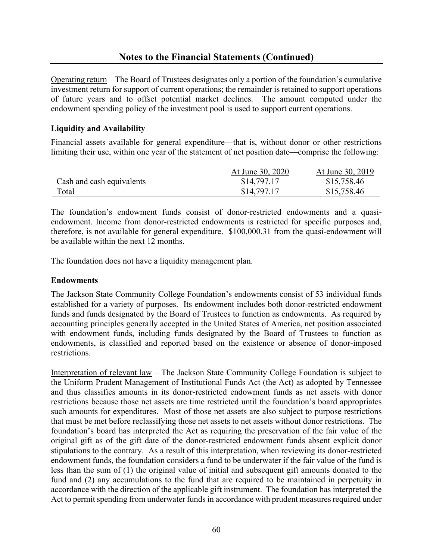Operating return *–* The Board of Trustees designates only a portion of the foundation's cumulative investment return for support of current operations; the remainder is retained to support operations of future years and to offset potential market declines. The amount computed under the endowment spending policy of the investment pool is used to support current operations.

#### **Liquidity and Availability**

Financial assets available for general expenditure—that is, without donor or other restrictions limiting their use, within one year of the statement of net position date—comprise the following:

|                           | At June 30, 2020 | At June 30, 2019 |
|---------------------------|------------------|------------------|
| Cash and cash equivalents | \$14,797.17      | \$15,758.46      |
| Total                     | \$14,797.17      | \$15,758.46      |

The foundation's endowment funds consist of donor-restricted endowments and a quasiendowment. Income from donor-restricted endowments is restricted for specific purposes and, therefore, is not available for general expenditure. \$100,000.31 from the quasi-endowment will be available within the next 12 months.

The foundation does not have a liquidity management plan.

#### **Endowments**

The Jackson State Community College Foundation's endowments consist of 53 individual funds established for a variety of purposes. Its endowment includes both donor-restricted endowment funds and funds designated by the Board of Trustees to function as endowments. As required by accounting principles generally accepted in the United States of America, net position associated with endowment funds, including funds designated by the Board of Trustees to function as endowments, is classified and reported based on the existence or absence of donor-imposed restrictions.

Interpretation of relevant law – The Jackson State Community College Foundation is subject to the Uniform Prudent Management of Institutional Funds Act (the Act) as adopted by Tennessee and thus classifies amounts in its donor-restricted endowment funds as net assets with donor restrictions because those net assets are time restricted until the foundation's board appropriates such amounts for expenditures. Most of those net assets are also subject to purpose restrictions that must be met before reclassifying those net assets to net assets without donor restrictions. The foundation's board has interpreted the Act as requiring the preservation of the fair value of the original gift as of the gift date of the donor-restricted endowment funds absent explicit donor stipulations to the contrary. As a result of this interpretation, when reviewing its donor-restricted endowment funds, the foundation considers a fund to be underwater if the fair value of the fund is less than the sum of (1) the original value of initial and subsequent gift amounts donated to the fund and (2) any accumulations to the fund that are required to be maintained in perpetuity in accordance with the direction of the applicable gift instrument. The foundation has interpreted the Act to permit spending from underwater funds in accordance with prudent measures required under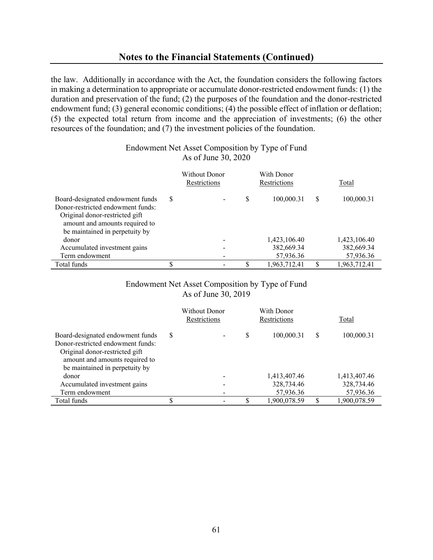the law. Additionally in accordance with the Act, the foundation considers the following factors in making a determination to appropriate or accumulate donor-restricted endowment funds: (1) the duration and preservation of the fund; (2) the purposes of the foundation and the donor-restricted endowment fund; (3) general economic conditions; (4) the possible effect of inflation or deflation; (5) the expected total return from income and the appreciation of investments; (6) the other resources of the foundation; and (7) the investment policies of the foundation.

#### Endowment Net Asset Composition by Type of Fund As of June 30, 2020

|                                                                                                                                                                             |   | <b>Without Donor</b><br>Restrictions |    | With Donor<br>Restrictions |     | Total                      |
|-----------------------------------------------------------------------------------------------------------------------------------------------------------------------------|---|--------------------------------------|----|----------------------------|-----|----------------------------|
| Board-designated endowment funds<br>Donor-restricted endowment funds:<br>Original donor-restricted gift<br>amount and amounts required to<br>be maintained in perpetuity by | S |                                      | \$ | 100,000.31                 | S   | 100,000.31                 |
| donor<br>Accumulated investment gains                                                                                                                                       |   |                                      |    | 1,423,106.40<br>382,669.34 |     | 1,423,106.40<br>382,669.34 |
| Term endowment<br>Total funds                                                                                                                                               | D |                                      | S  | 57,936.36<br>1.963.712.41  | \$. | 57,936.36<br>1,963,712.41  |

#### Endowment Net Asset Composition by Type of Fund As of June 30, 2019

|                                                                                                    |   | Without Donor<br>Restrictions |    | With Donor<br>Restrictions |   | Total        |
|----------------------------------------------------------------------------------------------------|---|-------------------------------|----|----------------------------|---|--------------|
| Board-designated endowment funds<br>Donor-restricted endowment funds:                              | S |                               | \$ | 100,000.31                 | S | 100,000.31   |
| Original donor-restricted gift<br>amount and amounts required to<br>be maintained in perpetuity by |   |                               |    |                            |   |              |
| donor                                                                                              |   |                               |    | 1,413,407.46               |   | 1,413,407.46 |
| Accumulated investment gains                                                                       |   |                               |    | 328,734.46                 |   | 328,734.46   |
| Term endowment                                                                                     |   |                               |    | 57,936.36                  |   | 57,936.36    |
| Total funds                                                                                        |   |                               | S  | 1,900,078.59               | S | 1,900,078.59 |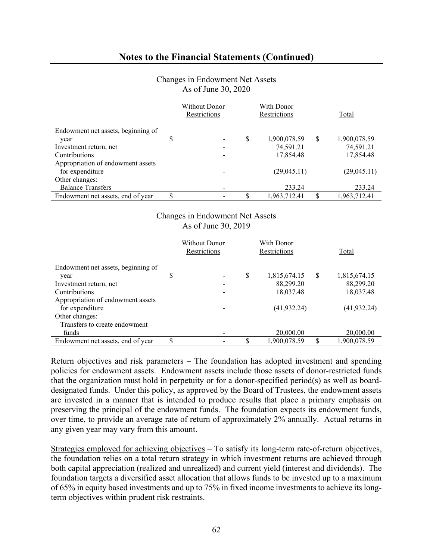|                                    |   | <b>Without Donor</b><br>Restrictions |    | With Donor<br>Restrictions |          | Total        |
|------------------------------------|---|--------------------------------------|----|----------------------------|----------|--------------|
| Endowment net assets, beginning of |   |                                      |    |                            |          |              |
| year                               | D |                                      | \$ | 1,900,078.59               | S        | 1,900,078.59 |
| Investment return, net             |   |                                      |    | 74,591.21                  |          | 74,591.21    |
| Contributions                      |   |                                      |    | 17,854.48                  |          | 17,854.48    |
| Appropriation of endowment assets  |   |                                      |    |                            |          |              |
| for expenditure                    |   |                                      |    | (29,045.11)                |          | (29,045.11)  |
| Other changes:                     |   |                                      |    |                            |          |              |
| <b>Balance Transfers</b>           |   |                                      |    | 233.24                     |          | 233.24       |
| Endowment net assets, end of year  | S |                                      | S  | 1,963,712.41               | <b>S</b> | 1,963,712.41 |

#### Changes in Endowment Net Assets As of June 30, 2020

#### Changes in Endowment Net Assets As of June 30, 2019

|                                    |   | <b>Without Donor</b><br>Restrictions |   | With Donor<br>Restrictions |   | Total        |
|------------------------------------|---|--------------------------------------|---|----------------------------|---|--------------|
| Endowment net assets, beginning of | S |                                      | S | 1,815,674.15               | S | 1,815,674.15 |
| year                               |   |                                      |   |                            |   |              |
| Investment return, net             |   |                                      |   | 88,299.20                  |   | 88,299.20    |
| Contributions                      |   |                                      |   | 18,037.48                  |   | 18,037.48    |
| Appropriation of endowment assets  |   |                                      |   |                            |   |              |
| for expenditure                    |   |                                      |   | (41, 932.24)               |   | (41, 932.24) |
| Other changes:                     |   |                                      |   |                            |   |              |
| Transfers to create endowment      |   |                                      |   |                            |   |              |
| funds                              |   |                                      |   | 20,000.00                  |   | 20,000.00    |
| Endowment net assets, end of year  |   |                                      | S | 1,900,078.59               | S | 1,900,078.59 |

Return objectives and risk parameters – The foundation has adopted investment and spending policies for endowment assets. Endowment assets include those assets of donor-restricted funds that the organization must hold in perpetuity or for a donor-specified period(s) as well as boarddesignated funds. Under this policy, as approved by the Board of Trustees, the endowment assets are invested in a manner that is intended to produce results that place a primary emphasis on preserving the principal of the endowment funds. The foundation expects its endowment funds, over time, to provide an average rate of return of approximately 2% annually. Actual returns in any given year may vary from this amount.

Strategies employed for achieving objectives – To satisfy its long-term rate-of-return objectives, the foundation relies on a total return strategy in which investment returns are achieved through both capital appreciation (realized and unrealized) and current yield (interest and dividends). The foundation targets a diversified asset allocation that allows funds to be invested up to a maximum of 65% in equity based investments and up to 75% in fixed income investments to achieve its longterm objectives within prudent risk restraints.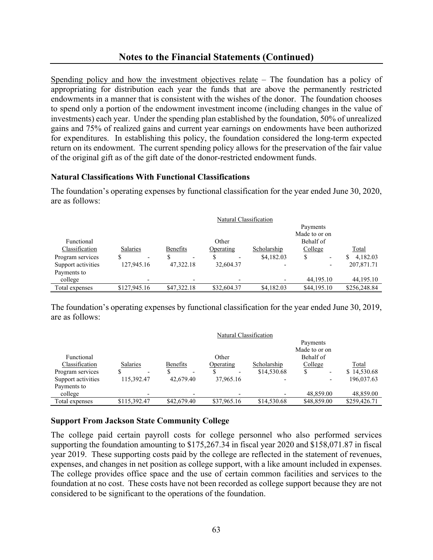Spending policy and how the investment objectives relate – The foundation has a policy of appropriating for distribution each year the funds that are above the permanently restricted endowments in a manner that is consistent with the wishes of the donor. The foundation chooses to spend only a portion of the endowment investment income (including changes in the value of investments) each year. Under the spending plan established by the foundation, 50% of unrealized gains and 75% of realized gains and current year earnings on endowments have been authorized for expenditures. In establishing this policy, the foundation considered the long-term expected return on its endowment. The current spending policy allows for the preservation of the fair value of the original gift as of the gift date of the donor-restricted endowment funds.

#### **Natural Classifications With Functional Classifications**

The foundation's operating expenses by functional classification for the year ended June 30, 2020, are as follows:

|                    | Natural Classification |             |             |             |                                |              |
|--------------------|------------------------|-------------|-------------|-------------|--------------------------------|--------------|
|                    |                        |             |             |             | Payments                       |              |
|                    |                        |             |             |             | Made to or on                  |              |
| Functional         |                        |             | Other       |             | Behalf of                      |              |
| Classification     | <b>Salaries</b>        | Benefits    | Operating   | Scholarship | College                        | Total        |
| Program services   | S<br>-                 | S           |             | \$4,182.03  | \$<br>$\overline{\phantom{0}}$ | 4,182.03     |
| Support activities | 127,945.16             | 47,322.18   | 32,604.37   |             |                                | 207,871.71   |
| Payments to        |                        |             |             |             |                                |              |
| college            |                        |             |             |             | 44,195.10                      | 44,195.10    |
| Total expenses     | \$127,945.16           | \$47,322.18 | \$32,604.37 | \$4,182.03  | \$44,195.10                    | \$256,248.84 |

The foundation's operating expenses by functional classification for the year ended June 30, 2019, are as follows:

|                    |              |                 | Natural Classification |             |               |              |
|--------------------|--------------|-----------------|------------------------|-------------|---------------|--------------|
|                    |              |                 |                        |             | Payments      |              |
|                    |              |                 |                        |             | Made to or on |              |
| Functional         |              |                 | Other                  |             | Behalf of     |              |
| Classification     | Salaries     | <b>Benefits</b> | Operating              | Scholarship | College       | Total        |
| Program services   |              |                 |                        | \$14,530.68 | ۰             | \$14,530.68  |
| Support activities | 115,392.47   | 42,679.40       | 37,965.16              |             |               | 196,037.63   |
| Payments to        |              |                 |                        |             |               |              |
| college            |              |                 |                        |             | 48,859.00     | 48,859.00    |
| Total expenses     | \$115,392.47 | \$42,679.40     | \$37,965.16            | \$14,530.68 | \$48,859.00   | \$259,426.71 |

#### **Support From Jackson State Community College**

The college paid certain payroll costs for college personnel who also performed services supporting the foundation amounting to \$175,267.34 in fiscal year 2020 and \$158,071.87 in fiscal year 2019. These supporting costs paid by the college are reflected in the statement of revenues, expenses, and changes in net position as college support, with a like amount included in expenses. The college provides office space and the use of certain common facilities and services to the foundation at no cost. These costs have not been recorded as college support because they are not considered to be significant to the operations of the foundation.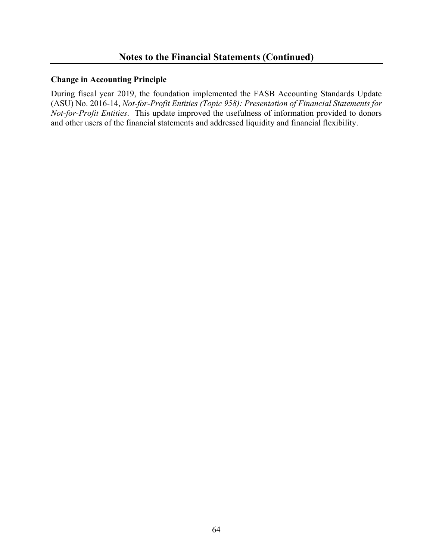#### **Change in Accounting Principle**

During fiscal year 2019, the foundation implemented the FASB Accounting Standards Update (ASU) No. 2016-14, *Not-for-Profit Entities (Topic 958): Presentation of Financial Statements for Not-for-Profit Entities*. This update improved the usefulness of information provided to donors and other users of the financial statements and addressed liquidity and financial flexibility.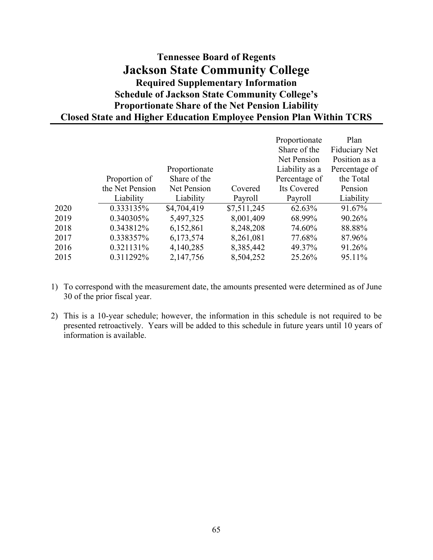# **Tennessee Board of Regents Jackson State Community College Required Supplementary Information Schedule of Jackson State Community College's Proportionate Share of the Net Pension Liability Closed State and Higher Education Employee Pension Plan Within TCRS**

|      |                 |               |             | Proportionate  | Plan                 |
|------|-----------------|---------------|-------------|----------------|----------------------|
|      |                 |               |             | Share of the   | <b>Fiduciary Net</b> |
|      |                 |               |             | Net Pension    | Position as a        |
|      |                 | Proportionate |             | Liability as a | Percentage of        |
|      | Proportion of   | Share of the  |             | Percentage of  | the Total            |
|      | the Net Pension | Net Pension   | Covered     | Its Covered    | Pension              |
|      | Liability       | Liability     | Payroll     | Payroll        | Liability            |
| 2020 | 0.333135%       | \$4,704,419   | \$7,511,245 | 62.63%         | 91.67%               |
| 2019 | 0.340305%       | 5,497,325     | 8,001,409   | 68.99%         | 90.26%               |
| 2018 | 0.343812%       | 6,152,861     | 8,248,208   | 74.60%         | 88.88%               |
| 2017 | 0.338357%       | 6,173,574     | 8,261,081   | 77.68%         | 87.96%               |
| 2016 | 0.321131%       | 4,140,285     | 8,385,442   | 49.37%         | 91.26%               |
| 2015 | 0.311292%       | 2,147,756     | 8,504,252   | 25.26%         | 95.11%               |

- 1) To correspond with the measurement date, the amounts presented were determined as of June 30 of the prior fiscal year.
- 2) This is a 10-year schedule; however, the information in this schedule is not required to be presented retroactively. Years will be added to this schedule in future years until 10 years of information is available.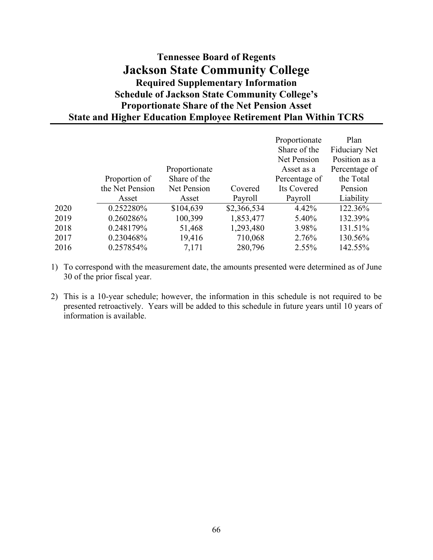# **Tennessee Board of Regents Jackson State Community College Required Supplementary Information Schedule of Jackson State Community College's Proportionate Share of the Net Pension Asset State and Higher Education Employee Retirement Plan Within TCRS**

|      |                 |               |             | Proportionate | Plan                 |
|------|-----------------|---------------|-------------|---------------|----------------------|
|      |                 |               |             | Share of the  | <b>Fiduciary Net</b> |
|      |                 |               |             | Net Pension   | Position as a        |
|      |                 | Proportionate |             | Asset as a    | Percentage of        |
|      | Proportion of   | Share of the  |             | Percentage of | the Total            |
|      | the Net Pension | Net Pension   | Covered     | Its Covered   | Pension              |
|      | Asset           | Asset         | Payroll     | Payroll       | Liability            |
| 2020 | 0.252280%       | \$104,639     | \$2,366,534 | 4.42%         | 122.36%              |
| 2019 | 0.260286%       | 100,399       | 1,853,477   | 5.40%         | 132.39%              |
| 2018 | 0.248179%       | 51,468        | 1,293,480   | 3.98%         | 131.51%              |
| 2017 | 0.230468%       | 19,416        | 710,068     | 2.76%         | 130.56%              |
| 2016 | 0.257854%       | 7,171         | 280,796     | 2.55%         | 142.55%              |

1) To correspond with the measurement date, the amounts presented were determined as of June 30 of the prior fiscal year.

2) This is a 10-year schedule; however, the information in this schedule is not required to be presented retroactively. Years will be added to this schedule in future years until 10 years of information is available.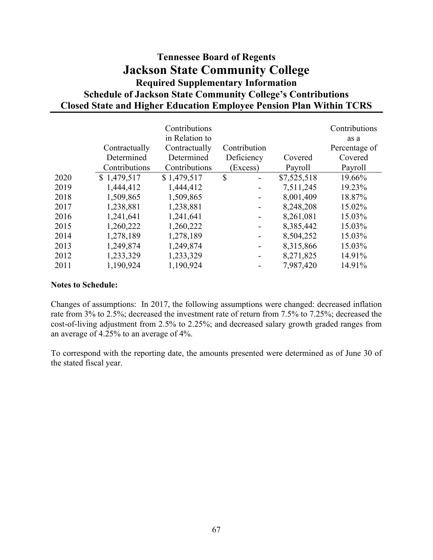# **Tennessee Board of Regents Jackson State Community College Required Supplementary Information Schedule of Jackson State Community College's Contributions Closed State and Higher Education Employee Pension Plan Within TCRS**

|      | Contractually<br>Determined<br>Contributions | Contributions<br>in Relation to<br>Contractually<br>Determined<br>Contributions | Contribution<br>Deficiency<br>Excess) | Covered<br>Payroll | Contributions<br>as a<br>Percentage of<br>Covered<br>Payroll |
|------|----------------------------------------------|---------------------------------------------------------------------------------|---------------------------------------|--------------------|--------------------------------------------------------------|
| 2020 | \$1,479,517                                  | \$1,479,517                                                                     | $\mathbb{S}$                          | \$7,525,518        | 19.66%                                                       |
| 2019 | 1,444,412                                    | 1,444,412                                                                       |                                       | 7,511,245          | 19.23%                                                       |
| 2018 | 1,509,865                                    | 1,509,865                                                                       |                                       | 8,001,409          | 18.87%                                                       |
| 2017 | 1,238,881                                    | 1,238,881                                                                       |                                       | 8,248,208          | 15.02%                                                       |
| 2016 | 1,241,641                                    | 1,241,641                                                                       |                                       | 8,261,081          | 15.03%                                                       |
| 2015 | 1,260,222                                    | 1,260,222                                                                       |                                       | 8,385,442          | 15.03%                                                       |
| 2014 | 1,278,189                                    | 1,278,189                                                                       |                                       | 8,504,252          | 15.03%                                                       |
| 2013 | 1,249,874                                    | 1,249,874                                                                       |                                       | 8,315,866          | 15.03%                                                       |
| 2012 | 1,233,329                                    | 1,233,329                                                                       |                                       | 8,271,825          | 14.91%                                                       |
| 2011 | 1,190,924                                    | 1,190,924                                                                       |                                       | 7,987,420          | 14.91%                                                       |

#### **Notes to Schedule:**

Changes of assumptions: In 2017, the following assumptions were changed: decreased inflation rate from 3% to 2.5%; decreased the investment rate of return from 7.5% to 7.25%; decreased the cost-of-living adjustment from 2.5% to 2.25%; and decreased salary growth graded ranges from an average of 4.25% to an average of 4%.

To correspond with the reporting date, the amounts presented were determined as of June 30 of the stated fiscal year.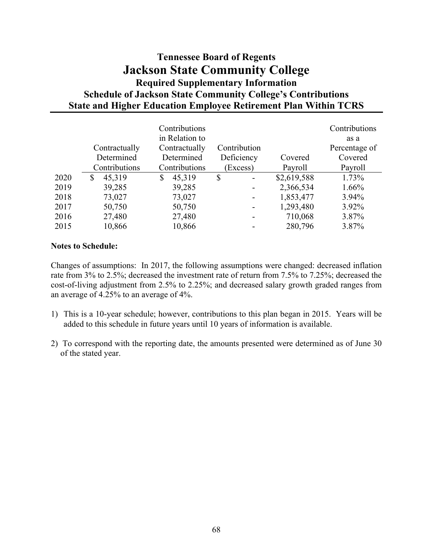# **Tennessee Board of Regents Jackson State Community College Required Supplementary Information Schedule of Jackson State Community College's Contributions State and Higher Education Employee Retirement Plan Within TCRS**

|      |            |               | Contributions<br>in Relation to |    |                          |             | Contributions<br>as a |
|------|------------|---------------|---------------------------------|----|--------------------------|-------------|-----------------------|
|      |            | Contractually | Contractually                   |    | Contribution             |             | Percentage of         |
|      | Determined |               | Determined                      |    | Deficiency               | Covered     | Covered               |
|      |            | Contributions | Contributions                   |    | Excess)                  | Payroll     | Payroll               |
| 2020 | \$         | 45,319        | \$<br>45,319                    | \$ |                          | \$2,619,588 | 1.73%                 |
| 2019 |            | 39,285        | 39,285                          |    | -                        | 2,366,534   | 1.66%                 |
| 2018 |            | 73,027        | 73,027                          |    |                          | 1,853,477   | 3.94%                 |
| 2017 |            | 50,750        | 50,750                          |    |                          | 1,293,480   | 3.92%                 |
| 2016 |            | 27,480        | 27,480                          |    | $\overline{\phantom{0}}$ | 710,068     | 3.87%                 |
| 2015 |            | 10,866        | 10,866                          |    |                          | 280,796     | 3.87%                 |

#### **Notes to Schedule:**

Changes of assumptions: In 2017, the following assumptions were changed: decreased inflation rate from 3% to 2.5%; decreased the investment rate of return from 7.5% to 7.25%; decreased the cost-of-living adjustment from 2.5% to 2.25%; and decreased salary growth graded ranges from an average of 4.25% to an average of 4%.

- 1) This is a 10-year schedule; however, contributions to this plan began in 2015. Years will be added to this schedule in future years until 10 years of information is available.
- 2) To correspond with the reporting date, the amounts presented were determined as of June 30 of the stated year.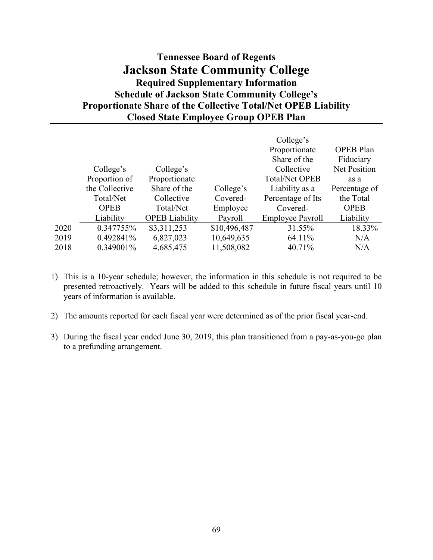# **Tennessee Board of Regents Jackson State Community College Required Supplementary Information Schedule of Jackson State Community College's Proportionate Share of the Collective Total/Net OPEB Liability Closed State Employee Group OPEB Plan**

|      |                |                       |              | College's               |                     |
|------|----------------|-----------------------|--------------|-------------------------|---------------------|
|      |                |                       |              | Proportionate           | <b>OPEB</b> Plan    |
|      |                |                       |              | Share of the            | Fiduciary           |
|      | College's      | College's             |              | Collective              | <b>Net Position</b> |
|      | Proportion of  | Proportionate         |              | <b>Total/Net OPEB</b>   | as a                |
|      | the Collective | Share of the          | College's    | Liability as a          | Percentage of       |
|      | Total/Net      | Collective            | Covered-     | Percentage of Its       | the Total           |
|      | <b>OPEB</b>    | Total/Net             | Employee     | Covered-                | <b>OPEB</b>         |
|      | Liability      | <b>OPEB</b> Liability | Payroll      | <b>Employee Payroll</b> | Liability           |
| 2020 | 0.347755%      | \$3,311,253           | \$10,496,487 | 31.55%                  | 18.33%              |
| 2019 | 0.492841%      | 6,827,023             | 10,649,635   | 64.11%                  | N/A                 |
| 2018 | 0.349001%      | 4,685,475             | 11,508,082   | 40.71%                  | N/A                 |
|      |                |                       |              |                         |                     |

- 1) This is a 10-year schedule; however, the information in this schedule is not required to be presented retroactively. Years will be added to this schedule in future fiscal years until 10 years of information is available.
- 2) The amounts reported for each fiscal year were determined as of the prior fiscal year-end.
- 3) During the fiscal year ended June 30, 2019, this plan transitioned from a pay-as-you-go plan to a prefunding arrangement.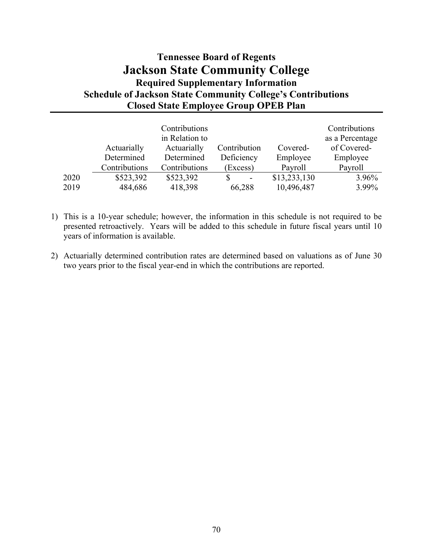# **Tennessee Board of Regents Jackson State Community College Required Supplementary Information Schedule of Jackson State Community College's Contributions Closed State Employee Group OPEB Plan**

|      |               | Contributions<br>in Relation to |                          |              | Contributions<br>as a Percentage |
|------|---------------|---------------------------------|--------------------------|--------------|----------------------------------|
|      | Actuarially   | Actuarially                     | Contribution             | Covered-     | of Covered-                      |
|      | Determined    | Determined                      | Deficiency               | Employee     | Employee                         |
|      | Contributions | Contributions                   | (Excess)                 | Payroll      | Payroll                          |
| 2020 | \$523,392     | \$523,392                       | $\overline{\phantom{a}}$ | \$13,233,130 | 3.96%                            |
| 2019 | 484,686       | 418,398                         | 66,288                   | 10,496,487   | 3.99%                            |

- 1) This is a 10-year schedule; however, the information in this schedule is not required to be presented retroactively. Years will be added to this schedule in future fiscal years until 10 years of information is available.
- 2) Actuarially determined contribution rates are determined based on valuations as of June 30 two years prior to the fiscal year-end in which the contributions are reported.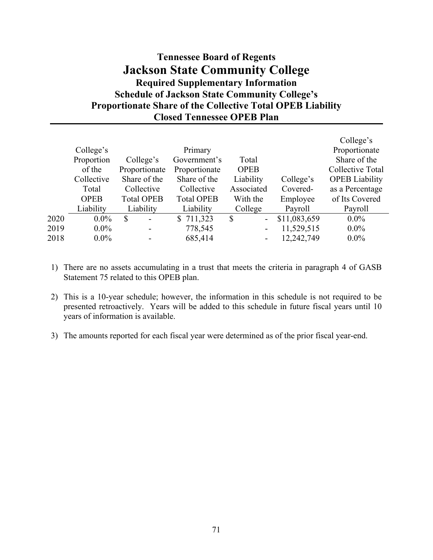# **Tennessee Board of Regents Jackson State Community College Required Supplementary Information Schedule of Jackson State Community College's Proportionate Share of the Collective Total OPEB Liability Closed Tennessee OPEB Plan**

|      |             |                          |                   |                                |              | College's             |
|------|-------------|--------------------------|-------------------|--------------------------------|--------------|-----------------------|
|      | College's   |                          | Primary           |                                |              | Proportionate         |
|      | Proportion  | College's                | Government's      | Total                          |              | Share of the          |
|      | of the      | Proportionate            | Proportionate     | <b>OPEB</b>                    |              | Collective Total      |
|      | Collective  | Share of the             | Share of the      | Liability                      | College's    | <b>OPEB</b> Liability |
|      | Total       | Collective               | Collective        | Associated                     | Covered-     | as a Percentage       |
|      | <b>OPEB</b> | <b>Total OPEB</b>        | <b>Total OPEB</b> | With the                       | Employee     | of Its Covered        |
|      | Liability   | Liability                | Liability         | College                        | Payroll      | Payroll               |
| 2020 | $0.0\%$     | \$<br>$\blacksquare$     | \$711,323         | \$<br>$\overline{\phantom{0}}$ | \$11,083,659 | $0.0\%$               |
| 2019 | $0.0\%$     | $\overline{\phantom{a}}$ | 778,545           | ۰.                             | 11,529,515   | $0.0\%$               |
| 2018 | $0.0\%$     | $\overline{\phantom{a}}$ | 685,414           | ۰.                             | 12,242,749   | $0.0\%$               |

- 1) There are no assets accumulating in a trust that meets the criteria in paragraph 4 of GASB Statement 75 related to this OPEB plan.
- 2) This is a 10-year schedule; however, the information in this schedule is not required to be presented retroactively. Years will be added to this schedule in future fiscal years until 10 years of information is available.
- 3) The amounts reported for each fiscal year were determined as of the prior fiscal year-end.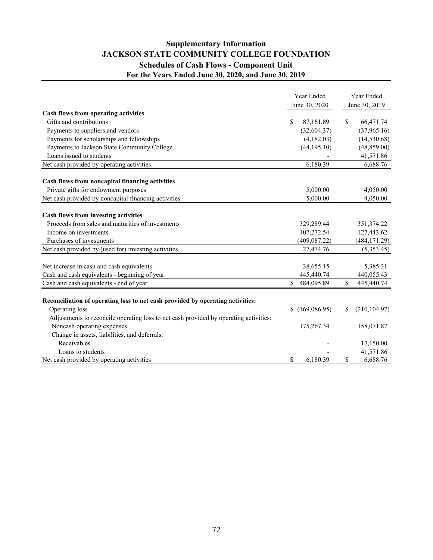## **Supplementary Information JACKSON STATE COMMUNITY COLLEGE FOUNDATION Schedules of Cash Flows - Component Unit For the Years Ended June 30, 2020, and June 30, 2019**

|                                                                                       | Year Ended<br>June 30, 2020 | Year Ended<br>June 30, 2019 |
|---------------------------------------------------------------------------------------|-----------------------------|-----------------------------|
| Cash flows from operating activities                                                  |                             |                             |
| Gifts and contributions                                                               | \$<br>87,161.89             | <sup>\$</sup><br>66,471.74  |
| Payments to suppliers and vendors                                                     | (32, 604.37)                | (37,965.16)                 |
| Payments for scholarships and fellowships                                             | (4,182.03)                  | (14, 530.68)                |
| Payments to Jackson State Community College                                           | (44, 195.10)                | (48, 859.00)                |
| Loans issued to students                                                              |                             | 41,571.86                   |
| Net cash provided by operating activities                                             | 6,180.39                    | 6,688.76                    |
| Cash flows from noncapital financing activities                                       |                             |                             |
| Private gifts for endowment purposes                                                  | 5,000.00                    | 4,050.00                    |
| Net cash provided by noncapital financing activities                                  | 5,000.00                    | 4,050.00                    |
| Cash flows from investing activities                                                  |                             |                             |
| Proceeds from sales and maturities of investments                                     | 329,289.44                  | 351,374.22                  |
| Income on investments                                                                 | 107,272.54                  | 127,443.62                  |
| Purchases of investments                                                              | (409, 087.22)               | (484, 171.29)               |
| Net cash provided by (used for) investing activities                                  | 27,474.76                   | (5,353.45)                  |
| Net increase in cash and cash equivalents                                             | 38,655.15                   | 5,385.31                    |
| Cash and cash equivalents - beginning of year                                         | 445,440.74                  | 440,055.43                  |
| Cash and cash equivalents - end of year                                               | \$<br>484,095.89            | \$<br>445,440.74            |
| Reconciliation of operating loss to net cash provided by operating activities:        |                             |                             |
| Operating loss                                                                        | (169,086.95)<br>\$          | (210, 104.97)<br>S          |
| Adjustments to reconcile operating loss to net cash provided by operating activities: |                             |                             |
| Noncash operating expenses                                                            | 175,267.34                  | 158,071.87                  |
| Change in assets, liabilities, and deferrals:                                         |                             |                             |
| Receivables                                                                           |                             | 17,150.00                   |
| Loans to students                                                                     |                             | 41,571.86                   |
| Net cash provided by operating activities                                             | \$<br>6,180.39              | \$<br>6,688.76              |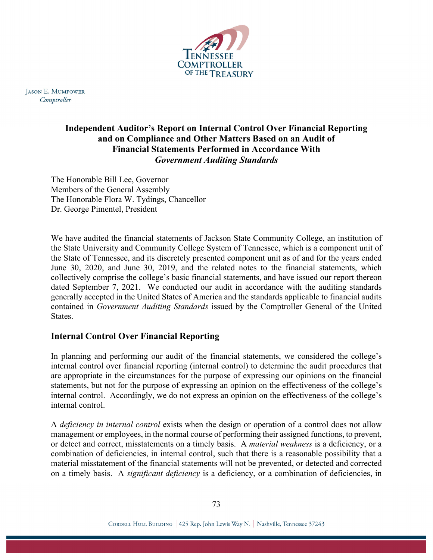

**JASON E. MUMPOWER** Comptroller

## **Independent Auditor's Report on Internal Control Over Financial Reporting and on Compliance and Other Matters Based on an Audit of Financial Statements Performed in Accordance With**  *Government Auditing Standards*

The Honorable Bill Lee, Governor Members of the General Assembly The Honorable Flora W. Tydings, Chancellor Dr. George Pimentel, President

We have audited the financial statements of Jackson State Community College, an institution of the State University and Community College System of Tennessee, which is a component unit of the State of Tennessee, and its discretely presented component unit as of and for the years ended June 30, 2020, and June 30, 2019, and the related notes to the financial statements, which collectively comprise the college's basic financial statements, and have issued our report thereon dated September 7, 2021. We conducted our audit in accordance with the auditing standards generally accepted in the United States of America and the standards applicable to financial audits contained in *Government Auditing Standards* issued by the Comptroller General of the United States.

### **Internal Control Over Financial Reporting**

In planning and performing our audit of the financial statements, we considered the college's internal control over financial reporting (internal control) to determine the audit procedures that are appropriate in the circumstances for the purpose of expressing our opinions on the financial statements, but not for the purpose of expressing an opinion on the effectiveness of the college's internal control. Accordingly, we do not express an opinion on the effectiveness of the college's internal control.

A *deficiency in internal control* exists when the design or operation of a control does not allow management or employees, in the normal course of performing their assigned functions, to prevent, or detect and correct, misstatements on a timely basis. A *material weakness* is a deficiency, or a combination of deficiencies, in internal control, such that there is a reasonable possibility that a material misstatement of the financial statements will not be prevented, or detected and corrected on a timely basis. A *significant deficiency* is a deficiency, or a combination of deficiencies, in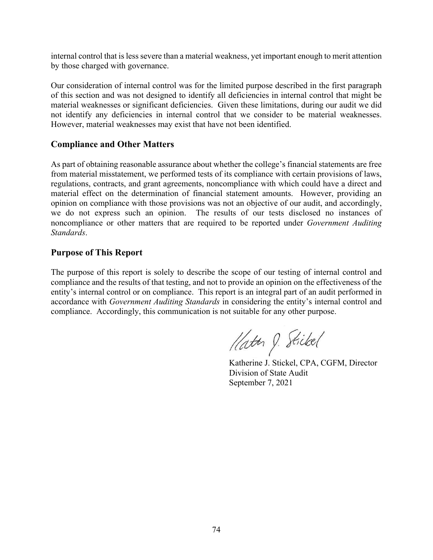internal control that is less severe than a material weakness, yet important enough to merit attention by those charged with governance.

Our consideration of internal control was for the limited purpose described in the first paragraph of this section and was not designed to identify all deficiencies in internal control that might be material weaknesses or significant deficiencies. Given these limitations, during our audit we did not identify any deficiencies in internal control that we consider to be material weaknesses. However, material weaknesses may exist that have not been identified.

### **Compliance and Other Matters**

As part of obtaining reasonable assurance about whether the college's financial statements are free from material misstatement, we performed tests of its compliance with certain provisions of laws, regulations, contracts, and grant agreements, noncompliance with which could have a direct and material effect on the determination of financial statement amounts. However, providing an opinion on compliance with those provisions was not an objective of our audit, and accordingly, we do not express such an opinion. The results of our tests disclosed no instances of noncompliance or other matters that are required to be reported under *Government Auditing Standards*.

### **Purpose of This Report**

The purpose of this report is solely to describe the scope of our testing of internal control and compliance and the results of that testing, and not to provide an opinion on the effectiveness of the entity's internal control or on compliance. This report is an integral part of an audit performed in accordance with *Government Auditing Standards* in considering the entity's internal control and compliance. Accordingly, this communication is not suitable for any other purpose.

Hatter J. Stickel

 Katherine J. Stickel, CPA, CGFM, Director Division of State Audit September 7, 2021